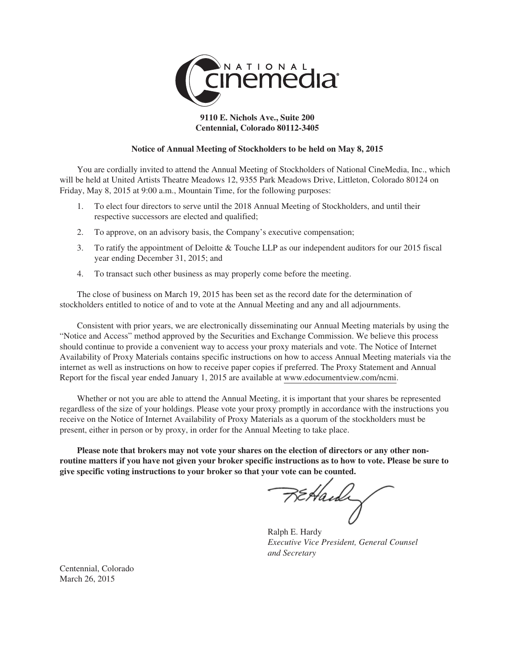

# **9110 E. Nichols Ave., Suite 200 Centennial, Colorado 80112-3405**

# **Notice of Annual Meeting of Stockholders to be held on May 8, 2015**

You are cordially invited to attend the Annual Meeting of Stockholders of National CineMedia, Inc., which will be held at United Artists Theatre Meadows 12, 9355 Park Meadows Drive, Littleton, Colorado 80124 on Friday, May 8, 2015 at 9:00 a.m., Mountain Time, for the following purposes:

- 1. To elect four directors to serve until the 2018 Annual Meeting of Stockholders, and until their respective successors are elected and qualified;
- 2. To approve, on an advisory basis, the Company's executive compensation;
- 3. To ratify the appointment of Deloitte & Touche LLP as our independent auditors for our 2015 fiscal year ending December 31, 2015; and
- 4. To transact such other business as may properly come before the meeting.

The close of business on March 19, 2015 has been set as the record date for the determination of stockholders entitled to notice of and to vote at the Annual Meeting and any and all adjournments.

Consistent with prior years, we are electronically disseminating our Annual Meeting materials by using the "Notice and Access" method approved by the Securities and Exchange Commission. We believe this process should continue to provide a convenient way to access your proxy materials and vote. The Notice of Internet Availability of Proxy Materials contains specific instructions on how to access Annual Meeting materials via the internet as well as instructions on how to receive paper copies if preferred. The Proxy Statement and Annual Report for the fiscal year ended January 1, 2015 are available at www.edocumentview.com/ncmi.

Whether or not you are able to attend the Annual Meeting, it is important that your shares be represented regardless of the size of your holdings. Please vote your proxy promptly in accordance with the instructions you receive on the Notice of Internet Availability of Proxy Materials as a quorum of the stockholders must be present, either in person or by proxy, in order for the Annual Meeting to take place.

**Please note that brokers may not vote your shares on the election of directors or any other nonroutine matters if you have not given your broker specific instructions as to how to vote. Please be sure to give specific voting instructions to your broker so that your vote can be counted.**

FEHaidi

Ralph E. Hardy *Executive Vice President, General Counsel and Secretary*

Centennial, Colorado March 26, 2015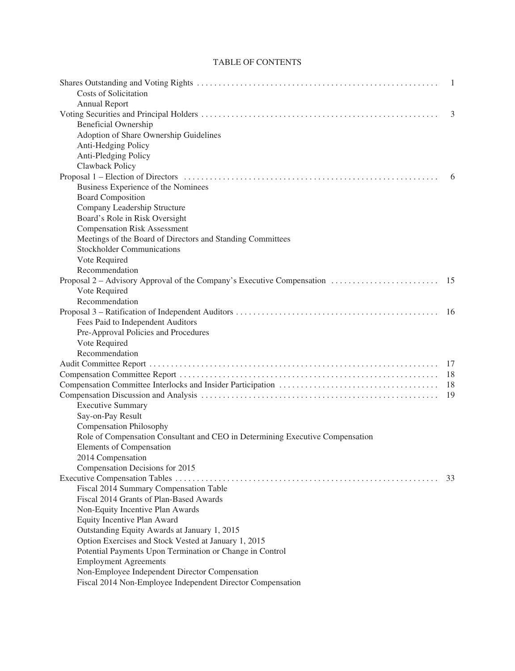# TABLE OF CONTENTS

|                                                                               | -1 |
|-------------------------------------------------------------------------------|----|
| <b>Costs of Solicitation</b>                                                  |    |
| <b>Annual Report</b>                                                          |    |
|                                                                               | 3  |
| <b>Beneficial Ownership</b>                                                   |    |
| Adoption of Share Ownership Guidelines                                        |    |
| Anti-Hedging Policy                                                           |    |
| Anti-Pledging Policy                                                          |    |
| Clawback Policy                                                               |    |
|                                                                               | 6  |
| Business Experience of the Nominees                                           |    |
| <b>Board Composition</b>                                                      |    |
| Company Leadership Structure                                                  |    |
| Board's Role in Risk Oversight                                                |    |
| <b>Compensation Risk Assessment</b>                                           |    |
| Meetings of the Board of Directors and Standing Committees                    |    |
| <b>Stockholder Communications</b>                                             |    |
| Vote Required                                                                 |    |
| Recommendation                                                                |    |
|                                                                               |    |
| Vote Required                                                                 |    |
| Recommendation                                                                |    |
|                                                                               |    |
| Fees Paid to Independent Auditors                                             |    |
| Pre-Approval Policies and Procedures                                          |    |
| Vote Required                                                                 |    |
| Recommendation                                                                |    |
|                                                                               | 17 |
|                                                                               | 18 |
|                                                                               | 18 |
|                                                                               | 19 |
| <b>Executive Summary</b>                                                      |    |
| Say-on-Pay Result                                                             |    |
| <b>Compensation Philosophy</b>                                                |    |
| Role of Compensation Consultant and CEO in Determining Executive Compensation |    |
| Elements of Compensation                                                      |    |
| 2014 Compensation                                                             |    |
| Compensation Decisions for 2015                                               |    |
|                                                                               | 33 |
| Fiscal 2014 Summary Compensation Table                                        |    |
| Fiscal 2014 Grants of Plan-Based Awards                                       |    |
| Non-Equity Incentive Plan Awards                                              |    |
| Equity Incentive Plan Award                                                   |    |
| Outstanding Equity Awards at January 1, 2015                                  |    |
| Option Exercises and Stock Vested at January 1, 2015                          |    |
| Potential Payments Upon Termination or Change in Control                      |    |
| <b>Employment Agreements</b>                                                  |    |
| Non-Employee Independent Director Compensation                                |    |
| Fiscal 2014 Non-Employee Independent Director Compensation                    |    |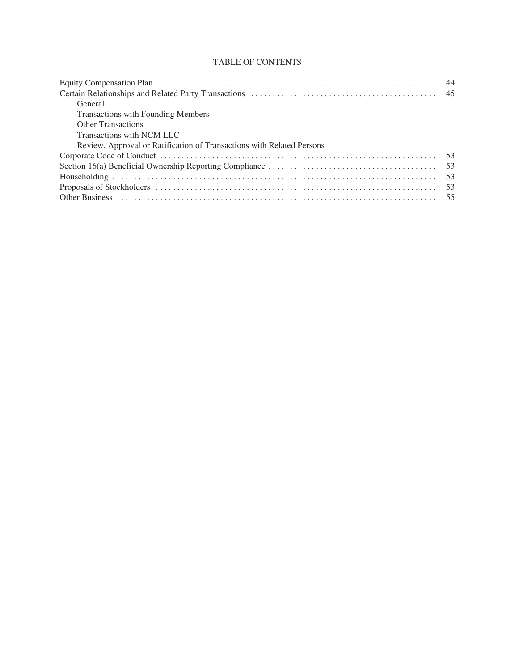# TABLE OF CONTENTS

| General                                                               |  |
|-----------------------------------------------------------------------|--|
| <b>Transactions with Founding Members</b>                             |  |
| <b>Other Transactions</b>                                             |  |
| Transactions with NCM LLC                                             |  |
| Review, Approval or Ratification of Transactions with Related Persons |  |
|                                                                       |  |
|                                                                       |  |
|                                                                       |  |
|                                                                       |  |
|                                                                       |  |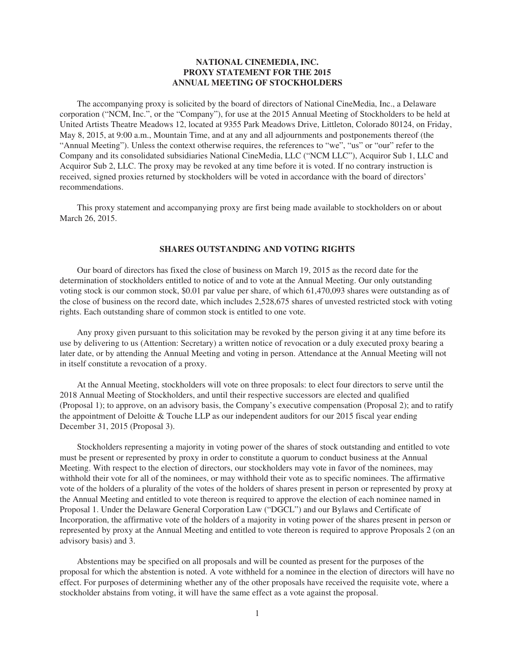# **NATIONAL CINEMEDIA, INC. PROXY STATEMENT FOR THE 2015 ANNUAL MEETING OF STOCKHOLDERS**

The accompanying proxy is solicited by the board of directors of National CineMedia, Inc., a Delaware corporation ("NCM, Inc.", or the "Company"), for use at the 2015 Annual Meeting of Stockholders to be held at United Artists Theatre Meadows 12, located at 9355 Park Meadows Drive, Littleton, Colorado 80124, on Friday, May 8, 2015, at 9:00 a.m., Mountain Time, and at any and all adjournments and postponements thereof (the "Annual Meeting"). Unless the context otherwise requires, the references to "we", "us" or "our" refer to the Company and its consolidated subsidiaries National CineMedia, LLC ("NCM LLC"), Acquiror Sub 1, LLC and Acquiror Sub 2, LLC. The proxy may be revoked at any time before it is voted. If no contrary instruction is received, signed proxies returned by stockholders will be voted in accordance with the board of directors' recommendations.

This proxy statement and accompanying proxy are first being made available to stockholders on or about March 26, 2015.

# **SHARES OUTSTANDING AND VOTING RIGHTS**

Our board of directors has fixed the close of business on March 19, 2015 as the record date for the determination of stockholders entitled to notice of and to vote at the Annual Meeting. Our only outstanding voting stock is our common stock, \$0.01 par value per share, of which 61,470,093 shares were outstanding as of the close of business on the record date, which includes 2,528,675 shares of unvested restricted stock with voting rights. Each outstanding share of common stock is entitled to one vote.

Any proxy given pursuant to this solicitation may be revoked by the person giving it at any time before its use by delivering to us (Attention: Secretary) a written notice of revocation or a duly executed proxy bearing a later date, or by attending the Annual Meeting and voting in person. Attendance at the Annual Meeting will not in itself constitute a revocation of a proxy.

At the Annual Meeting, stockholders will vote on three proposals: to elect four directors to serve until the 2018 Annual Meeting of Stockholders, and until their respective successors are elected and qualified (Proposal 1); to approve, on an advisory basis, the Company's executive compensation (Proposal 2); and to ratify the appointment of Deloitte & Touche LLP as our independent auditors for our 2015 fiscal year ending December 31, 2015 (Proposal 3).

Stockholders representing a majority in voting power of the shares of stock outstanding and entitled to vote must be present or represented by proxy in order to constitute a quorum to conduct business at the Annual Meeting. With respect to the election of directors, our stockholders may vote in favor of the nominees, may withhold their vote for all of the nominees, or may withhold their vote as to specific nominees. The affirmative vote of the holders of a plurality of the votes of the holders of shares present in person or represented by proxy at the Annual Meeting and entitled to vote thereon is required to approve the election of each nominee named in Proposal 1. Under the Delaware General Corporation Law ("DGCL") and our Bylaws and Certificate of Incorporation, the affirmative vote of the holders of a majority in voting power of the shares present in person or represented by proxy at the Annual Meeting and entitled to vote thereon is required to approve Proposals 2 (on an advisory basis) and 3.

Abstentions may be specified on all proposals and will be counted as present for the purposes of the proposal for which the abstention is noted. A vote withheld for a nominee in the election of directors will have no effect. For purposes of determining whether any of the other proposals have received the requisite vote, where a stockholder abstains from voting, it will have the same effect as a vote against the proposal.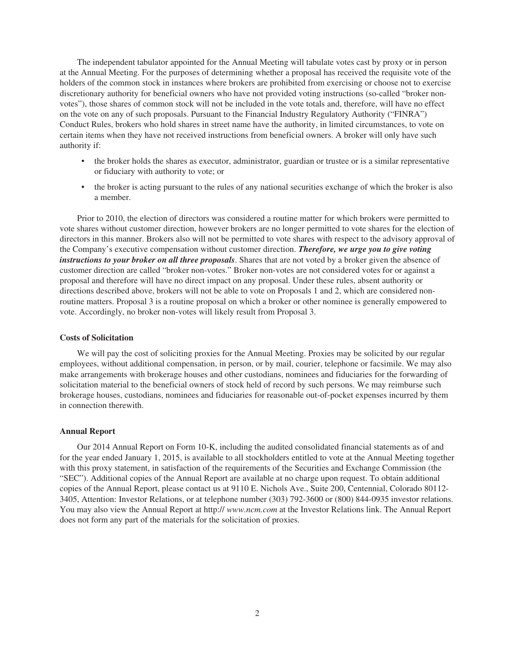The independent tabulator appointed for the Annual Meeting will tabulate votes cast by proxy or in person at the Annual Meeting. For the purposes of determining whether a proposal has received the requisite vote of the holders of the common stock in instances where brokers are prohibited from exercising or choose not to exercise discretionary authority for beneficial owners who have not provided voting instructions (so-called "broker nonvotes"), those shares of common stock will not be included in the vote totals and, therefore, will have no effect on the vote on any of such proposals. Pursuant to the Financial Industry Regulatory Authority ("FINRA") Conduct Rules, brokers who hold shares in street name have the authority, in limited circumstances, to vote on certain items when they have not received instructions from beneficial owners. A broker will only have such authority if:

- the broker holds the shares as executor, administrator, guardian or trustee or is a similar representative or fiduciary with authority to vote; or
- the broker is acting pursuant to the rules of any national securities exchange of which the broker is also a member.

Prior to 2010, the election of directors was considered a routine matter for which brokers were permitted to vote shares without customer direction, however brokers are no longer permitted to vote shares for the election of directors in this manner. Brokers also will not be permitted to vote shares with respect to the advisory approval of the Company's executive compensation without customer direction. *Therefore, we urge you to give voting instructions to your broker on all three proposals*. Shares that are not voted by a broker given the absence of customer direction are called "broker non-votes." Broker non-votes are not considered votes for or against a proposal and therefore will have no direct impact on any proposal. Under these rules, absent authority or directions described above, brokers will not be able to vote on Proposals 1 and 2, which are considered nonroutine matters. Proposal 3 is a routine proposal on which a broker or other nominee is generally empowered to vote. Accordingly, no broker non-votes will likely result from Proposal 3.

# **Costs of Solicitation**

We will pay the cost of soliciting proxies for the Annual Meeting. Proxies may be solicited by our regular employees, without additional compensation, in person, or by mail, courier, telephone or facsimile. We may also make arrangements with brokerage houses and other custodians, nominees and fiduciaries for the forwarding of solicitation material to the beneficial owners of stock held of record by such persons. We may reimburse such brokerage houses, custodians, nominees and fiduciaries for reasonable out-of-pocket expenses incurred by them in connection therewith.

#### **Annual Report**

Our 2014 Annual Report on Form 10-K, including the audited consolidated financial statements as of and for the year ended January 1, 2015, is available to all stockholders entitled to vote at the Annual Meeting together with this proxy statement, in satisfaction of the requirements of the Securities and Exchange Commission (the "SEC"). Additional copies of the Annual Report are available at no charge upon request. To obtain additional copies of the Annual Report, please contact us at 9110 E. Nichols Ave., Suite 200, Centennial, Colorado 80112- 3405, Attention: Investor Relations, or at telephone number (303) 792-3600 or (800) 844-0935 investor relations. You may also view the Annual Report at http:// *www.ncm.com* at the Investor Relations link. The Annual Report does not form any part of the materials for the solicitation of proxies.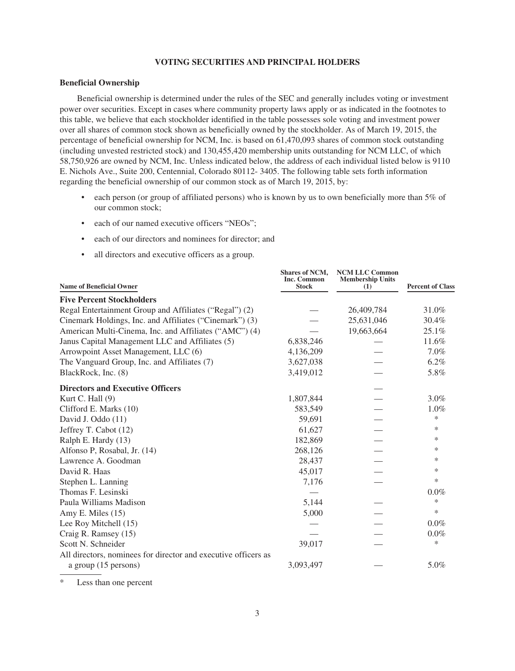# **VOTING SECURITIES AND PRINCIPAL HOLDERS**

# **Beneficial Ownership**

Beneficial ownership is determined under the rules of the SEC and generally includes voting or investment power over securities. Except in cases where community property laws apply or as indicated in the footnotes to this table, we believe that each stockholder identified in the table possesses sole voting and investment power over all shares of common stock shown as beneficially owned by the stockholder. As of March 19, 2015, the percentage of beneficial ownership for NCM, Inc. is based on 61,470,093 shares of common stock outstanding (including unvested restricted stock) and 130,455,420 membership units outstanding for NCM LLC, of which 58,750,926 are owned by NCM, Inc. Unless indicated below, the address of each individual listed below is 9110 E. Nichols Ave., Suite 200, Centennial, Colorado 80112- 3405. The following table sets forth information regarding the beneficial ownership of our common stock as of March 19, 2015, by:

- each person (or group of affiliated persons) who is known by us to own beneficially more than 5% of our common stock;
- each of our named executive officers "NEOs";
- each of our directors and nominees for director; and
- all directors and executive officers as a group.

| <b>Name of Beneficial Owner</b>                                | Shares of NCM,<br>Inc. Common<br><b>Stock</b> | <b>NCM LLC Common</b><br><b>Membership Units</b><br>(1) | <b>Percent of Class</b> |
|----------------------------------------------------------------|-----------------------------------------------|---------------------------------------------------------|-------------------------|
| <b>Five Percent Stockholders</b>                               |                                               |                                                         |                         |
| Regal Entertainment Group and Affiliates ("Regal") (2)         |                                               | 26,409,784                                              | 31.0%                   |
| Cinemark Holdings, Inc. and Affiliates ("Cinemark") (3)        |                                               | 25,631,046                                              | 30.4%                   |
| American Multi-Cinema, Inc. and Affiliates ("AMC") (4)         |                                               | 19,663,664                                              | 25.1%                   |
| Janus Capital Management LLC and Affiliates (5)                | 6,838,246                                     |                                                         | 11.6%                   |
| Arrowpoint Asset Management, LLC (6)                           | 4,136,209                                     |                                                         | $7.0\%$                 |
| The Vanguard Group, Inc. and Affiliates (7)                    | 3,627,038                                     |                                                         | $6.2\%$                 |
| BlackRock, Inc. (8)                                            | 3,419,012                                     |                                                         | 5.8%                    |
| <b>Directors and Executive Officers</b>                        |                                               |                                                         |                         |
| Kurt C. Hall (9)                                               | 1,807,844                                     |                                                         | $3.0\%$                 |
| Clifford E. Marks (10)                                         | 583,549                                       |                                                         | 1.0%                    |
| David J. Oddo (11)                                             | 59,691                                        |                                                         | *                       |
| Jeffrey T. Cabot (12)                                          | 61,627                                        |                                                         | *                       |
| Ralph E. Hardy (13)                                            | 182,869                                       |                                                         | $\ast$                  |
| Alfonso P, Rosabal, Jr. (14)                                   | 268,126                                       |                                                         | *                       |
| Lawrence A. Goodman                                            | 28,437                                        |                                                         | ∗                       |
| David R. Haas                                                  | 45,017                                        |                                                         | *                       |
| Stephen L. Lanning                                             | 7,176                                         |                                                         | $\ast$                  |
| Thomas F. Lesinski                                             |                                               |                                                         | $0.0\%$                 |
| Paula Williams Madison                                         | 5,144                                         |                                                         | $\ast$                  |
| Amy E. Miles (15)                                              | 5,000                                         |                                                         | $\ast$                  |
| Lee Roy Mitchell (15)                                          |                                               |                                                         | $0.0\%$                 |
| Craig R. Ramsey (15)                                           |                                               |                                                         | 0.0%                    |
| Scott N. Schneider                                             | 39,017                                        |                                                         | *                       |
| All directors, nominees for director and executive officers as |                                               |                                                         |                         |
| a group $(15$ persons)                                         | 3,093,497                                     |                                                         | 5.0%                    |

\* Less than one percent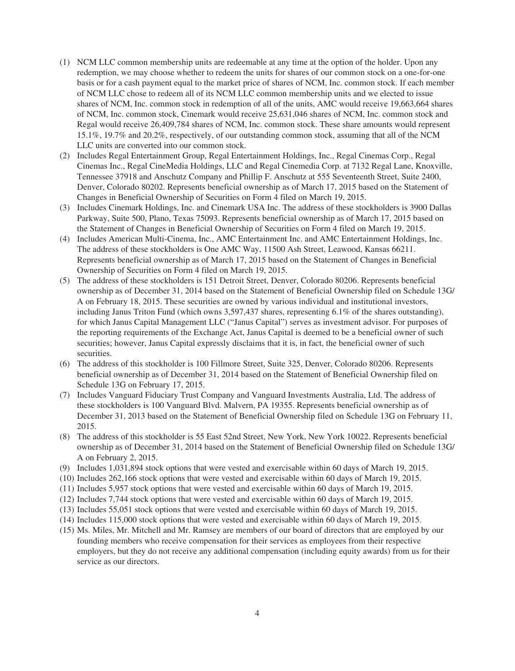- (1) NCM LLC common membership units are redeemable at any time at the option of the holder. Upon any redemption, we may choose whether to redeem the units for shares of our common stock on a one-for-one basis or for a cash payment equal to the market price of shares of NCM, Inc. common stock. If each member of NCM LLC chose to redeem all of its NCM LLC common membership units and we elected to issue shares of NCM, Inc. common stock in redemption of all of the units, AMC would receive 19,663,664 shares of NCM, Inc. common stock, Cinemark would receive 25,631,046 shares of NCM, Inc. common stock and Regal would receive 26,409,784 shares of NCM, Inc. common stock. These share amounts would represent 15.1%, 19.7% and 20.2%, respectively, of our outstanding common stock, assuming that all of the NCM LLC units are converted into our common stock.
- (2) Includes Regal Entertainment Group, Regal Entertainment Holdings, Inc., Regal Cinemas Corp., Regal Cinemas Inc., Regal CineMedia Holdings, LLC and Regal Cinemedia Corp. at 7132 Regal Lane, Knoxville, Tennessee 37918 and Anschutz Company and Phillip F. Anschutz at 555 Seventeenth Street, Suite 2400, Denver, Colorado 80202. Represents beneficial ownership as of March 17, 2015 based on the Statement of Changes in Beneficial Ownership of Securities on Form 4 filed on March 19, 2015.
- (3) Includes Cinemark Holdings, Inc. and Cinemark USA Inc. The address of these stockholders is 3900 Dallas Parkway, Suite 500, Plano, Texas 75093. Represents beneficial ownership as of March 17, 2015 based on the Statement of Changes in Beneficial Ownership of Securities on Form 4 filed on March 19, 2015.
- (4) Includes American Multi-Cinema, Inc., AMC Entertainment Inc. and AMC Entertainment Holdings, Inc. The address of these stockholders is One AMC Way, 11500 Ash Street, Leawood, Kansas 66211. Represents beneficial ownership as of March 17, 2015 based on the Statement of Changes in Beneficial Ownership of Securities on Form 4 filed on March 19, 2015.
- (5) The address of these stockholders is 151 Detroit Street, Denver, Colorado 80206. Represents beneficial ownership as of December 31, 2014 based on the Statement of Beneficial Ownership filed on Schedule 13G/ A on February 18, 2015. These securities are owned by various individual and institutional investors, including Janus Triton Fund (which owns 3,597,437 shares, representing 6.1% of the shares outstanding), for which Janus Capital Management LLC ("Janus Capital") serves as investment advisor. For purposes of the reporting requirements of the Exchange Act, Janus Capital is deemed to be a beneficial owner of such securities; however, Janus Capital expressly disclaims that it is, in fact, the beneficial owner of such securities.
- (6) The address of this stockholder is 100 Fillmore Street, Suite 325, Denver, Colorado 80206. Represents beneficial ownership as of December 31, 2014 based on the Statement of Beneficial Ownership filed on Schedule 13G on February 17, 2015.
- (7) Includes Vanguard Fiduciary Trust Company and Vanguard Investments Australia, Ltd. The address of these stockholders is 100 Vanguard Blvd. Malvern, PA 19355. Represents beneficial ownership as of December 31, 2013 based on the Statement of Beneficial Ownership filed on Schedule 13G on February 11, 2015.
- (8) The address of this stockholder is 55 East 52nd Street, New York, New York 10022. Represents beneficial ownership as of December 31, 2014 based on the Statement of Beneficial Ownership filed on Schedule 13G/ A on February 2, 2015.
- (9) Includes 1,031,894 stock options that were vested and exercisable within 60 days of March 19, 2015.
- (10) Includes 262,166 stock options that were vested and exercisable within 60 days of March 19, 2015.
- (11) Includes 5,957 stock options that were vested and exercisable within 60 days of March 19, 2015.
- (12) Includes 7,744 stock options that were vested and exercisable within 60 days of March 19, 2015.
- (13) Includes 55,051 stock options that were vested and exercisable within 60 days of March 19, 2015.
- (14) Includes 115,000 stock options that were vested and exercisable within 60 days of March 19, 2015.
- (15) Ms. Miles, Mr. Mitchell and Mr. Ramsey are members of our board of directors that are employed by our founding members who receive compensation for their services as employees from their respective employers, but they do not receive any additional compensation (including equity awards) from us for their service as our directors.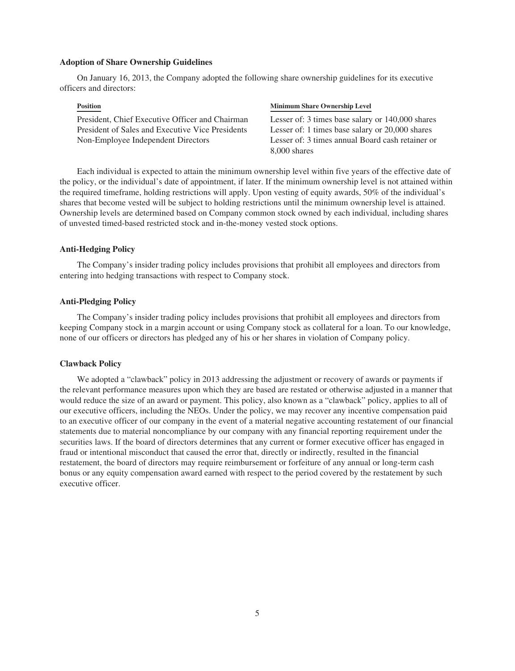#### **Adoption of Share Ownership Guidelines**

On January 16, 2013, the Company adopted the following share ownership guidelines for its executive officers and directors:

President, Chief Executive Officer and Chairman Lesser of: 3 times base salary or 140,000 shares President of Sales and Executive Vice Presidents Lesser of: 1 times base salary or 20,000 shares Non-Employee Independent Directors Lesser of: 3 times annual Board cash retainer or

#### **Position Minimum Share Ownership Level**

8,000 shares

Each individual is expected to attain the minimum ownership level within five years of the effective date of the policy, or the individual's date of appointment, if later. If the minimum ownership level is not attained within the required timeframe, holding restrictions will apply. Upon vesting of equity awards, 50% of the individual's shares that become vested will be subject to holding restrictions until the minimum ownership level is attained. Ownership levels are determined based on Company common stock owned by each individual, including shares of unvested timed-based restricted stock and in-the-money vested stock options.

# **Anti-Hedging Policy**

The Company's insider trading policy includes provisions that prohibit all employees and directors from entering into hedging transactions with respect to Company stock.

# **Anti-Pledging Policy**

The Company's insider trading policy includes provisions that prohibit all employees and directors from keeping Company stock in a margin account or using Company stock as collateral for a loan. To our knowledge, none of our officers or directors has pledged any of his or her shares in violation of Company policy.

# **Clawback Policy**

We adopted a "clawback" policy in 2013 addressing the adjustment or recovery of awards or payments if the relevant performance measures upon which they are based are restated or otherwise adjusted in a manner that would reduce the size of an award or payment. This policy, also known as a "clawback" policy, applies to all of our executive officers, including the NEOs. Under the policy, we may recover any incentive compensation paid to an executive officer of our company in the event of a material negative accounting restatement of our financial statements due to material noncompliance by our company with any financial reporting requirement under the securities laws. If the board of directors determines that any current or former executive officer has engaged in fraud or intentional misconduct that caused the error that, directly or indirectly, resulted in the financial restatement, the board of directors may require reimbursement or forfeiture of any annual or long-term cash bonus or any equity compensation award earned with respect to the period covered by the restatement by such executive officer.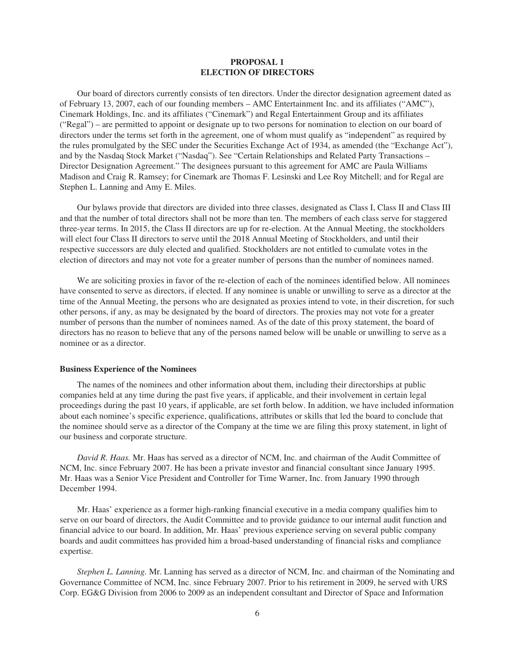# **PROPOSAL 1 ELECTION OF DIRECTORS**

Our board of directors currently consists of ten directors. Under the director designation agreement dated as of February 13, 2007, each of our founding members – AMC Entertainment Inc. and its affiliates ("AMC"), Cinemark Holdings, Inc. and its affiliates ("Cinemark") and Regal Entertainment Group and its affiliates ("Regal") – are permitted to appoint or designate up to two persons for nomination to election on our board of directors under the terms set forth in the agreement, one of whom must qualify as "independent" as required by the rules promulgated by the SEC under the Securities Exchange Act of 1934, as amended (the "Exchange Act"), and by the Nasdaq Stock Market ("Nasdaq"). See "Certain Relationships and Related Party Transactions – Director Designation Agreement." The designees pursuant to this agreement for AMC are Paula Williams Madison and Craig R. Ramsey; for Cinemark are Thomas F. Lesinski and Lee Roy Mitchell; and for Regal are Stephen L. Lanning and Amy E. Miles.

Our bylaws provide that directors are divided into three classes, designated as Class I, Class II and Class III and that the number of total directors shall not be more than ten. The members of each class serve for staggered three-year terms. In 2015, the Class II directors are up for re-election. At the Annual Meeting, the stockholders will elect four Class II directors to serve until the 2018 Annual Meeting of Stockholders, and until their respective successors are duly elected and qualified. Stockholders are not entitled to cumulate votes in the election of directors and may not vote for a greater number of persons than the number of nominees named.

We are soliciting proxies in favor of the re-election of each of the nominees identified below. All nominees have consented to serve as directors, if elected. If any nominee is unable or unwilling to serve as a director at the time of the Annual Meeting, the persons who are designated as proxies intend to vote, in their discretion, for such other persons, if any, as may be designated by the board of directors. The proxies may not vote for a greater number of persons than the number of nominees named. As of the date of this proxy statement, the board of directors has no reason to believe that any of the persons named below will be unable or unwilling to serve as a nominee or as a director.

# **Business Experience of the Nominees**

The names of the nominees and other information about them, including their directorships at public companies held at any time during the past five years, if applicable, and their involvement in certain legal proceedings during the past 10 years, if applicable, are set forth below. In addition, we have included information about each nominee's specific experience, qualifications, attributes or skills that led the board to conclude that the nominee should serve as a director of the Company at the time we are filing this proxy statement, in light of our business and corporate structure.

*David R. Haas.* Mr. Haas has served as a director of NCM, Inc. and chairman of the Audit Committee of NCM, Inc. since February 2007. He has been a private investor and financial consultant since January 1995. Mr. Haas was a Senior Vice President and Controller for Time Warner, Inc. from January 1990 through December 1994.

Mr. Haas' experience as a former high-ranking financial executive in a media company qualifies him to serve on our board of directors, the Audit Committee and to provide guidance to our internal audit function and financial advice to our board. In addition, Mr. Haas' previous experience serving on several public company boards and audit committees has provided him a broad-based understanding of financial risks and compliance expertise.

*Stephen L. Lanning.* Mr. Lanning has served as a director of NCM, Inc. and chairman of the Nominating and Governance Committee of NCM, Inc. since February 2007. Prior to his retirement in 2009, he served with URS Corp. EG&G Division from 2006 to 2009 as an independent consultant and Director of Space and Information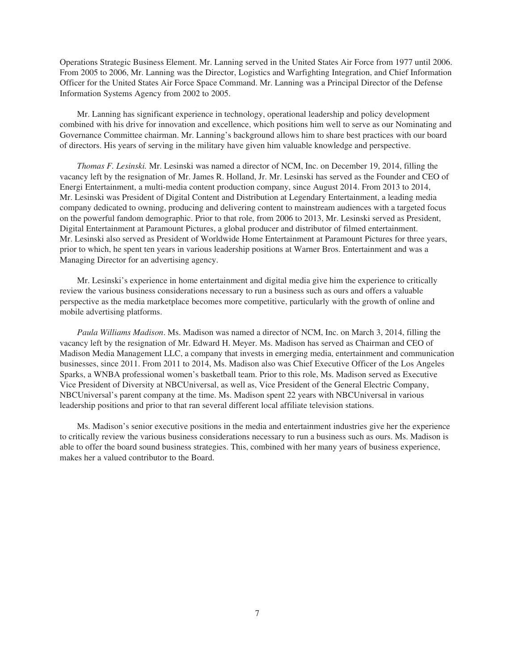Operations Strategic Business Element. Mr. Lanning served in the United States Air Force from 1977 until 2006. From 2005 to 2006, Mr. Lanning was the Director, Logistics and Warfighting Integration, and Chief Information Officer for the United States Air Force Space Command. Mr. Lanning was a Principal Director of the Defense Information Systems Agency from 2002 to 2005.

Mr. Lanning has significant experience in technology, operational leadership and policy development combined with his drive for innovation and excellence, which positions him well to serve as our Nominating and Governance Committee chairman. Mr. Lanning's background allows him to share best practices with our board of directors. His years of serving in the military have given him valuable knowledge and perspective.

*Thomas F. Lesinski.* Mr. Lesinski was named a director of NCM, Inc. on December 19, 2014, filling the vacancy left by the resignation of Mr. James R. Holland, Jr. Mr. Lesinski has served as the Founder and CEO of Energi Entertainment, a multi-media content production company, since August 2014. From 2013 to 2014, Mr. Lesinski was President of Digital Content and Distribution at Legendary Entertainment, a leading media company dedicated to owning, producing and delivering content to mainstream audiences with a targeted focus on the powerful fandom demographic. Prior to that role, from 2006 to 2013, Mr. Lesinski served as President, Digital Entertainment at Paramount Pictures, a global producer and distributor of filmed entertainment. Mr. Lesinski also served as President of Worldwide Home Entertainment at Paramount Pictures for three years, prior to which, he spent ten years in various leadership positions at Warner Bros. Entertainment and was a Managing Director for an advertising agency.

Mr. Lesinski's experience in home entertainment and digital media give him the experience to critically review the various business considerations necessary to run a business such as ours and offers a valuable perspective as the media marketplace becomes more competitive, particularly with the growth of online and mobile advertising platforms.

*Paula Williams Madison*. Ms. Madison was named a director of NCM, Inc. on March 3, 2014, filling the vacancy left by the resignation of Mr. Edward H. Meyer. Ms. Madison has served as Chairman and CEO of Madison Media Management LLC, a company that invests in emerging media, entertainment and communication businesses, since 2011. From 2011 to 2014, Ms. Madison also was Chief Executive Officer of the Los Angeles Sparks, a WNBA professional women's basketball team. Prior to this role, Ms. Madison served as Executive Vice President of Diversity at NBCUniversal, as well as, Vice President of the General Electric Company, NBCUniversal's parent company at the time. Ms. Madison spent 22 years with NBCUniversal in various leadership positions and prior to that ran several different local affiliate television stations.

Ms. Madison's senior executive positions in the media and entertainment industries give her the experience to critically review the various business considerations necessary to run a business such as ours. Ms. Madison is able to offer the board sound business strategies. This, combined with her many years of business experience, makes her a valued contributor to the Board.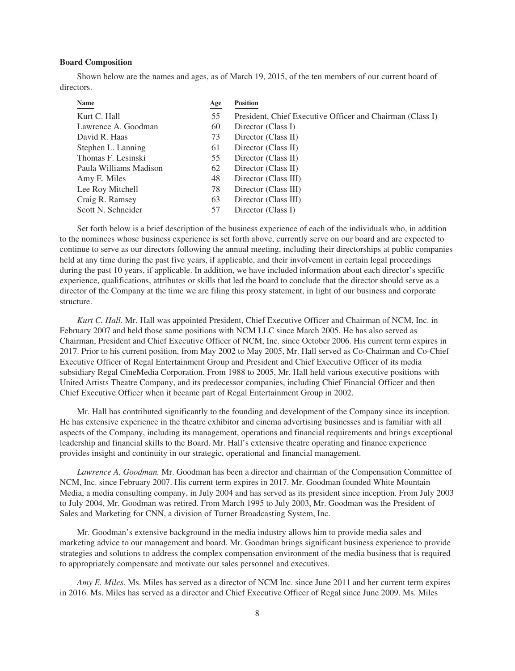# **Board Composition**

Shown below are the names and ages, as of March 19, 2015, of the ten members of our current board of directors.

| <b>Name</b>            | Age | <b>Position</b>                                           |
|------------------------|-----|-----------------------------------------------------------|
| Kurt C. Hall           | 55  | President, Chief Executive Officer and Chairman (Class I) |
| Lawrence A. Goodman    | 60  | Director (Class I)                                        |
| David R. Haas          | 73  | Director (Class II)                                       |
| Stephen L. Lanning     | 61  | Director (Class II)                                       |
| Thomas F. Lesinski     | 55  | Director (Class II)                                       |
| Paula Williams Madison | 62  | Director (Class II)                                       |
| Amy E. Miles           | 48  | Director (Class III)                                      |
| Lee Roy Mitchell       | 78  | Director (Class III)                                      |
| Craig R. Ramsey        | 63  | Director (Class III)                                      |
| Scott N. Schneider     | 57  | Director (Class I)                                        |

Set forth below is a brief description of the business experience of each of the individuals who, in addition to the nominees whose business experience is set forth above, currently serve on our board and are expected to continue to serve as our directors following the annual meeting, including their directorships at public companies held at any time during the past five years, if applicable, and their involvement in certain legal proceedings during the past 10 years, if applicable. In addition, we have included information about each director's specific experience, qualifications, attributes or skills that led the board to conclude that the director should serve as a director of the Company at the time we are filing this proxy statement, in light of our business and corporate structure.

*Kurt C. Hall.* Mr. Hall was appointed President, Chief Executive Officer and Chairman of NCM, Inc. in February 2007 and held those same positions with NCM LLC since March 2005. He has also served as Chairman, President and Chief Executive Officer of NCM, Inc. since October 2006. His current term expires in 2017. Prior to his current position, from May 2002 to May 2005, Mr. Hall served as Co-Chairman and Co-Chief Executive Officer of Regal Entertainment Group and President and Chief Executive Officer of its media subsidiary Regal CineMedia Corporation. From 1988 to 2005, Mr. Hall held various executive positions with United Artists Theatre Company, and its predecessor companies, including Chief Financial Officer and then Chief Executive Officer when it became part of Regal Entertainment Group in 2002.

Mr. Hall has contributed significantly to the founding and development of the Company since its inception. He has extensive experience in the theatre exhibitor and cinema advertising businesses and is familiar with all aspects of the Company, including its management, operations and financial requirements and brings exceptional leadership and financial skills to the Board. Mr. Hall's extensive theatre operating and finance experience provides insight and continuity in our strategic, operational and financial management.

*Lawrence A. Goodman.* Mr. Goodman has been a director and chairman of the Compensation Committee of NCM, Inc. since February 2007. His current term expires in 2017. Mr. Goodman founded White Mountain Media, a media consulting company, in July 2004 and has served as its president since inception. From July 2003 to July 2004, Mr. Goodman was retired. From March 1995 to July 2003, Mr. Goodman was the President of Sales and Marketing for CNN, a division of Turner Broadcasting System, Inc.

Mr. Goodman's extensive background in the media industry allows him to provide media sales and marketing advice to our management and board. Mr. Goodman brings significant business experience to provide strategies and solutions to address the complex compensation environment of the media business that is required to appropriately compensate and motivate our sales personnel and executives.

*Amy E. Miles.* Ms. Miles has served as a director of NCM Inc. since June 2011 and her current term expires in 2016. Ms. Miles has served as a director and Chief Executive Officer of Regal since June 2009. Ms. Miles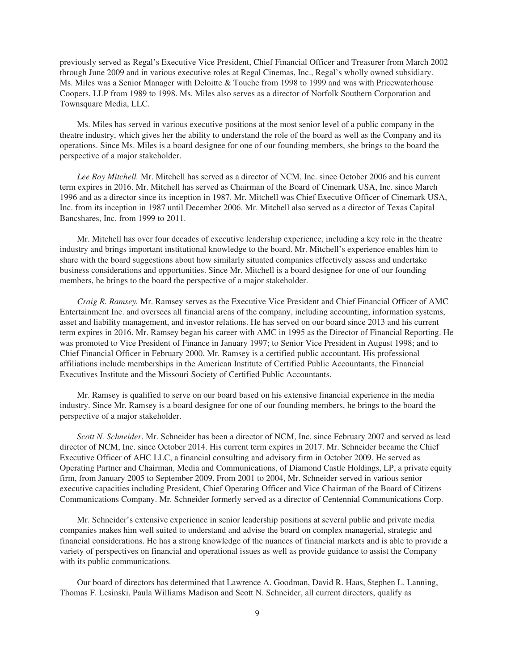previously served as Regal's Executive Vice President, Chief Financial Officer and Treasurer from March 2002 through June 2009 and in various executive roles at Regal Cinemas, Inc., Regal's wholly owned subsidiary. Ms. Miles was a Senior Manager with Deloitte & Touche from 1998 to 1999 and was with Pricewaterhouse Coopers, LLP from 1989 to 1998. Ms. Miles also serves as a director of Norfolk Southern Corporation and Townsquare Media, LLC.

Ms. Miles has served in various executive positions at the most senior level of a public company in the theatre industry, which gives her the ability to understand the role of the board as well as the Company and its operations. Since Ms. Miles is a board designee for one of our founding members, she brings to the board the perspective of a major stakeholder.

*Lee Roy Mitchell.* Mr. Mitchell has served as a director of NCM, Inc. since October 2006 and his current term expires in 2016. Mr. Mitchell has served as Chairman of the Board of Cinemark USA, Inc. since March 1996 and as a director since its inception in 1987. Mr. Mitchell was Chief Executive Officer of Cinemark USA, Inc. from its inception in 1987 until December 2006. Mr. Mitchell also served as a director of Texas Capital Bancshares, Inc. from 1999 to 2011.

Mr. Mitchell has over four decades of executive leadership experience, including a key role in the theatre industry and brings important institutional knowledge to the board. Mr. Mitchell's experience enables him to share with the board suggestions about how similarly situated companies effectively assess and undertake business considerations and opportunities. Since Mr. Mitchell is a board designee for one of our founding members, he brings to the board the perspective of a major stakeholder.

*Craig R. Ramsey.* Mr. Ramsey serves as the Executive Vice President and Chief Financial Officer of AMC Entertainment Inc. and oversees all financial areas of the company, including accounting, information systems, asset and liability management, and investor relations. He has served on our board since 2013 and his current term expires in 2016. Mr. Ramsey began his career with AMC in 1995 as the Director of Financial Reporting. He was promoted to Vice President of Finance in January 1997; to Senior Vice President in August 1998; and to Chief Financial Officer in February 2000. Mr. Ramsey is a certified public accountant. His professional affiliations include memberships in the American Institute of Certified Public Accountants, the Financial Executives Institute and the Missouri Society of Certified Public Accountants.

Mr. Ramsey is qualified to serve on our board based on his extensive financial experience in the media industry. Since Mr. Ramsey is a board designee for one of our founding members, he brings to the board the perspective of a major stakeholder.

*Scott N. Schneider*. Mr. Schneider has been a director of NCM, Inc. since February 2007 and served as lead director of NCM, Inc. since October 2014. His current term expires in 2017. Mr. Schneider became the Chief Executive Officer of AHC LLC, a financial consulting and advisory firm in October 2009. He served as Operating Partner and Chairman, Media and Communications, of Diamond Castle Holdings, LP, a private equity firm, from January 2005 to September 2009. From 2001 to 2004, Mr. Schneider served in various senior executive capacities including President, Chief Operating Officer and Vice Chairman of the Board of Citizens Communications Company. Mr. Schneider formerly served as a director of Centennial Communications Corp.

Mr. Schneider's extensive experience in senior leadership positions at several public and private media companies makes him well suited to understand and advise the board on complex managerial, strategic and financial considerations. He has a strong knowledge of the nuances of financial markets and is able to provide a variety of perspectives on financial and operational issues as well as provide guidance to assist the Company with its public communications.

Our board of directors has determined that Lawrence A. Goodman, David R. Haas, Stephen L. Lanning, Thomas F. Lesinski, Paula Williams Madison and Scott N. Schneider, all current directors, qualify as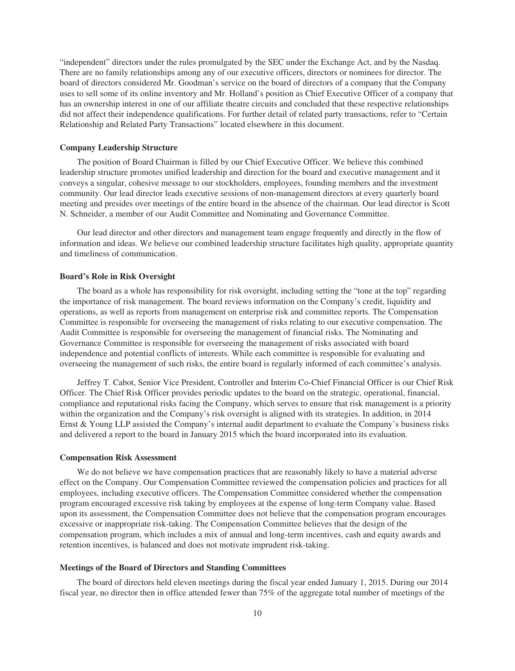"independent" directors under the rules promulgated by the SEC under the Exchange Act, and by the Nasdaq. There are no family relationships among any of our executive officers, directors or nominees for director. The board of directors considered Mr. Goodman's service on the board of directors of a company that the Company uses to sell some of its online inventory and Mr. Holland's position as Chief Executive Officer of a company that has an ownership interest in one of our affiliate theatre circuits and concluded that these respective relationships did not affect their independence qualifications. For further detail of related party transactions, refer to "Certain Relationship and Related Party Transactions" located elsewhere in this document.

# **Company Leadership Structure**

The position of Board Chairman is filled by our Chief Executive Officer. We believe this combined leadership structure promotes unified leadership and direction for the board and executive management and it conveys a singular, cohesive message to our stockholders, employees, founding members and the investment community. Our lead director leads executive sessions of non-management directors at every quarterly board meeting and presides over meetings of the entire board in the absence of the chairman. Our lead director is Scott N. Schneider, a member of our Audit Committee and Nominating and Governance Committee.

Our lead director and other directors and management team engage frequently and directly in the flow of information and ideas. We believe our combined leadership structure facilitates high quality, appropriate quantity and timeliness of communication.

# **Board's Role in Risk Oversight**

The board as a whole has responsibility for risk oversight, including setting the "tone at the top" regarding the importance of risk management. The board reviews information on the Company's credit, liquidity and operations, as well as reports from management on enterprise risk and committee reports. The Compensation Committee is responsible for overseeing the management of risks relating to our executive compensation. The Audit Committee is responsible for overseeing the management of financial risks. The Nominating and Governance Committee is responsible for overseeing the management of risks associated with board independence and potential conflicts of interests. While each committee is responsible for evaluating and overseeing the management of such risks, the entire board is regularly informed of each committee's analysis.

Jeffrey T. Cabot, Senior Vice President, Controller and Interim Co-Chief Financial Officer is our Chief Risk Officer. The Chief Risk Officer provides periodic updates to the board on the strategic, operational, financial, compliance and reputational risks facing the Company, which serves to ensure that risk management is a priority within the organization and the Company's risk oversight is aligned with its strategies. In addition, in 2014 Ernst & Young LLP assisted the Company's internal audit department to evaluate the Company's business risks and delivered a report to the board in January 2015 which the board incorporated into its evaluation.

# **Compensation Risk Assessment**

We do not believe we have compensation practices that are reasonably likely to have a material adverse effect on the Company. Our Compensation Committee reviewed the compensation policies and practices for all employees, including executive officers. The Compensation Committee considered whether the compensation program encouraged excessive risk taking by employees at the expense of long-term Company value. Based upon its assessment, the Compensation Committee does not believe that the compensation program encourages excessive or inappropriate risk-taking. The Compensation Committee believes that the design of the compensation program, which includes a mix of annual and long-term incentives, cash and equity awards and retention incentives, is balanced and does not motivate imprudent risk-taking.

## **Meetings of the Board of Directors and Standing Committees**

The board of directors held eleven meetings during the fiscal year ended January 1, 2015. During our 2014 fiscal year, no director then in office attended fewer than 75% of the aggregate total number of meetings of the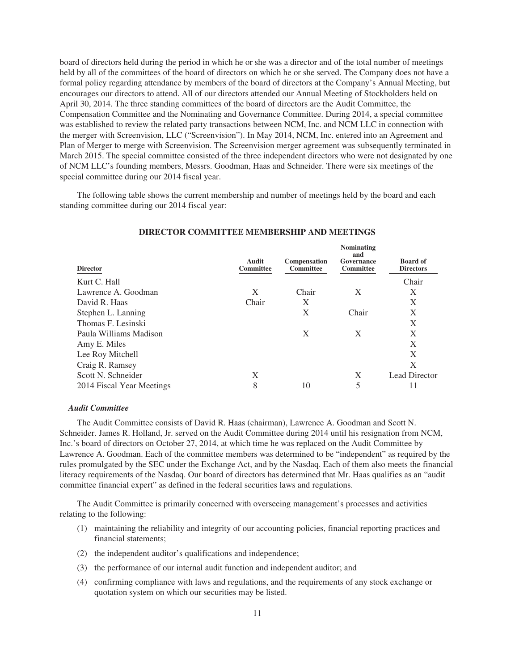board of directors held during the period in which he or she was a director and of the total number of meetings held by all of the committees of the board of directors on which he or she served. The Company does not have a formal policy regarding attendance by members of the board of directors at the Company's Annual Meeting, but encourages our directors to attend. All of our directors attended our Annual Meeting of Stockholders held on April 30, 2014. The three standing committees of the board of directors are the Audit Committee, the Compensation Committee and the Nominating and Governance Committee. During 2014, a special committee was established to review the related party transactions between NCM, Inc. and NCM LLC in connection with the merger with Screenvision, LLC ("Screenvision"). In May 2014, NCM, Inc. entered into an Agreement and Plan of Merger to merge with Screenvision. The Screenvision merger agreement was subsequently terminated in March 2015. The special committee consisted of the three independent directors who were not designated by one of NCM LLC's founding members, Messrs. Goodman, Haas and Schneider. There were six meetings of the special committee during our 2014 fiscal year.

The following table shows the current membership and number of meetings held by the board and each standing committee during our 2014 fiscal year:

| Audit<br><b>Committee</b> | Compensation<br><b>Committee</b> | <b>ГУОПШИАНИЯ</b><br>and<br>Governance<br>Committee | <b>Board of</b><br><b>Directors</b> |
|---------------------------|----------------------------------|-----------------------------------------------------|-------------------------------------|
|                           |                                  |                                                     | Chair                               |
| X                         | Chair                            | X                                                   | Χ                                   |
| Chair                     | X                                |                                                     | X                                   |
|                           | X                                | Chair                                               | X                                   |
|                           |                                  |                                                     | X                                   |
|                           | X                                | X                                                   | X                                   |
|                           |                                  |                                                     | X                                   |
|                           |                                  |                                                     | X                                   |
|                           |                                  |                                                     | X                                   |
| X                         |                                  | X                                                   | Lead Director                       |
| 8                         | 10                               | 5                                                   | 11                                  |
|                           |                                  |                                                     |                                     |

# **DIRECTOR COMMITTEE MEMBERSHIP AND MEETINGS**

**Nominating**

#### *Audit Committee*

The Audit Committee consists of David R. Haas (chairman), Lawrence A. Goodman and Scott N. Schneider. James R. Holland, Jr. served on the Audit Committee during 2014 until his resignation from NCM, Inc.'s board of directors on October 27, 2014, at which time he was replaced on the Audit Committee by Lawrence A. Goodman. Each of the committee members was determined to be "independent" as required by the rules promulgated by the SEC under the Exchange Act, and by the Nasdaq. Each of them also meets the financial literacy requirements of the Nasdaq. Our board of directors has determined that Mr. Haas qualifies as an "audit committee financial expert" as defined in the federal securities laws and regulations.

The Audit Committee is primarily concerned with overseeing management's processes and activities relating to the following:

- (1) maintaining the reliability and integrity of our accounting policies, financial reporting practices and financial statements;
- (2) the independent auditor's qualifications and independence;
- (3) the performance of our internal audit function and independent auditor; and
- (4) confirming compliance with laws and regulations, and the requirements of any stock exchange or quotation system on which our securities may be listed.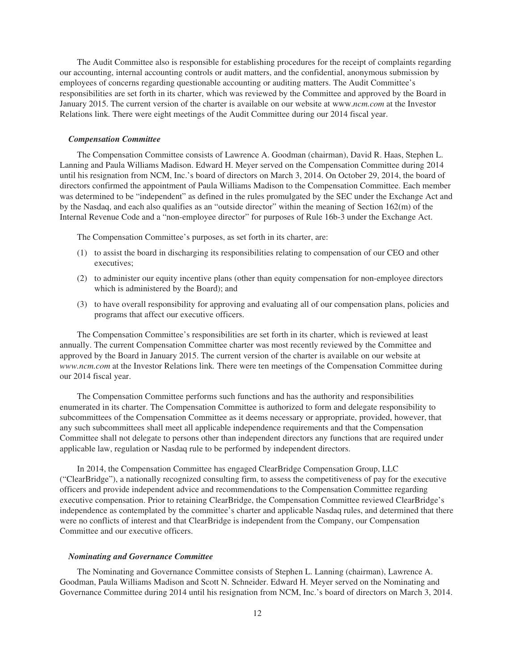The Audit Committee also is responsible for establishing procedures for the receipt of complaints regarding our accounting, internal accounting controls or audit matters, and the confidential, anonymous submission by employees of concerns regarding questionable accounting or auditing matters. The Audit Committee's responsibilities are set forth in its charter, which was reviewed by the Committee and approved by the Board in January 2015. The current version of the charter is available on our website at www.*ncm.com* at the Investor Relations link*.* There were eight meetings of the Audit Committee during our 2014 fiscal year.

#### *Compensation Committee*

The Compensation Committee consists of Lawrence A. Goodman (chairman), David R. Haas, Stephen L. Lanning and Paula Williams Madison. Edward H. Meyer served on the Compensation Committee during 2014 until his resignation from NCM, Inc.'s board of directors on March 3, 2014. On October 29, 2014, the board of directors confirmed the appointment of Paula Williams Madison to the Compensation Committee. Each member was determined to be "independent" as defined in the rules promulgated by the SEC under the Exchange Act and by the Nasdaq, and each also qualifies as an "outside director" within the meaning of Section 162(m) of the Internal Revenue Code and a "non-employee director" for purposes of Rule 16b-3 under the Exchange Act.

The Compensation Committee's purposes, as set forth in its charter, are:

- (1) to assist the board in discharging its responsibilities relating to compensation of our CEO and other executives;
- (2) to administer our equity incentive plans (other than equity compensation for non-employee directors which is administered by the Board); and
- (3) to have overall responsibility for approving and evaluating all of our compensation plans, policies and programs that affect our executive officers.

The Compensation Committee's responsibilities are set forth in its charter, which is reviewed at least annually. The current Compensation Committee charter was most recently reviewed by the Committee and approved by the Board in January 2015. The current version of the charter is available on our website at *www.ncm.com* at the Investor Relations link*.* There were ten meetings of the Compensation Committee during our 2014 fiscal year.

The Compensation Committee performs such functions and has the authority and responsibilities enumerated in its charter. The Compensation Committee is authorized to form and delegate responsibility to subcommittees of the Compensation Committee as it deems necessary or appropriate, provided, however, that any such subcommittees shall meet all applicable independence requirements and that the Compensation Committee shall not delegate to persons other than independent directors any functions that are required under applicable law, regulation or Nasdaq rule to be performed by independent directors.

In 2014, the Compensation Committee has engaged ClearBridge Compensation Group, LLC ("ClearBridge"), a nationally recognized consulting firm, to assess the competitiveness of pay for the executive officers and provide independent advice and recommendations to the Compensation Committee regarding executive compensation. Prior to retaining ClearBridge, the Compensation Committee reviewed ClearBridge's independence as contemplated by the committee's charter and applicable Nasdaq rules, and determined that there were no conflicts of interest and that ClearBridge is independent from the Company, our Compensation Committee and our executive officers.

#### *Nominating and Governance Committee*

The Nominating and Governance Committee consists of Stephen L. Lanning (chairman), Lawrence A. Goodman, Paula Williams Madison and Scott N. Schneider. Edward H. Meyer served on the Nominating and Governance Committee during 2014 until his resignation from NCM, Inc.'s board of directors on March 3, 2014.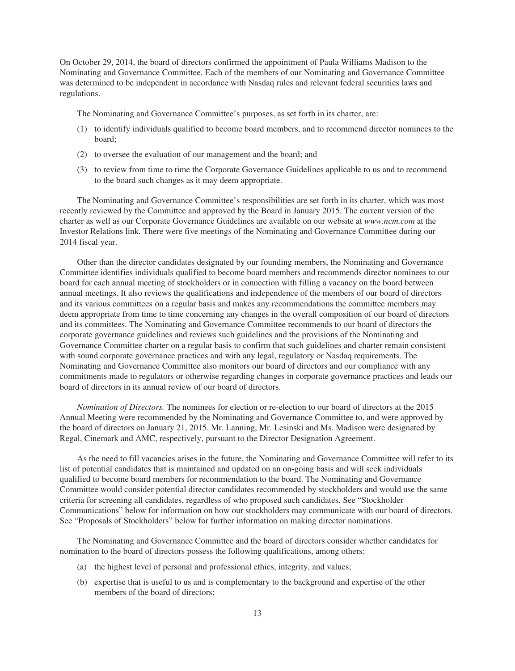On October 29, 2014, the board of directors confirmed the appointment of Paula Williams Madison to the Nominating and Governance Committee. Each of the members of our Nominating and Governance Committee was determined to be independent in accordance with Nasdaq rules and relevant federal securities laws and regulations.

The Nominating and Governance Committee's purposes, as set forth in its charter, are:

- (1) to identify individuals qualified to become board members, and to recommend director nominees to the board;
- (2) to oversee the evaluation of our management and the board; and
- (3) to review from time to time the Corporate Governance Guidelines applicable to us and to recommend to the board such changes as it may deem appropriate.

The Nominating and Governance Committee's responsibilities are set forth in its charter, which was most recently reviewed by the Committee and approved by the Board in January 2015. The current version of the charter as well as our Corporate Governance Guidelines are available on our website at *www.ncm.com* at the Investor Relations link*.* There were five meetings of the Nominating and Governance Committee during our 2014 fiscal year.

Other than the director candidates designated by our founding members, the Nominating and Governance Committee identifies individuals qualified to become board members and recommends director nominees to our board for each annual meeting of stockholders or in connection with filling a vacancy on the board between annual meetings. It also reviews the qualifications and independence of the members of our board of directors and its various committees on a regular basis and makes any recommendations the committee members may deem appropriate from time to time concerning any changes in the overall composition of our board of directors and its committees. The Nominating and Governance Committee recommends to our board of directors the corporate governance guidelines and reviews such guidelines and the provisions of the Nominating and Governance Committee charter on a regular basis to confirm that such guidelines and charter remain consistent with sound corporate governance practices and with any legal, regulatory or Nasdaq requirements. The Nominating and Governance Committee also monitors our board of directors and our compliance with any commitments made to regulators or otherwise regarding changes in corporate governance practices and leads our board of directors in its annual review of our board of directors.

*Nomination of Directors.* The nominees for election or re-election to our board of directors at the 2015 Annual Meeting were recommended by the Nominating and Governance Committee to, and were approved by the board of directors on January 21, 2015. Mr. Lanning, Mr. Lesinski and Ms. Madison were designated by Regal, Cinemark and AMC, respectively, pursuant to the Director Designation Agreement.

As the need to fill vacancies arises in the future, the Nominating and Governance Committee will refer to its list of potential candidates that is maintained and updated on an on-going basis and will seek individuals qualified to become board members for recommendation to the board. The Nominating and Governance Committee would consider potential director candidates recommended by stockholders and would use the same criteria for screening all candidates, regardless of who proposed such candidates. See "Stockholder Communications" below for information on how our stockholders may communicate with our board of directors. See "Proposals of Stockholders" below for further information on making director nominations.

The Nominating and Governance Committee and the board of directors consider whether candidates for nomination to the board of directors possess the following qualifications, among others:

- (a) the highest level of personal and professional ethics, integrity, and values;
- (b) expertise that is useful to us and is complementary to the background and expertise of the other members of the board of directors;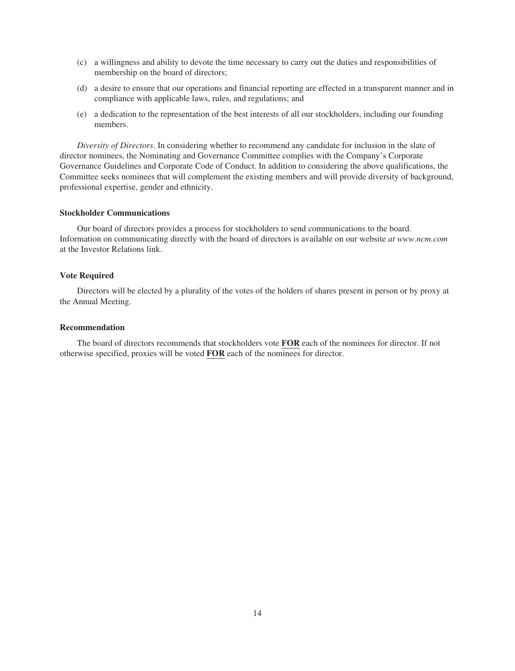- (c) a willingness and ability to devote the time necessary to carry out the duties and responsibilities of membership on the board of directors;
- (d) a desire to ensure that our operations and financial reporting are effected in a transparent manner and in compliance with applicable laws, rules, and regulations; and
- (e) a dedication to the representation of the best interests of all our stockholders, including our founding members.

*Diversity of Directors*. In considering whether to recommend any candidate for inclusion in the slate of director nominees, the Nominating and Governance Committee complies with the Company's Corporate Governance Guidelines and Corporate Code of Conduct. In addition to considering the above qualifications, the Committee seeks nominees that will complement the existing members and will provide diversity of background, professional expertise, gender and ethnicity.

# **Stockholder Communications**

Our board of directors provides a process for stockholders to send communications to the board. Information on communicating directly with the board of directors is available on our website *at www.ncm.com* at the Investor Relations link.

# **Vote Required**

Directors will be elected by a plurality of the votes of the holders of shares present in person or by proxy at the Annual Meeting.

# **Recommendation**

The board of directors recommends that stockholders vote **FOR** each of the nominees for director. If not otherwise specified, proxies will be voted **FOR** each of the nominees for director.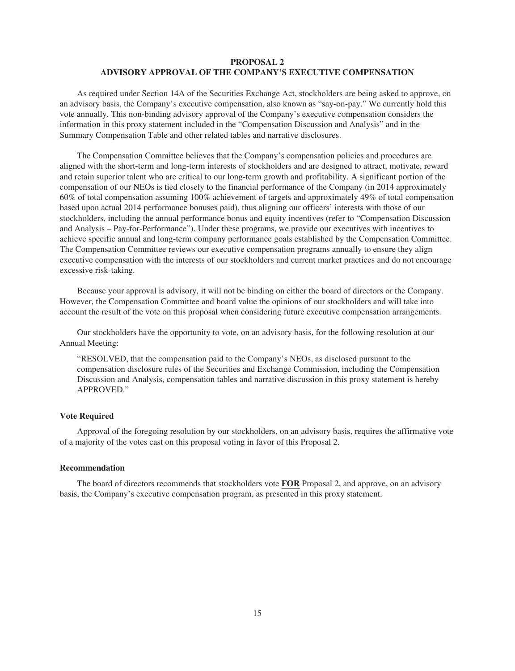# **PROPOSAL 2 ADVISORY APPROVAL OF THE COMPANY'S EXECUTIVE COMPENSATION**

As required under Section 14A of the Securities Exchange Act, stockholders are being asked to approve, on an advisory basis, the Company's executive compensation, also known as "say-on-pay." We currently hold this vote annually. This non-binding advisory approval of the Company's executive compensation considers the information in this proxy statement included in the "Compensation Discussion and Analysis" and in the Summary Compensation Table and other related tables and narrative disclosures.

The Compensation Committee believes that the Company's compensation policies and procedures are aligned with the short-term and long-term interests of stockholders and are designed to attract, motivate, reward and retain superior talent who are critical to our long-term growth and profitability. A significant portion of the compensation of our NEOs is tied closely to the financial performance of the Company (in 2014 approximately 60% of total compensation assuming 100% achievement of targets and approximately 49% of total compensation based upon actual 2014 performance bonuses paid), thus aligning our officers' interests with those of our stockholders, including the annual performance bonus and equity incentives (refer to "Compensation Discussion and Analysis – Pay-for-Performance"). Under these programs, we provide our executives with incentives to achieve specific annual and long-term company performance goals established by the Compensation Committee. The Compensation Committee reviews our executive compensation programs annually to ensure they align executive compensation with the interests of our stockholders and current market practices and do not encourage excessive risk-taking.

Because your approval is advisory, it will not be binding on either the board of directors or the Company. However, the Compensation Committee and board value the opinions of our stockholders and will take into account the result of the vote on this proposal when considering future executive compensation arrangements.

Our stockholders have the opportunity to vote, on an advisory basis, for the following resolution at our Annual Meeting:

"RESOLVED, that the compensation paid to the Company's NEOs, as disclosed pursuant to the compensation disclosure rules of the Securities and Exchange Commission, including the Compensation Discussion and Analysis, compensation tables and narrative discussion in this proxy statement is hereby APPROVED."

# **Vote Required**

Approval of the foregoing resolution by our stockholders, on an advisory basis, requires the affirmative vote of a majority of the votes cast on this proposal voting in favor of this Proposal 2.

# **Recommendation**

The board of directors recommends that stockholders vote **FOR** Proposal 2, and approve, on an advisory basis, the Company's executive compensation program, as presented in this proxy statement.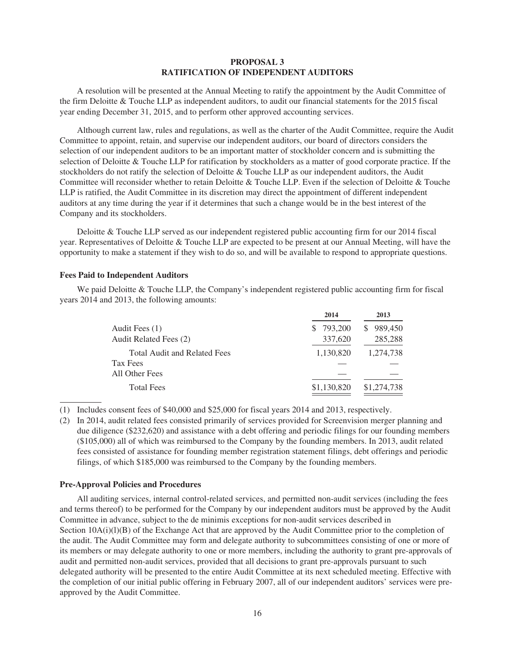# **PROPOSAL 3 RATIFICATION OF INDEPENDENT AUDITORS**

A resolution will be presented at the Annual Meeting to ratify the appointment by the Audit Committee of the firm Deloitte & Touche LLP as independent auditors, to audit our financial statements for the 2015 fiscal year ending December 31, 2015, and to perform other approved accounting services.

Although current law, rules and regulations, as well as the charter of the Audit Committee, require the Audit Committee to appoint, retain, and supervise our independent auditors, our board of directors considers the selection of our independent auditors to be an important matter of stockholder concern and is submitting the selection of Deloitte & Touche LLP for ratification by stockholders as a matter of good corporate practice. If the stockholders do not ratify the selection of Deloitte & Touche LLP as our independent auditors, the Audit Committee will reconsider whether to retain Deloitte & Touche LLP. Even if the selection of Deloitte & Touche LLP is ratified, the Audit Committee in its discretion may direct the appointment of different independent auditors at any time during the year if it determines that such a change would be in the best interest of the Company and its stockholders.

Deloitte & Touche LLP served as our independent registered public accounting firm for our 2014 fiscal year. Representatives of Deloitte & Touche LLP are expected to be present at our Annual Meeting, will have the opportunity to make a statement if they wish to do so, and will be available to respond to appropriate questions.

# **Fees Paid to Independent Auditors**

We paid Deloitte & Touche LLP, the Company's independent registered public accounting firm for fiscal years 2014 and 2013, the following amounts:

|                                     | 2014          | 2013        |
|-------------------------------------|---------------|-------------|
| Audit Fees (1)                      | 793.200<br>S. | \$989,450   |
| Audit Related Fees (2)              | 337,620       | 285,288     |
| <b>Total Audit and Related Fees</b> | 1,130,820     | 1,274,738   |
| <b>Tax Fees</b>                     |               |             |
| All Other Fees                      |               |             |
| <b>Total Fees</b>                   | \$1,130,820   | \$1,274,738 |

(1) Includes consent fees of \$40,000 and \$25,000 for fiscal years 2014 and 2013, respectively.

(2) In 2014, audit related fees consisted primarily of services provided for Screenvision merger planning and due diligence (\$232,620) and assistance with a debt offering and periodic filings for our founding members (\$105,000) all of which was reimbursed to the Company by the founding members. In 2013, audit related fees consisted of assistance for founding member registration statement filings, debt offerings and periodic filings, of which \$185,000 was reimbursed to the Company by the founding members.

## **Pre-Approval Policies and Procedures**

All auditing services, internal control-related services, and permitted non-audit services (including the fees and terms thereof) to be performed for the Company by our independent auditors must be approved by the Audit Committee in advance, subject to the de minimis exceptions for non-audit services described in Section  $10A(i)(l)(B)$  of the Exchange Act that are approved by the Audit Committee prior to the completion of the audit. The Audit Committee may form and delegate authority to subcommittees consisting of one or more of its members or may delegate authority to one or more members, including the authority to grant pre-approvals of audit and permitted non-audit services, provided that all decisions to grant pre-approvals pursuant to such delegated authority will be presented to the entire Audit Committee at its next scheduled meeting. Effective with the completion of our initial public offering in February 2007, all of our independent auditors' services were preapproved by the Audit Committee.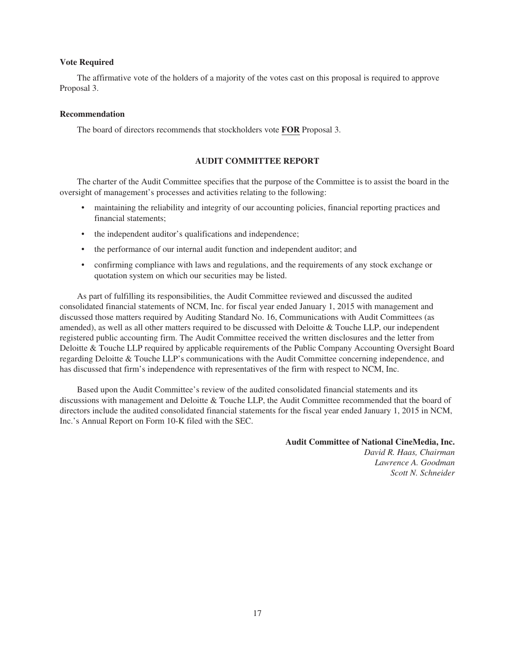# **Vote Required**

The affirmative vote of the holders of a majority of the votes cast on this proposal is required to approve Proposal 3.

#### **Recommendation**

The board of directors recommends that stockholders vote **FOR** Proposal 3.

# **AUDIT COMMITTEE REPORT**

The charter of the Audit Committee specifies that the purpose of the Committee is to assist the board in the oversight of management's processes and activities relating to the following:

- maintaining the reliability and integrity of our accounting policies, financial reporting practices and financial statements;
- the independent auditor's qualifications and independence;
- the performance of our internal audit function and independent auditor; and
- confirming compliance with laws and regulations, and the requirements of any stock exchange or quotation system on which our securities may be listed.

As part of fulfilling its responsibilities, the Audit Committee reviewed and discussed the audited consolidated financial statements of NCM, Inc. for fiscal year ended January 1, 2015 with management and discussed those matters required by Auditing Standard No. 16, Communications with Audit Committees (as amended), as well as all other matters required to be discussed with Deloitte & Touche LLP, our independent registered public accounting firm. The Audit Committee received the written disclosures and the letter from Deloitte & Touche LLP required by applicable requirements of the Public Company Accounting Oversight Board regarding Deloitte & Touche LLP's communications with the Audit Committee concerning independence, and has discussed that firm's independence with representatives of the firm with respect to NCM, Inc.

Based upon the Audit Committee's review of the audited consolidated financial statements and its discussions with management and Deloitte & Touche LLP, the Audit Committee recommended that the board of directors include the audited consolidated financial statements for the fiscal year ended January 1, 2015 in NCM, Inc.'s Annual Report on Form 10-K filed with the SEC.

**Audit Committee of National CineMedia, Inc.**

*David R. Haas, Chairman Lawrence A. Goodman Scott N. Schneider*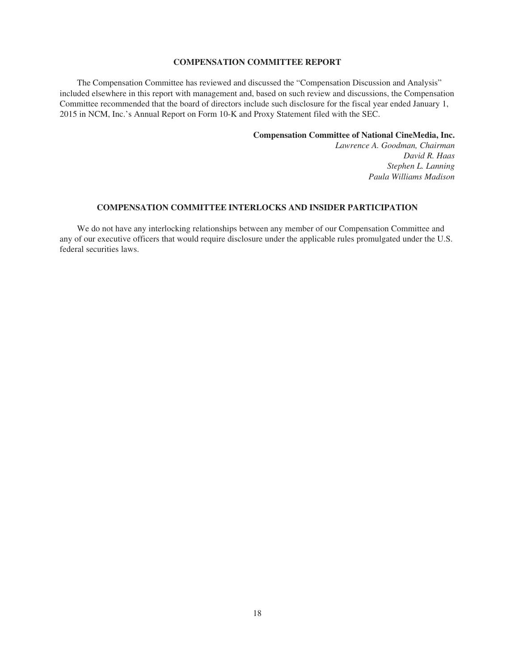# **COMPENSATION COMMITTEE REPORT**

The Compensation Committee has reviewed and discussed the "Compensation Discussion and Analysis" included elsewhere in this report with management and, based on such review and discussions, the Compensation Committee recommended that the board of directors include such disclosure for the fiscal year ended January 1, 2015 in NCM, Inc.'s Annual Report on Form 10-K and Proxy Statement filed with the SEC.

**Compensation Committee of National CineMedia, Inc.**

*Lawrence A. Goodman, Chairman David R. Haas Stephen L. Lanning Paula Williams Madison*

# **COMPENSATION COMMITTEE INTERLOCKS AND INSIDER PARTICIPATION**

We do not have any interlocking relationships between any member of our Compensation Committee and any of our executive officers that would require disclosure under the applicable rules promulgated under the U.S. federal securities laws.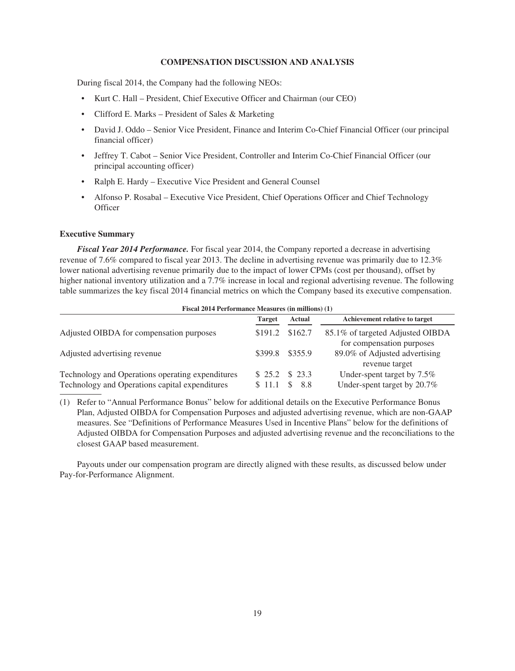# **COMPENSATION DISCUSSION AND ANALYSIS**

During fiscal 2014, the Company had the following NEOs:

- Kurt C. Hall President, Chief Executive Officer and Chairman (our CEO)
- Clifford E. Marks President of Sales & Marketing
- David J. Oddo Senior Vice President, Finance and Interim Co-Chief Financial Officer (our principal financial officer)
- Jeffrey T. Cabot Senior Vice President, Controller and Interim Co-Chief Financial Officer (our principal accounting officer)
- Ralph E. Hardy Executive Vice President and General Counsel
- Alfonso P. Rosabal Executive Vice President, Chief Operations Officer and Chief Technology **Officer**

#### **Executive Summary**

*Fiscal Year 2014 Performance.* For fiscal year 2014, the Company reported a decrease in advertising revenue of 7.6% compared to fiscal year 2013. The decline in advertising revenue was primarily due to 12.3% lower national advertising revenue primarily due to the impact of lower CPMs (cost per thousand), offset by higher national inventory utilization and a 7.7% increase in local and regional advertising revenue. The following table summarizes the key fiscal 2014 financial metrics on which the Company based its executive compensation.

| Fiscal 2014 Performance Measures (in millions) (1)                                                 |                          |         |                                                               |  |
|----------------------------------------------------------------------------------------------------|--------------------------|---------|---------------------------------------------------------------|--|
|                                                                                                    | <b>Target</b>            | Actual  | Achievement relative to target                                |  |
| Adjusted OIBDA for compensation purposes                                                           | \$191.2                  | \$162.7 | 85.1% of targeted Adjusted OIBDA<br>for compensation purposes |  |
| Adjusted advertising revenue                                                                       | \$399.8 \$355.9          |         | 89.0% of Adjusted advertising<br>revenue target               |  |
| Technology and Operations operating expenditures<br>Technology and Operations capital expenditures | $$25.2$ \$23.3<br>\$11.1 | \$8.8   | Under-spent target by 7.5%<br>Under-spent target by 20.7%     |  |

(1) Refer to "Annual Performance Bonus" below for additional details on the Executive Performance Bonus Plan, Adjusted OIBDA for Compensation Purposes and adjusted advertising revenue, which are non-GAAP measures. See "Definitions of Performance Measures Used in Incentive Plans" below for the definitions of Adjusted OIBDA for Compensation Purposes and adjusted advertising revenue and the reconciliations to the closest GAAP based measurement.

Payouts under our compensation program are directly aligned with these results, as discussed below under Pay-for-Performance Alignment.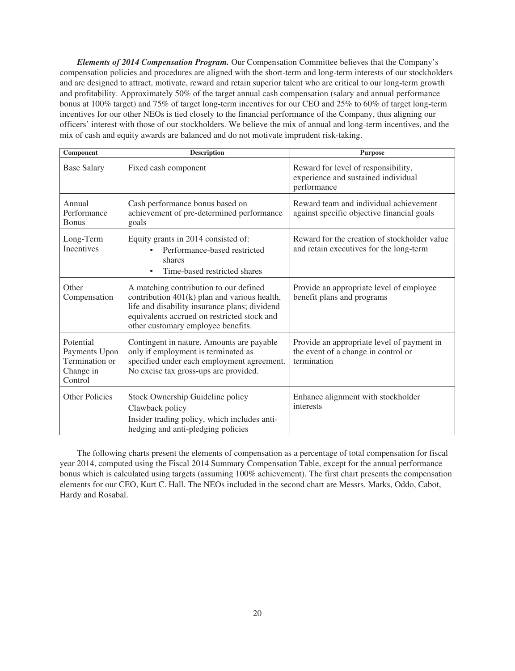*Elements of 2014 Compensation Program.* Our Compensation Committee believes that the Company's compensation policies and procedures are aligned with the short-term and long-term interests of our stockholders and are designed to attract, motivate, reward and retain superior talent who are critical to our long-term growth and profitability. Approximately 50% of the target annual cash compensation (salary and annual performance bonus at 100% target) and 75% of target long-term incentives for our CEO and 25% to 60% of target long-term incentives for our other NEOs is tied closely to the financial performance of the Company, thus aligning our officers' interest with those of our stockholders. We believe the mix of annual and long-term incentives, and the mix of cash and equity awards are balanced and do not motivate imprudent risk-taking.

| Component                                                            | <b>Description</b>                                                                                                                                                                                                           | <b>Purpose</b>                                                                                   |
|----------------------------------------------------------------------|------------------------------------------------------------------------------------------------------------------------------------------------------------------------------------------------------------------------------|--------------------------------------------------------------------------------------------------|
| <b>Base Salary</b>                                                   | Fixed cash component                                                                                                                                                                                                         | Reward for level of responsibility,<br>experience and sustained individual<br>performance        |
| Annual<br>Performance<br><b>Bonus</b>                                | Cash performance bonus based on<br>achievement of pre-determined performance<br>goals                                                                                                                                        | Reward team and individual achievement<br>against specific objective financial goals             |
| Long-Term<br><b>Incentives</b>                                       | Equity grants in 2014 consisted of:<br>Performance-based restricted<br>shares<br>Time-based restricted shares<br>$\bullet$                                                                                                   | Reward for the creation of stockholder value<br>and retain executives for the long-term          |
| Other<br>Compensation                                                | A matching contribution to our defined<br>contribution 401(k) plan and various health,<br>life and disability insurance plans; dividend<br>equivalents accrued on restricted stock and<br>other customary employee benefits. | Provide an appropriate level of employee<br>benefit plans and programs                           |
| Potential<br>Payments Upon<br>Termination or<br>Change in<br>Control | Contingent in nature. Amounts are payable<br>only if employment is terminated as<br>specified under each employment agreement.<br>No excise tax gross-ups are provided.                                                      | Provide an appropriate level of payment in<br>the event of a change in control or<br>termination |
| Other Policies                                                       | Stock Ownership Guideline policy<br>Clawback policy<br>Insider trading policy, which includes anti-<br>hedging and anti-pledging policies                                                                                    | Enhance alignment with stockholder<br>interests                                                  |

The following charts present the elements of compensation as a percentage of total compensation for fiscal year 2014, computed using the Fiscal 2014 Summary Compensation Table, except for the annual performance bonus which is calculated using targets (assuming 100% achievement). The first chart presents the compensation elements for our CEO, Kurt C. Hall. The NEOs included in the second chart are Messrs. Marks, Oddo, Cabot, Hardy and Rosabal.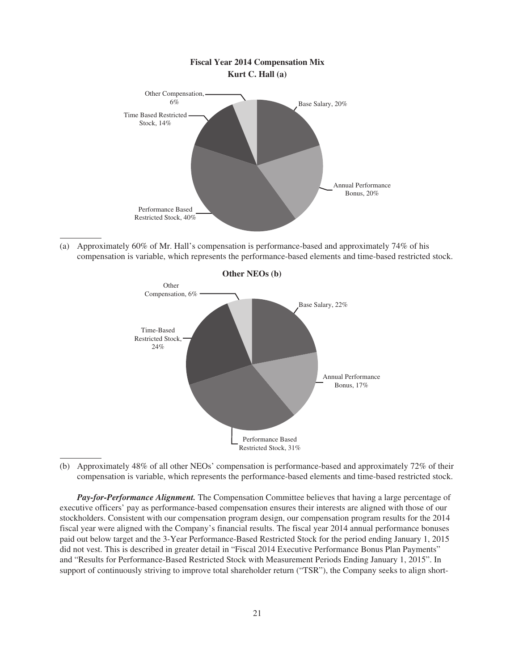

(a) Approximately 60% of Mr. Hall's compensation is performance-based and approximately 74% of his compensation is variable, which represents the performance-based elements and time-based restricted stock.



(b) Approximately 48% of all other NEOs' compensation is performance-based and approximately 72% of their compensation is variable, which represents the performance-based elements and time-based restricted stock.

*Pay-for-Performance Alignment.* The Compensation Committee believes that having a large percentage of executive officers' pay as performance-based compensation ensures their interests are aligned with those of our stockholders. Consistent with our compensation program design, our compensation program results for the 2014 fiscal year were aligned with the Company's financial results. The fiscal year 2014 annual performance bonuses paid out below target and the 3-Year Performance-Based Restricted Stock for the period ending January 1, 2015 did not vest. This is described in greater detail in "Fiscal 2014 Executive Performance Bonus Plan Payments" and "Results for Performance-Based Restricted Stock with Measurement Periods Ending January 1, 2015". In support of continuously striving to improve total shareholder return ("TSR"), the Company seeks to align short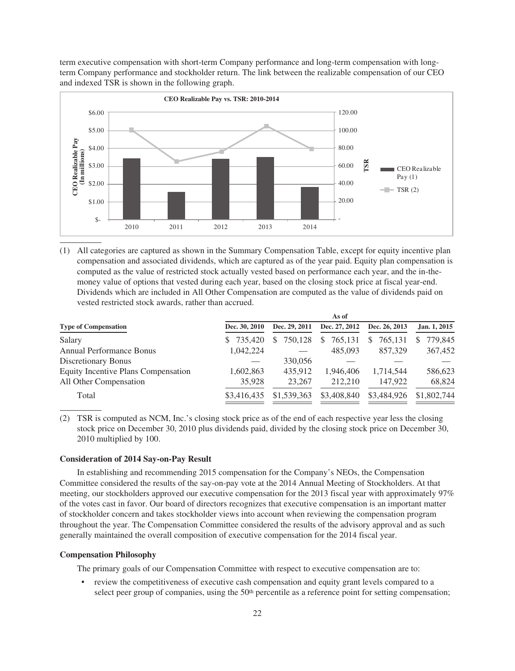term executive compensation with short-term Company performance and long-term compensation with longterm Company performance and stockholder return. The link between the realizable compensation of our CEO and indexed TSR is shown in the following graph.



(1) All categories are captured as shown in the Summary Compensation Table, except for equity incentive plan compensation and associated dividends, which are captured as of the year paid. Equity plan compensation is computed as the value of restricted stock actually vested based on performance each year, and the in-themoney value of options that vested during each year, based on the closing stock price at fiscal year-end. Dividends which are included in All Other Compensation are computed as the value of dividends paid on vested restricted stock awards, rather than accrued.

|                                     |               |               | As of                    |               |              |
|-------------------------------------|---------------|---------------|--------------------------|---------------|--------------|
| <b>Type of Compensation</b>         | Dec. 30, 2010 | Dec. 29, 2011 | Dec. 27, 2012            | Dec. 26, 2013 | Jan. 1, 2015 |
| Salary                              | \$ 735,420    | 750,128       | 765,131<br><sup>\$</sup> | 765.131       | 779,845      |
| <b>Annual Performance Bonus</b>     | 1,042,224     |               | 485,093                  | 857.329       | 367,452      |
| Discretionary Bonus                 |               | 330,056       |                          |               |              |
| Equity Incentive Plans Compensation | 1,602,863     | 435.912       | 1.946.406                | 1,714,544     | 586,623      |
| All Other Compensation              | 35,928        | 23,267        | 212,210                  | 147.922       | 68,824       |
| Total                               | \$3,416,435   | \$1,539,363   | \$3,408,840              | \$3,484,926   | \$1,802,744  |

(2) TSR is computed as NCM, Inc.'s closing stock price as of the end of each respective year less the closing stock price on December 30, 2010 plus dividends paid, divided by the closing stock price on December 30, 2010 multiplied by 100.

# **Consideration of 2014 Say-on-Pay Result**

In establishing and recommending 2015 compensation for the Company's NEOs, the Compensation Committee considered the results of the say-on-pay vote at the 2014 Annual Meeting of Stockholders. At that meeting, our stockholders approved our executive compensation for the 2013 fiscal year with approximately 97% of the votes cast in favor. Our board of directors recognizes that executive compensation is an important matter of stockholder concern and takes stockholder views into account when reviewing the compensation program throughout the year. The Compensation Committee considered the results of the advisory approval and as such generally maintained the overall composition of executive compensation for the 2014 fiscal year.

# **Compensation Philosophy**

The primary goals of our Compensation Committee with respect to executive compensation are to:

review the competitiveness of executive cash compensation and equity grant levels compared to a select peer group of companies, using the  $50<sup>th</sup>$  percentile as a reference point for setting compensation;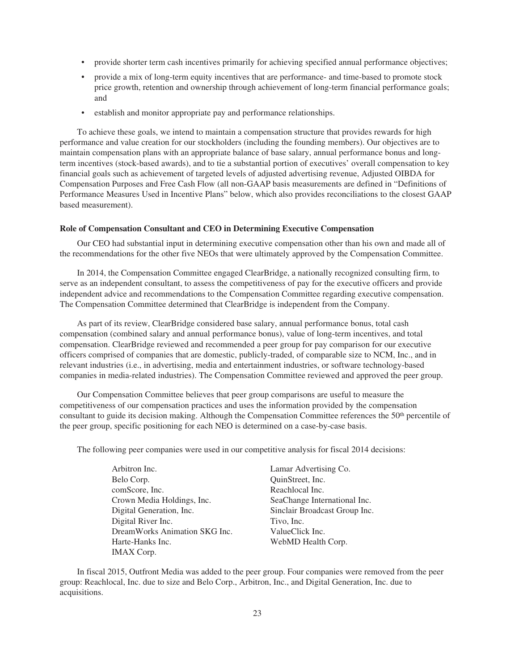- provide shorter term cash incentives primarily for achieving specified annual performance objectives;
- provide a mix of long-term equity incentives that are performance- and time-based to promote stock price growth, retention and ownership through achievement of long-term financial performance goals; and
- establish and monitor appropriate pay and performance relationships.

To achieve these goals, we intend to maintain a compensation structure that provides rewards for high performance and value creation for our stockholders (including the founding members). Our objectives are to maintain compensation plans with an appropriate balance of base salary, annual performance bonus and longterm incentives (stock-based awards), and to tie a substantial portion of executives' overall compensation to key financial goals such as achievement of targeted levels of adjusted advertising revenue, Adjusted OIBDA for Compensation Purposes and Free Cash Flow (all non-GAAP basis measurements are defined in "Definitions of Performance Measures Used in Incentive Plans" below, which also provides reconciliations to the closest GAAP based measurement).

### **Role of Compensation Consultant and CEO in Determining Executive Compensation**

Our CEO had substantial input in determining executive compensation other than his own and made all of the recommendations for the other five NEOs that were ultimately approved by the Compensation Committee.

In 2014, the Compensation Committee engaged ClearBridge, a nationally recognized consulting firm, to serve as an independent consultant, to assess the competitiveness of pay for the executive officers and provide independent advice and recommendations to the Compensation Committee regarding executive compensation. The Compensation Committee determined that ClearBridge is independent from the Company.

As part of its review, ClearBridge considered base salary, annual performance bonus, total cash compensation (combined salary and annual performance bonus), value of long-term incentives, and total compensation. ClearBridge reviewed and recommended a peer group for pay comparison for our executive officers comprised of companies that are domestic, publicly-traded, of comparable size to NCM, Inc., and in relevant industries (i.e., in advertising, media and entertainment industries, or software technology-based companies in media-related industries). The Compensation Committee reviewed and approved the peer group.

Our Compensation Committee believes that peer group comparisons are useful to measure the competitiveness of our compensation practices and uses the information provided by the compensation consultant to guide its decision making. Although the Compensation Committee references the 50<sup>th</sup> percentile of the peer group, specific positioning for each NEO is determined on a case-by-case basis.

The following peer companies were used in our competitive analysis for fiscal 2014 decisions:

- Arbitron Inc. Lamar Advertising Co. Belo Corp. QuinStreet, Inc. comScore, Inc. Reachlocal Inc. Crown Media Holdings, Inc. SeaChange International Inc. Digital Generation, Inc. Sinclair Broadcast Group Inc. Digital River Inc. Tivo, Inc. DreamWorks Animation SKG Inc. ValueClick Inc. Harte-Hanks Inc. WebMD Health Corp. IMAX Corp.
	-

In fiscal 2015, Outfront Media was added to the peer group. Four companies were removed from the peer group: Reachlocal, Inc. due to size and Belo Corp., Arbitron, Inc., and Digital Generation, Inc. due to acquisitions.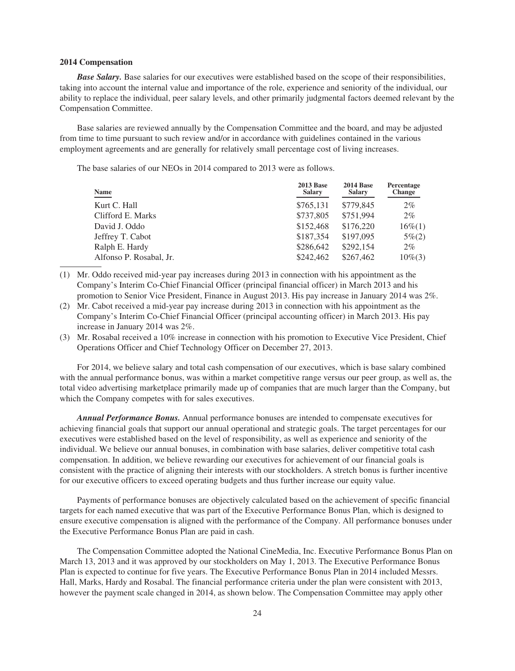# **2014 Compensation**

*Base Salary.* Base salaries for our executives were established based on the scope of their responsibilities, taking into account the internal value and importance of the role, experience and seniority of the individual, our ability to replace the individual, peer salary levels, and other primarily judgmental factors deemed relevant by the Compensation Committee.

Base salaries are reviewed annually by the Compensation Committee and the board, and may be adjusted from time to time pursuant to such review and/or in accordance with guidelines contained in the various employment agreements and are generally for relatively small percentage cost of living increases.

The base salaries of our NEOs in 2014 compared to 2013 were as follows.

| Name                    | <b>2013 Base</b><br><b>Salary</b> | <b>2014 Base</b><br><b>Salary</b> | Percentage<br><b>Change</b> |
|-------------------------|-----------------------------------|-----------------------------------|-----------------------------|
| Kurt C. Hall            | \$765,131                         | \$779,845                         | $2\%$                       |
| Clifford E. Marks       | \$737,805                         | \$751,994                         | $2\%$                       |
| David J. Oddo           | \$152,468                         | \$176,220                         | $16\%$ (1)                  |
| Jeffrey T. Cabot        | \$187,354                         | \$197,095                         | $5\% (2)$                   |
| Ralph E. Hardy          | \$286,642                         | \$292,154                         | $2\%$                       |
| Alfonso P. Rosabal, Jr. | \$242,462                         | \$267,462                         | $10\%$ (3)                  |

(1) Mr. Oddo received mid-year pay increases during 2013 in connection with his appointment as the Company's Interim Co-Chief Financial Officer (principal financial officer) in March 2013 and his promotion to Senior Vice President, Finance in August 2013. His pay increase in January 2014 was 2%.

- (2) Mr. Cabot received a mid-year pay increase during 2013 in connection with his appointment as the Company's Interim Co-Chief Financial Officer (principal accounting officer) in March 2013. His pay increase in January 2014 was 2%.
- (3) Mr. Rosabal received a 10% increase in connection with his promotion to Executive Vice President, Chief Operations Officer and Chief Technology Officer on December 27, 2013.

For 2014, we believe salary and total cash compensation of our executives, which is base salary combined with the annual performance bonus, was within a market competitive range versus our peer group, as well as, the total video advertising marketplace primarily made up of companies that are much larger than the Company, but which the Company competes with for sales executives.

*Annual Performance Bonus.* Annual performance bonuses are intended to compensate executives for achieving financial goals that support our annual operational and strategic goals. The target percentages for our executives were established based on the level of responsibility, as well as experience and seniority of the individual. We believe our annual bonuses, in combination with base salaries, deliver competitive total cash compensation. In addition, we believe rewarding our executives for achievement of our financial goals is consistent with the practice of aligning their interests with our stockholders. A stretch bonus is further incentive for our executive officers to exceed operating budgets and thus further increase our equity value.

Payments of performance bonuses are objectively calculated based on the achievement of specific financial targets for each named executive that was part of the Executive Performance Bonus Plan, which is designed to ensure executive compensation is aligned with the performance of the Company. All performance bonuses under the Executive Performance Bonus Plan are paid in cash.

The Compensation Committee adopted the National CineMedia, Inc. Executive Performance Bonus Plan on March 13, 2013 and it was approved by our stockholders on May 1, 2013. The Executive Performance Bonus Plan is expected to continue for five years. The Executive Performance Bonus Plan in 2014 included Messrs. Hall, Marks, Hardy and Rosabal. The financial performance criteria under the plan were consistent with 2013, however the payment scale changed in 2014, as shown below. The Compensation Committee may apply other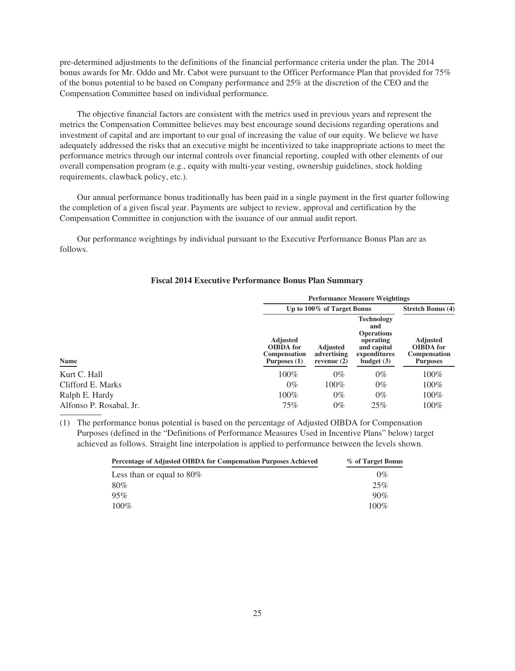pre-determined adjustments to the definitions of the financial performance criteria under the plan. The 2014 bonus awards for Mr. Oddo and Mr. Cabot were pursuant to the Officer Performance Plan that provided for 75% of the bonus potential to be based on Company performance and 25% at the discretion of the CEO and the Compensation Committee based on individual performance.

The objective financial factors are consistent with the metrics used in previous years and represent the metrics the Compensation Committee believes may best encourage sound decisions regarding operations and investment of capital and are important to our goal of increasing the value of our equity. We believe we have adequately addressed the risks that an executive might be incentivized to take inappropriate actions to meet the performance metrics through our internal controls over financial reporting, coupled with other elements of our overall compensation program (e.g., equity with multi-year vesting, ownership guidelines, stock holding requirements, clawback policy, etc.).

Our annual performance bonus traditionally has been paid in a single payment in the first quarter following the completion of a given fiscal year. Payments are subject to review, approval and certification by the Compensation Committee in conjunction with the issuance of our annual audit report.

Our performance weightings by individual pursuant to the Executive Performance Bonus Plan are as follows.

|                         | <b>Performance Measure Weightings</b>                                      |                                                 |                                                                                                           |                                                                               |  |  |  |
|-------------------------|----------------------------------------------------------------------------|-------------------------------------------------|-----------------------------------------------------------------------------------------------------------|-------------------------------------------------------------------------------|--|--|--|
|                         |                                                                            | Up to 100% of Target Bonus                      |                                                                                                           |                                                                               |  |  |  |
| Name                    | <b>Adjusted</b><br><b>OIBDA</b> for<br><b>Compensation</b><br>Purposes (1) | <b>Adjusted</b><br>advertising<br>revenue $(2)$ | <b>Technology</b><br>and<br><b>Operations</b><br>operating<br>and capital<br>expenditures<br>budget $(3)$ | <b>Adjusted</b><br><b>OIBDA</b> for<br><b>Compensation</b><br><b>Purposes</b> |  |  |  |
| Kurt C. Hall            | 100%                                                                       | $0\%$                                           | $0\%$                                                                                                     | 100%                                                                          |  |  |  |
| Clifford E. Marks       | $0\%$                                                                      | 100%                                            | $0\%$                                                                                                     | 100%                                                                          |  |  |  |
| Ralph E. Hardy          | 100%                                                                       | $0\%$                                           | $0\%$                                                                                                     | 100%                                                                          |  |  |  |
| Alfonso P. Rosabal, Jr. | 75%                                                                        | $0\%$                                           | 25%                                                                                                       | 100%                                                                          |  |  |  |

# **Fiscal 2014 Executive Performance Bonus Plan Summary**

(1) The performance bonus potential is based on the percentage of Adjusted OIBDA for Compensation Purposes (defined in the "Definitions of Performance Measures Used in Incentive Plans" below) target achieved as follows. Straight line interpolation is applied to performance between the levels shown.

| <b>Percentage of Adjusted OIBDA for Compensation Purposes Achieved</b> | % of Target Bonus |
|------------------------------------------------------------------------|-------------------|
| Less than or equal to $80\%$                                           | $0\%$             |
| 80%                                                                    | 25%               |
| 95%                                                                    | 90%               |
| $100\%$                                                                | $100\%$           |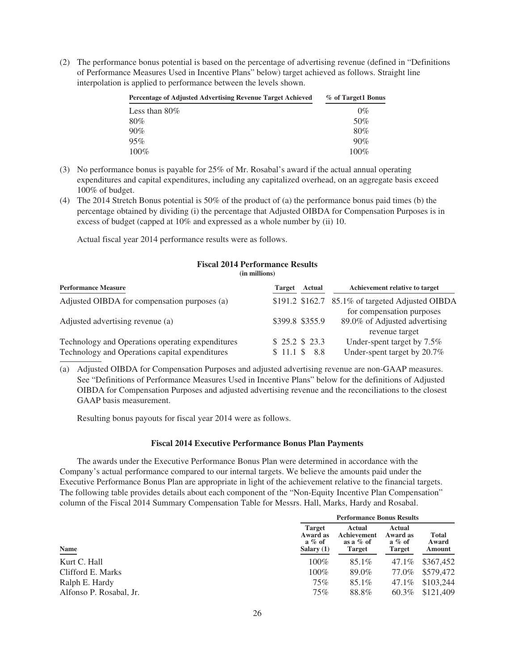(2) The performance bonus potential is based on the percentage of advertising revenue (defined in "Definitions of Performance Measures Used in Incentive Plans" below) target achieved as follows. Straight line interpolation is applied to performance between the levels shown.

| <b>Percentage of Adjusted Advertising Revenue Target Achieved</b> | % of Target1 Bonus |
|-------------------------------------------------------------------|--------------------|
| Less than $80\%$                                                  | $0\%$              |
| 80%                                                               | 50%                |
| 90%                                                               | 80%                |
| 95%                                                               | 90%                |
| $100\%$                                                           | $100\%$            |

- (3) No performance bonus is payable for 25% of Mr. Rosabal's award if the actual annual operating expenditures and capital expenditures, including any capitalized overhead, on an aggregate basis exceed 100% of budget.
- (4) The 2014 Stretch Bonus potential is 50% of the product of (a) the performance bonus paid times (b) the percentage obtained by dividing (i) the percentage that Adjusted OIBDA for Compensation Purposes is in excess of budget (capped at 10% and expressed as a whole number by (ii) 10.

Actual fiscal year 2014 performance results were as follows.

#### **Fiscal 2014 Performance Results (in millions)**

| <b>Performance Measure</b>                       | <b>Target</b> | Actual          | Achievement relative to target                             |
|--------------------------------------------------|---------------|-----------------|------------------------------------------------------------|
| Adjusted OIBDA for compensation purposes (a)     |               |                 | \$191.2 \$162.7 85.1% of targeted Adjusted OIBDA           |
| Adjusted advertising revenue (a)                 |               | \$399.8 \$355.9 | for compensation purposes<br>89.0% of Adjusted advertising |
|                                                  |               |                 | revenue target                                             |
| Technology and Operations operating expenditures |               | \$25.2\$32.3    | Under-spent target by 7.5%                                 |
| Technology and Operations capital expenditures   |               | \$11.1 \$ 8.8   | Under-spent target by 20.7%                                |

(a) Adjusted OIBDA for Compensation Purposes and adjusted advertising revenue are non-GAAP measures. See "Definitions of Performance Measures Used in Incentive Plans" below for the definitions of Adjusted OIBDA for Compensation Purposes and adjusted advertising revenue and the reconciliations to the closest GAAP basis measurement.

Resulting bonus payouts for fiscal year 2014 were as follows.

# **Fiscal 2014 Executive Performance Bonus Plan Payments**

The awards under the Executive Performance Bonus Plan were determined in accordance with the Company's actual performance compared to our internal targets. We believe the amounts paid under the Executive Performance Bonus Plan are appropriate in light of the achievement relative to the financial targets. The following table provides details about each component of the "Non-Equity Incentive Plan Compensation" column of the Fiscal 2014 Summary Compensation Table for Messrs. Hall, Marks, Hardy and Rosabal.

|                         | <b>Performance Bonus Results</b>                                                                                |          |                                           |                                 |
|-------------------------|-----------------------------------------------------------------------------------------------------------------|----------|-------------------------------------------|---------------------------------|
| Name                    | <b>Target</b><br>Actual<br>Achievement<br>Award as<br>$a \%$ of<br>as a $%$ of<br>Salary $(1)$<br><b>Target</b> |          | Actual<br>Award as<br>$a \%$ of<br>Target | <b>Total</b><br>Award<br>Amount |
| Kurt C. Hall            | $100\%$                                                                                                         | 85.1%    | 47.1%                                     | \$367,452                       |
| Clifford E. Marks       | $100\%$                                                                                                         | 89.0%    | 77.0%                                     | \$579,472                       |
| Ralph E. Hardy          | 75%                                                                                                             | $85.1\%$ | 47.1%                                     | \$103,244                       |
| Alfonso P. Rosabal, Jr. | 75%                                                                                                             | 88.8%    | 60.3%                                     | \$121,409                       |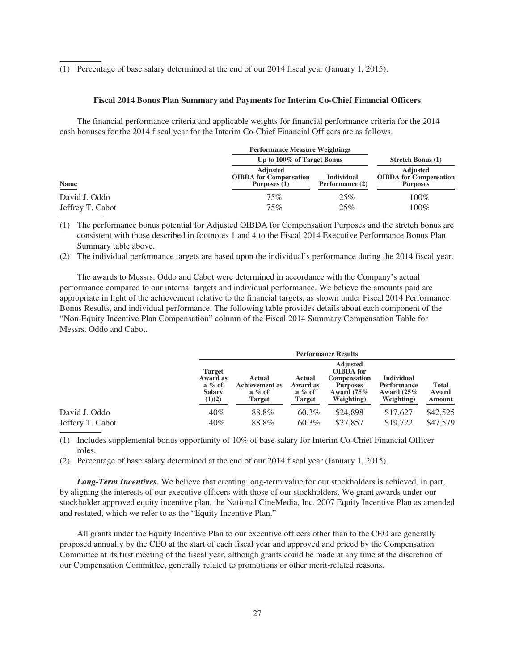(1) Percentage of base salary determined at the end of our 2014 fiscal year (January 1, 2015).

#### **Fiscal 2014 Bonus Plan Summary and Payments for Interim Co-Chief Financial Officers**

The financial performance criteria and applicable weights for financial performance criteria for the 2014 cash bonuses for the 2014 fiscal year for the Interim Co-Chief Financial Officers are as follows.

|                  |                                                                  | <b>Performance Measure Weightings</b> |                                                                     |  |  |
|------------------|------------------------------------------------------------------|---------------------------------------|---------------------------------------------------------------------|--|--|
|                  |                                                                  | Up to 100% of Target Bonus            |                                                                     |  |  |
| <b>Name</b>      | <b>Adjusted</b><br><b>OIBDA</b> for Compensation<br>Purposes (1) | <b>Individual</b><br>Performance (2)  | <b>Adjusted</b><br><b>OIBDA</b> for Compensation<br><b>Purposes</b> |  |  |
| David J. Oddo    | 75%                                                              | 25%                                   | 100%                                                                |  |  |
| Jeffrey T. Cabot | 75%                                                              | 25%                                   | $100\%$                                                             |  |  |

(1) The performance bonus potential for Adjusted OIBDA for Compensation Purposes and the stretch bonus are consistent with those described in footnotes 1 and 4 to the Fiscal 2014 Executive Performance Bonus Plan Summary table above.

(2) The individual performance targets are based upon the individual's performance during the 2014 fiscal year.

The awards to Messrs. Oddo and Cabot were determined in accordance with the Company's actual performance compared to our internal targets and individual performance. We believe the amounts paid are appropriate in light of the achievement relative to the financial targets, as shown under Fiscal 2014 Performance Bonus Results, and individual performance. The following table provides details about each component of the "Non-Equity Incentive Plan Compensation" column of the Fiscal 2014 Summary Compensation Table for Messrs. Oddo and Cabot.

|                                   |                                                            | <b>Performance Results</b>                                    |                                           |                                                                                                              |                                                                 |                                 |  |
|-----------------------------------|------------------------------------------------------------|---------------------------------------------------------------|-------------------------------------------|--------------------------------------------------------------------------------------------------------------|-----------------------------------------------------------------|---------------------------------|--|
|                                   | Target<br>Award as<br>$a \%$ of<br><b>Salary</b><br>(1)(2) | Actual<br><b>Achievement</b> as<br>$a \%$ of<br><b>Target</b> | Actual<br>Award as<br>$a \%$ of<br>Target | <b>Adjusted</b><br><b>OIBDA</b> for<br><b>Compensation</b><br><b>Purposes</b><br>Award $(75\%$<br>Weighting) | <b>Individual</b><br>Performance<br>Award $(25\%$<br>Weighting) | <b>Total</b><br>Award<br>Amount |  |
| David J. Oddo<br>Jeffery T. Cabot | $40\%$<br>40%                                              | 88.8%<br>88.8%                                                | 60.3%<br>60.3%                            | \$24,898<br>\$27,857                                                                                         | \$17,627<br>\$19,722                                            | \$42,525<br>\$47,579            |  |

(1) Includes supplemental bonus opportunity of 10% of base salary for Interim Co-Chief Financial Officer roles.

(2) Percentage of base salary determined at the end of our 2014 fiscal year (January 1, 2015).

*Long-Term Incentives.* We believe that creating long-term value for our stockholders is achieved, in part, by aligning the interests of our executive officers with those of our stockholders. We grant awards under our stockholder approved equity incentive plan, the National CineMedia, Inc. 2007 Equity Incentive Plan as amended and restated, which we refer to as the "Equity Incentive Plan."

All grants under the Equity Incentive Plan to our executive officers other than to the CEO are generally proposed annually by the CEO at the start of each fiscal year and approved and priced by the Compensation Committee at its first meeting of the fiscal year, although grants could be made at any time at the discretion of our Compensation Committee, generally related to promotions or other merit-related reasons.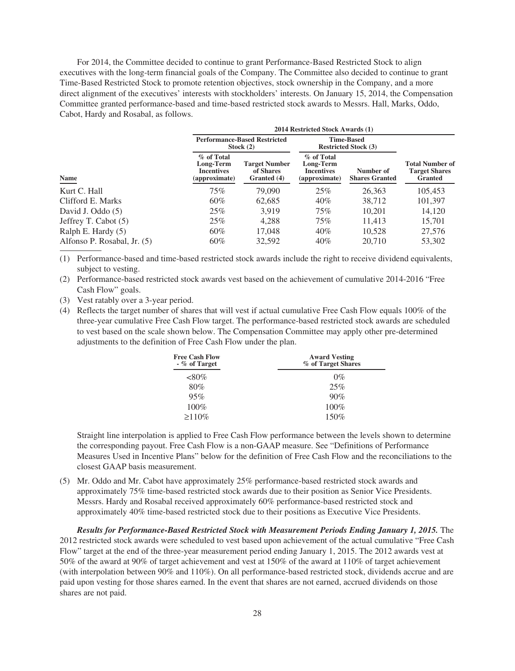For 2014, the Committee decided to continue to grant Performance-Based Restricted Stock to align executives with the long-term financial goals of the Company. The Committee also decided to continue to grant Time-Based Restricted Stock to promote retention objectives, stock ownership in the Company, and a more direct alignment of the executives' interests with stockholders' interests. On January 15, 2014, the Compensation Committee granted performance-based and time-based restricted stock awards to Messrs. Hall, Marks, Oddo, Cabot, Hardy and Rosabal, as follows.

|                             |                                                        | 2014 Restricted Stock Awards (1)                   |                                                               |                                                  |                                                                  |  |
|-----------------------------|--------------------------------------------------------|----------------------------------------------------|---------------------------------------------------------------|--------------------------------------------------|------------------------------------------------------------------|--|
| <b>Name</b>                 |                                                        | <b>Performance-Based Restricted</b><br>Stock $(2)$ |                                                               | <b>Time-Based</b><br><b>Restricted Stock (3)</b> |                                                                  |  |
|                             | % of Total<br>Long-Term<br>Incentives<br>(approximate) | <b>Target Number</b><br>of Shares<br>Granted (4)   | % of Total<br>Long-Term<br><b>Incentives</b><br>(approximate) | Number of<br><b>Shares Granted</b>               | <b>Total Number of</b><br><b>Target Shares</b><br><b>Granted</b> |  |
| Kurt C. Hall                | 75%                                                    | 79,090                                             | 25%                                                           | 26,363                                           | 105,453                                                          |  |
| Clifford E. Marks           | $60\%$                                                 | 62,685                                             | 40%                                                           | 38.712                                           | 101,397                                                          |  |
| David J. Oddo (5)           | 25%                                                    | 3,919                                              | 75%                                                           | 10,201                                           | 14,120                                                           |  |
| Jeffrey T. Cabot (5)        | 25%                                                    | 4,288                                              | 75%                                                           | 11,413                                           | 15,701                                                           |  |
| Ralph E. Hardy $(5)$        | 60%                                                    | 17,048                                             | 40%                                                           | 10,528                                           | 27,576                                                           |  |
| Alfonso P. Rosabal, Jr. (5) | $60\%$                                                 | 32,592                                             | 40%                                                           | 20,710                                           | 53,302                                                           |  |

(1) Performance-based and time-based restricted stock awards include the right to receive dividend equivalents, subject to vesting.

- (2) Performance-based restricted stock awards vest based on the achievement of cumulative 2014-2016 "Free Cash Flow" goals.
- (3) Vest ratably over a 3-year period.
- (4) Reflects the target number of shares that will vest if actual cumulative Free Cash Flow equals 100% of the three-year cumulative Free Cash Flow target. The performance-based restricted stock awards are scheduled to vest based on the scale shown below. The Compensation Committee may apply other pre-determined adjustments to the definition of Free Cash Flow under the plan.

| <b>Free Cash Flow</b><br>$-$ % of Target | <b>Award Vesting</b><br>% of Target Shares |  |  |  |
|------------------------------------------|--------------------------------------------|--|--|--|
| ${<}80\%$                                | $0\%$                                      |  |  |  |
| 80%                                      | 25%                                        |  |  |  |
| 95%                                      | 90%                                        |  |  |  |
| $100\%$                                  | $100\%$                                    |  |  |  |
| $\geq 110\%$                             | 150%                                       |  |  |  |

Straight line interpolation is applied to Free Cash Flow performance between the levels shown to determine the corresponding payout. Free Cash Flow is a non-GAAP measure. See "Definitions of Performance Measures Used in Incentive Plans" below for the definition of Free Cash Flow and the reconciliations to the closest GAAP basis measurement.

(5) Mr. Oddo and Mr. Cabot have approximately 25% performance-based restricted stock awards and approximately 75% time-based restricted stock awards due to their position as Senior Vice Presidents. Messrs. Hardy and Rosabal received approximately 60% performance-based restricted stock and approximately 40% time-based restricted stock due to their positions as Executive Vice Presidents.

*Results for Performance-Based Restricted Stock with Measurement Periods Ending January 1, 2015.* The 2012 restricted stock awards were scheduled to vest based upon achievement of the actual cumulative "Free Cash Flow" target at the end of the three-year measurement period ending January 1, 2015. The 2012 awards vest at 50% of the award at 90% of target achievement and vest at 150% of the award at 110% of target achievement (with interpolation between 90% and 110%). On all performance-based restricted stock, dividends accrue and are paid upon vesting for those shares earned. In the event that shares are not earned, accrued dividends on those shares are not paid.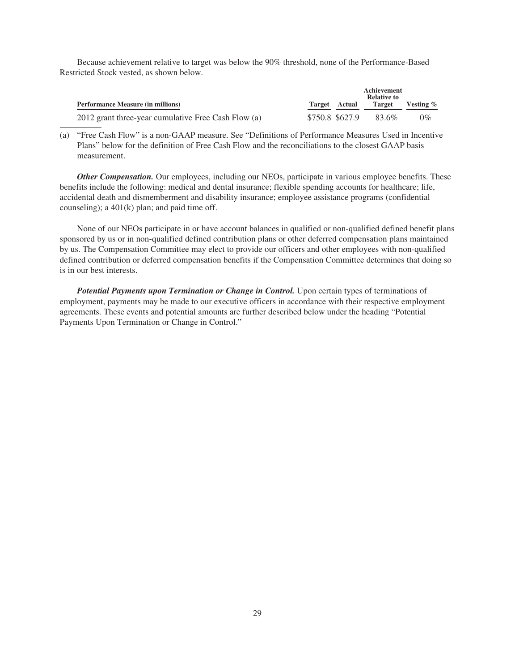Because achievement relative to target was below the 90% threshold, none of the Performance-Based Restricted Stock vested, as shown below.

|                                                     |                 |               | Achievement<br><b>Relative to</b> |             |
|-----------------------------------------------------|-----------------|---------------|-----------------------------------|-------------|
| <b>Performance Measure (in millions)</b>            |                 | Target Actual | Target                            | Vesting $%$ |
| 2012 grant three-year cumulative Free Cash Flow (a) | \$750.8 \$627.9 |               | 83.6%                             | $0\%$       |

(a) "Free Cash Flow" is a non-GAAP measure. See "Definitions of Performance Measures Used in Incentive Plans" below for the definition of Free Cash Flow and the reconciliations to the closest GAAP basis measurement.

*Other Compensation.* Our employees, including our NEOs, participate in various employee benefits. These benefits include the following: medical and dental insurance; flexible spending accounts for healthcare; life, accidental death and dismemberment and disability insurance; employee assistance programs (confidential counseling); a 401(k) plan; and paid time off.

None of our NEOs participate in or have account balances in qualified or non-qualified defined benefit plans sponsored by us or in non-qualified defined contribution plans or other deferred compensation plans maintained by us. The Compensation Committee may elect to provide our officers and other employees with non-qualified defined contribution or deferred compensation benefits if the Compensation Committee determines that doing so is in our best interests.

*Potential Payments upon Termination or Change in Control.* Upon certain types of terminations of employment, payments may be made to our executive officers in accordance with their respective employment agreements. These events and potential amounts are further described below under the heading "Potential Payments Upon Termination or Change in Control."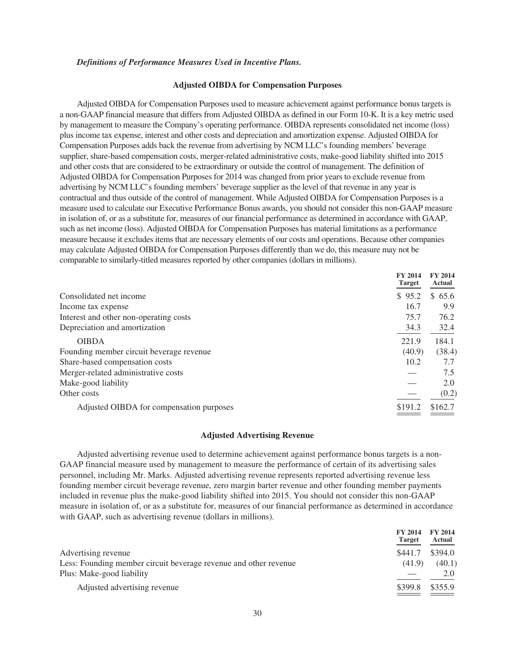#### *Definitions of Performance Measures Used in Incentive Plans.*

# **Adjusted OIBDA for Compensation Purposes**

Adjusted OIBDA for Compensation Purposes used to measure achievement against performance bonus targets is a non-GAAP financial measure that differs from Adjusted OIBDA as defined in our Form 10-K. It is a key metric used by management to measure the Company's operating performance. OIBDA represents consolidated net income (loss) plus income tax expense, interest and other costs and depreciation and amortization expense. Adjusted OIBDA for Compensation Purposes adds back the revenue from advertising by NCM LLC's founding members' beverage supplier, share-based compensation costs, merger-related administrative costs, make-good liability shifted into 2015 and other costs that are considered to be extraordinary or outside the control of management. The definition of Adjusted OIBDA for Compensation Purposes for 2014 was changed from prior years to exclude revenue from advertising by NCM LLC's founding members' beverage supplier as the level of that revenue in any year is contractual and thus outside of the control of management. While Adjusted OIBDA for Compensation Purposes is a measure used to calculate our Executive Performance Bonus awards, you should not consider this non-GAAP measure in isolation of, or as a substitute for, measures of our financial performance as determined in accordance with GAAP, such as net income (loss). Adjusted OIBDA for Compensation Purposes has material limitations as a performance measure because it excludes items that are necessary elements of our costs and operations. Because other companies may calculate Adjusted OIBDA for Compensation Purposes differently than we do, this measure may not be comparable to similarly-titled measures reported by other companies (dollars in millions).

|                                          | <b>FY 2014</b><br><b>Target</b> | <b>FY 2014</b><br>Actual |
|------------------------------------------|---------------------------------|--------------------------|
| Consolidated net income                  | \$95.2                          | \$65.6                   |
| Income tax expense                       | 16.7                            | 9.9                      |
| Interest and other non-operating costs   | 75.7                            | 76.2                     |
| Depreciation and amortization            | 34.3                            | 32.4                     |
| <b>OIBDA</b>                             | 221.9                           | 184.1                    |
| Founding member circuit beverage revenue | (40.9)                          | (38.4)                   |
| Share-based compensation costs           | 10.2                            | 7.7                      |
| Merger-related administrative costs      |                                 | 7.5                      |
| Make-good liability                      |                                 | 2.0                      |
| Other costs                              |                                 | (0.2)                    |
| Adjusted OIBDA for compensation purposes | \$191.2                         | \$162.7                  |

# **Adjusted Advertising Revenue**

Adjusted advertising revenue used to determine achievement against performance bonus targets is a non-GAAP financial measure used by management to measure the performance of certain of its advertising sales personnel, including Mr. Marks. Adjusted advertising revenue represents reported advertising revenue less founding member circuit beverage revenue, zero margin barter revenue and other founding member payments included in revenue plus the make-good liability shifted into 2015. You should not consider this non-GAAP measure in isolation of, or as a substitute for, measures of our financial performance as determined in accordance with GAAP, such as advertising revenue (dollars in millions).

|                                                                  | <b>FY 2014</b><br><b>Target</b> | <b>FY 2014</b><br>Actual |
|------------------------------------------------------------------|---------------------------------|--------------------------|
| Advertising revenue                                              | \$441.7                         | \$394.0                  |
| Less: Founding member circuit beverage revenue and other revenue | (41.9)                          | (40.1)                   |
| Plus: Make-good liability                                        |                                 | 2.0                      |
| Adjusted advertising revenue                                     | \$399.8                         | \$355.9                  |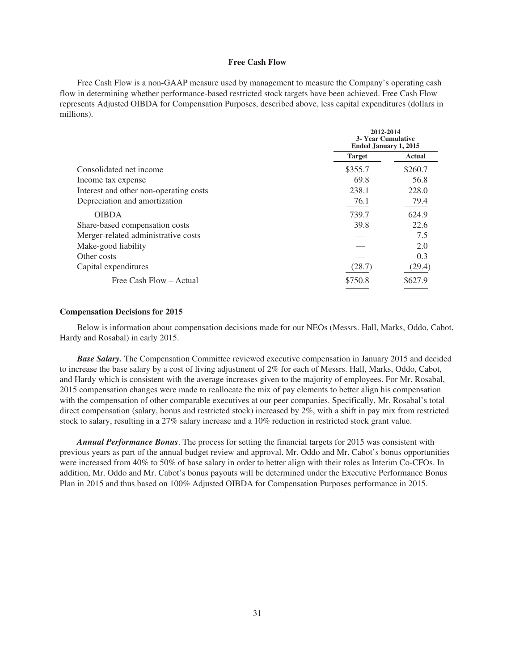# **Free Cash Flow**

Free Cash Flow is a non-GAAP measure used by management to measure the Company's operating cash flow in determining whether performance-based restricted stock targets have been achieved. Free Cash Flow represents Adjusted OIBDA for Compensation Purposes, described above, less capital expenditures (dollars in millions).

|                                        | 2012-2014<br><b>3- Year Cumulative</b><br><b>Ended January 1, 2015</b> |         |
|----------------------------------------|------------------------------------------------------------------------|---------|
|                                        | <b>Target</b>                                                          | Actual  |
| Consolidated net income                | \$355.7                                                                | \$260.7 |
| Income tax expense                     | 69.8                                                                   | 56.8    |
| Interest and other non-operating costs | 238.1                                                                  | 228.0   |
| Depreciation and amortization          | 76.1                                                                   | 79.4    |
| <b>OIBDA</b>                           | 739.7                                                                  | 624.9   |
| Share-based compensation costs         | 39.8                                                                   | 22.6    |
| Merger-related administrative costs    |                                                                        | 7.5     |
| Make-good liability                    |                                                                        | 2.0     |
| Other costs                            |                                                                        | 0.3     |
| Capital expenditures                   | (28.7)                                                                 | (29.4)  |
| Free Cash Flow – Actual                | \$750.8                                                                | \$627.9 |

# **Compensation Decisions for 2015**

Below is information about compensation decisions made for our NEOs (Messrs. Hall, Marks, Oddo, Cabot, Hardy and Rosabal) in early 2015.

*Base Salary.* The Compensation Committee reviewed executive compensation in January 2015 and decided to increase the base salary by a cost of living adjustment of 2% for each of Messrs. Hall, Marks, Oddo, Cabot, and Hardy which is consistent with the average increases given to the majority of employees. For Mr. Rosabal, 2015 compensation changes were made to reallocate the mix of pay elements to better align his compensation with the compensation of other comparable executives at our peer companies. Specifically, Mr. Rosabal's total direct compensation (salary, bonus and restricted stock) increased by 2%, with a shift in pay mix from restricted stock to salary, resulting in a 27% salary increase and a 10% reduction in restricted stock grant value.

*Annual Performance Bonus*. The process for setting the financial targets for 2015 was consistent with previous years as part of the annual budget review and approval. Mr. Oddo and Mr. Cabot's bonus opportunities were increased from 40% to 50% of base salary in order to better align with their roles as Interim Co-CFOs. In addition, Mr. Oddo and Mr. Cabot's bonus payouts will be determined under the Executive Performance Bonus Plan in 2015 and thus based on 100% Adjusted OIBDA for Compensation Purposes performance in 2015.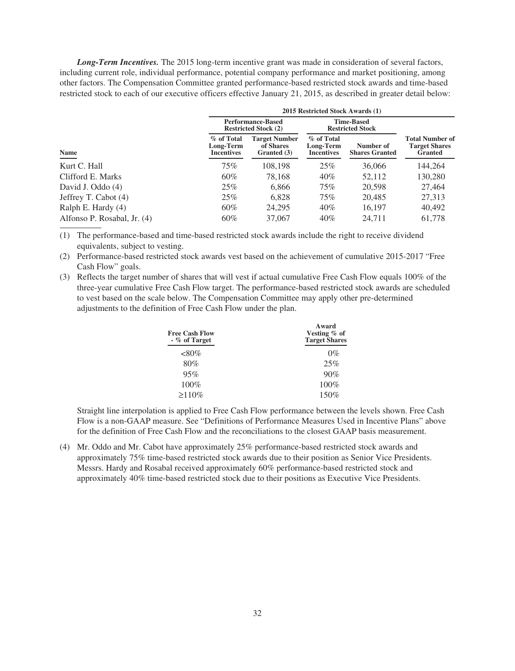*Long-Term Incentives.* The 2015 long-term incentive grant was made in consideration of several factors, including current role, individual performance, potential company performance and market positioning, among other factors. The Compensation Committee granted performance-based restricted stock awards and time-based restricted stock to each of our executive officers effective January 21, 2015, as described in greater detail below:

| Name                        | 2015 Restricted Stock Awards (1)                        |                                                  |                                              |                                    |                                                                  |
|-----------------------------|---------------------------------------------------------|--------------------------------------------------|----------------------------------------------|------------------------------------|------------------------------------------------------------------|
|                             | <b>Performance-Based</b><br><b>Restricted Stock (2)</b> |                                                  | <b>Time-Based</b><br><b>Restricted Stock</b> |                                    |                                                                  |
|                             | % of Total<br>Long-Term<br><b>Incentives</b>            | <b>Target Number</b><br>of Shares<br>Granted (3) | % of Total<br>Long-Term<br><b>Incentives</b> | Number of<br><b>Shares Granted</b> | <b>Total Number of</b><br><b>Target Shares</b><br><b>Granted</b> |
| Kurt C. Hall                | 75%                                                     | 108,198                                          | 25%                                          | 36,066                             | 144,264                                                          |
| Clifford E. Marks           | 60%                                                     | 78,168                                           | 40%                                          | 52,112                             | 130,280                                                          |
| David J. Oddo (4)           | 25%                                                     | 6,866                                            | 75%                                          | 20,598                             | 27,464                                                           |
| Jeffrey T. Cabot (4)        | 25%                                                     | 6,828                                            | 75%                                          | 20.485                             | 27,313                                                           |
| Ralph E. Hardy (4)          | 60%                                                     | 24.295                                           | 40%                                          | 16,197                             | 40,492                                                           |
| Alfonso P. Rosabal, Jr. (4) | $60\%$                                                  | 37,067                                           | 40%                                          | 24,711                             | 61,778                                                           |

(1) The performance-based and time-based restricted stock awards include the right to receive dividend equivalents, subject to vesting.

(2) Performance-based restricted stock awards vest based on the achievement of cumulative 2015-2017 "Free Cash Flow" goals.

(3) Reflects the target number of shares that will vest if actual cumulative Free Cash Flow equals 100% of the three-year cumulative Free Cash Flow target. The performance-based restricted stock awards are scheduled to vest based on the scale below. The Compensation Committee may apply other pre-determined adjustments to the definition of Free Cash Flow under the plan.

| <b>Free Cash Flow</b><br>$-$ % of Target | Award<br>Vesting $\%$ of<br><b>Target Shares</b> |
|------------------------------------------|--------------------------------------------------|
| ${<}80\%$                                | $0\%$                                            |
| 80%                                      | 25%                                              |
| 95%                                      | 90%                                              |
| 100%                                     | 100%                                             |
| $\geq 110\%$                             | 150%                                             |

Straight line interpolation is applied to Free Cash Flow performance between the levels shown. Free Cash Flow is a non-GAAP measure. See "Definitions of Performance Measures Used in Incentive Plans" above for the definition of Free Cash Flow and the reconciliations to the closest GAAP basis measurement.

(4) Mr. Oddo and Mr. Cabot have approximately 25% performance-based restricted stock awards and approximately 75% time-based restricted stock awards due to their position as Senior Vice Presidents. Messrs. Hardy and Rosabal received approximately 60% performance-based restricted stock and approximately 40% time-based restricted stock due to their positions as Executive Vice Presidents.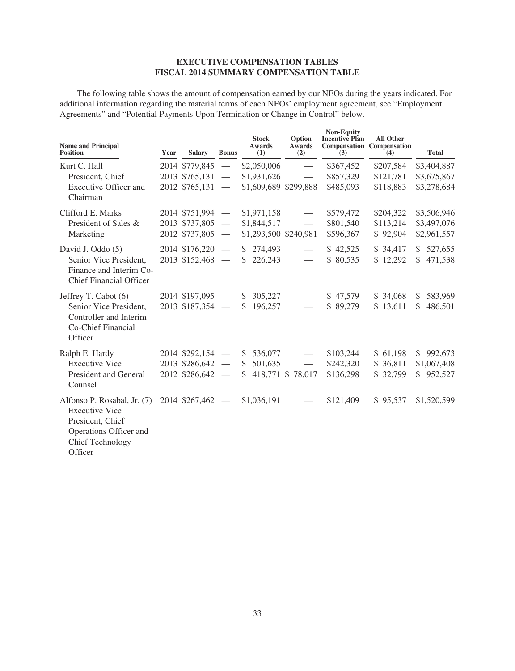# **EXECUTIVE COMPENSATION TABLES FISCAL 2014 SUMMARY COMPENSATION TABLE**

The following table shows the amount of compensation earned by our NEOs during the years indicated. For additional information regarding the material terms of each NEOs' employment agreement, see "Employment Agreements" and "Potential Payments Upon Termination or Change in Control" below.

| <b>Name and Principal</b><br><b>Position</b>                                                                                             | Year | <b>Salary</b>                                              | <b>Bonus</b>                                         | <b>Stock</b><br>Awards<br>(1)                             | Option<br>Awards<br>(2)                                          | <b>Non-Equity</b><br><b>Incentive Plan</b><br>(3) | <b>All Other</b><br><b>Compensation Compensation</b><br>(4) | <b>Total</b>                              |
|------------------------------------------------------------------------------------------------------------------------------------------|------|------------------------------------------------------------|------------------------------------------------------|-----------------------------------------------------------|------------------------------------------------------------------|---------------------------------------------------|-------------------------------------------------------------|-------------------------------------------|
| Kurt C. Hall<br>President, Chief<br><b>Executive Officer and</b><br>Chairman                                                             |      | 2014 \$779,845<br>2013 \$765,131<br>2012 \$765,131         | $\overline{\phantom{m}}$                             | \$2,050,006<br>\$1,931,626<br>\$1,609,689 \$299,888       | $\overline{\phantom{m}}$                                         | \$367,452<br>\$857,329<br>\$485,093               | \$207,584<br>\$121,781<br>\$118,883                         | \$3,404,887<br>\$3,675,867<br>\$3,278,684 |
| Clifford E. Marks<br>President of Sales &<br>Marketing                                                                                   |      | 2014 \$751,994 -<br>2013 \$737,805<br>2012 \$737,805       | $\overline{\phantom{m}}$<br>$\hspace{0.05cm}$        | \$1,971,158<br>\$1,844,517<br>\$1,293,500 \$240,981       | $\overbrace{\phantom{aaaaa}}$                                    | \$579,472<br>\$801,540<br>\$596,367               | \$204,322<br>\$113,214<br>\$92,904                          | \$3,506,946<br>\$3,497,076<br>\$2,961,557 |
| David J. Oddo (5)<br>Senior Vice President.<br>Finance and Interim Co-<br><b>Chief Financial Officer</b>                                 |      | 2014 \$176,220<br>2013 \$152,468                           | $\overline{\phantom{m}}$<br>$\overline{\phantom{m}}$ | $\mathbb{S}$<br>274,493<br>\$<br>226,243                  | $\overbrace{\hspace{25mm}}^{ }$<br>$\overbrace{\phantom{aaaaa}}$ | \$42,525<br>\$80,535                              | \$34,417<br>\$12,292                                        | 527,655<br>$\mathbb{S}$<br>\$471,538      |
| Jeffrey T. Cabot (6)<br>Senior Vice President,<br>Controller and Interim<br>Co-Chief Financial<br>Officer                                |      | $2014$ \$197,095 -<br>2013 \$187,354                       | $\overline{\phantom{m}}$                             | S.<br>305,227<br>196,257<br>$\mathbb{S}$                  |                                                                  | \$47,579<br>\$89,279                              | \$ 34,068<br>\$13,611                                       | 583,969<br>\$<br>486,501<br>\$            |
| Ralph E. Hardy<br><b>Executive Vice</b><br>President and General<br>Counsel                                                              |      | $2014$ \$292,154 -<br>$2013$ \$286,642 -<br>2012 \$286,642 | $\overline{\phantom{m}}$                             | $\mathbb{S}$<br>536,077<br>\$<br>501,635<br><sup>\$</sup> | 418,771 \$ 78,017                                                | \$103,244<br>\$242,320<br>\$136,298               | \$61,198<br>\$36,811<br>\$32,799                            | \$992,673<br>\$1,067,408<br>\$952,527     |
| Alfonso P. Rosabal, Jr. (7)<br><b>Executive Vice</b><br>President, Chief<br>Operations Officer and<br><b>Chief Technology</b><br>Officer |      | 2014 \$267,462                                             | $\hspace{0.1mm}-\hspace{0.1mm}$                      | \$1,036,191                                               |                                                                  | \$121,409                                         | \$95,537                                                    | \$1,520,599                               |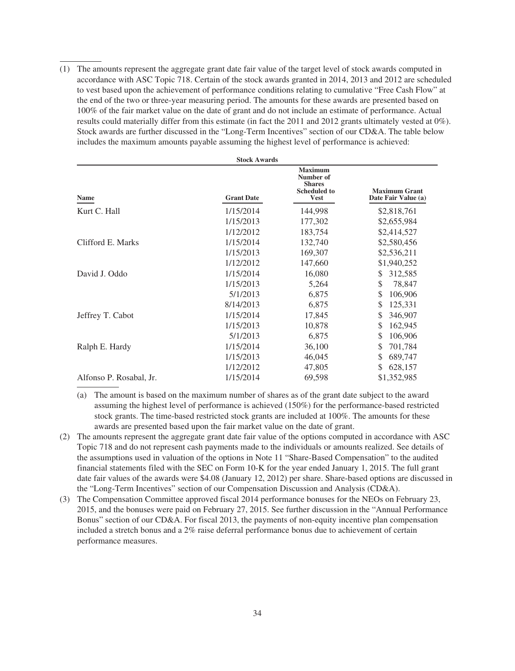(1) The amounts represent the aggregate grant date fair value of the target level of stock awards computed in accordance with ASC Topic 718. Certain of the stock awards granted in 2014, 2013 and 2012 are scheduled to vest based upon the achievement of performance conditions relating to cumulative "Free Cash Flow" at the end of the two or three-year measuring period. The amounts for these awards are presented based on 100% of the fair market value on the date of grant and do not include an estimate of performance. Actual results could materially differ from this estimate (in fact the 2011 and 2012 grants ultimately vested at 0%). Stock awards are further discussed in the "Long-Term Incentives" section of our CD&A. The table below includes the maximum amounts payable assuming the highest level of performance is achieved:

| <b>Stock Awards</b>     |                   |                                                                                    |                                             |  |  |  |
|-------------------------|-------------------|------------------------------------------------------------------------------------|---------------------------------------------|--|--|--|
| Name                    | <b>Grant Date</b> | <b>Maximum</b><br>Number of<br><b>Shares</b><br><b>Scheduled to</b><br><b>Vest</b> | <b>Maximum Grant</b><br>Date Fair Value (a) |  |  |  |
| Kurt C. Hall            | 1/15/2014         | 144,998                                                                            | \$2,818,761                                 |  |  |  |
|                         | 1/15/2013         | 177,302                                                                            | \$2,655,984                                 |  |  |  |
|                         | 1/12/2012         | 183,754                                                                            | \$2,414,527                                 |  |  |  |
| Clifford E. Marks       | 1/15/2014         | 132,740                                                                            | \$2,580,456                                 |  |  |  |
|                         | 1/15/2013         | 169,307                                                                            | \$2,536,211                                 |  |  |  |
|                         | 1/12/2012         | 147,660                                                                            | \$1,940,252                                 |  |  |  |
| David J. Oddo           | 1/15/2014         | 16,080                                                                             | 312,585<br>\$                               |  |  |  |
|                         | 1/15/2013         | 5,264                                                                              | \$<br>78,847                                |  |  |  |
|                         | 5/1/2013          | 6,875                                                                              | \$<br>106,906                               |  |  |  |
|                         | 8/14/2013         | 6,875                                                                              | \$<br>125,331                               |  |  |  |
| Jeffrey T. Cabot        | 1/15/2014         | 17,845                                                                             | \$<br>346,907                               |  |  |  |
|                         | 1/15/2013         | 10,878                                                                             | \$<br>162,945                               |  |  |  |
|                         | 5/1/2013          | 6,875                                                                              | \$<br>106,906                               |  |  |  |
| Ralph E. Hardy          | 1/15/2014         | 36,100                                                                             | \$<br>701,784                               |  |  |  |
|                         | 1/15/2013         | 46,045                                                                             | \$<br>689,747                               |  |  |  |
|                         | 1/12/2012         | 47,805                                                                             | \$<br>628,157                               |  |  |  |
| Alfonso P. Rosabal, Jr. | 1/15/2014         | 69,598                                                                             | \$1,352,985                                 |  |  |  |

- (a) The amount is based on the maximum number of shares as of the grant date subject to the award assuming the highest level of performance is achieved (150%) for the performance-based restricted stock grants. The time-based restricted stock grants are included at 100%. The amounts for these awards are presented based upon the fair market value on the date of grant.
- (2) The amounts represent the aggregate grant date fair value of the options computed in accordance with ASC Topic 718 and do not represent cash payments made to the individuals or amounts realized. See details of the assumptions used in valuation of the options in Note 11 "Share-Based Compensation" to the audited financial statements filed with the SEC on Form 10-K for the year ended January 1, 2015. The full grant date fair values of the awards were \$4.08 (January 12, 2012) per share. Share-based options are discussed in the "Long-Term Incentives" section of our Compensation Discussion and Analysis (CD&A).
- (3) The Compensation Committee approved fiscal 2014 performance bonuses for the NEOs on February 23, 2015, and the bonuses were paid on February 27, 2015. See further discussion in the "Annual Performance Bonus" section of our CD&A. For fiscal 2013, the payments of non-equity incentive plan compensation included a stretch bonus and a 2% raise deferral performance bonus due to achievement of certain performance measures.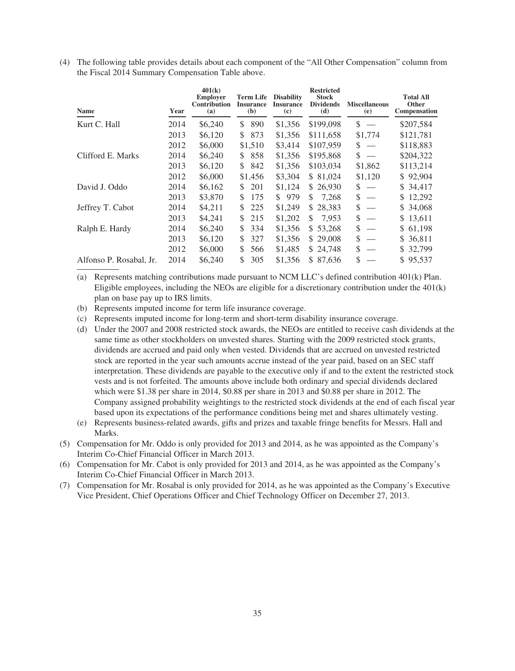(4) The following table provides details about each component of the "All Other Compensation" column from the Fiscal 2014 Summary Compensation Table above.

| <b>Name</b>             | Year | 401(k)<br><b>Employer</b><br><b>Contribution</b><br>(a) | <b>Term Life</b><br><b>Insurance</b><br>(b) | <b>Disability</b><br><b>Insurance</b><br>(c) | <b>Restricted</b><br><b>Stock</b><br><b>Dividends</b><br>(d) | <b>Miscellaneous</b><br>(e) | <b>Total All</b><br><b>Other</b><br><b>Compensation</b> |
|-------------------------|------|---------------------------------------------------------|---------------------------------------------|----------------------------------------------|--------------------------------------------------------------|-----------------------------|---------------------------------------------------------|
| Kurt C. Hall            | 2014 | \$6,240                                                 | 890<br>\$                                   | \$1,356                                      | \$199,098                                                    | \$                          | \$207,584                                               |
|                         | 2013 | \$6,120                                                 | \$<br>873                                   | \$1,356                                      | \$111,658                                                    | \$1,774                     | \$121,781                                               |
|                         | 2012 | \$6,000                                                 | \$1,510                                     | \$3,414                                      | \$107,959                                                    | \$                          | \$118,883                                               |
| Clifford E. Marks       | 2014 | \$6,240                                                 | 858<br>\$                                   | \$1,356                                      | \$195,868                                                    | \$                          | \$204,322                                               |
|                         | 2013 | \$6,120                                                 | \$<br>842                                   | \$1,356                                      | \$103,034                                                    | \$1,862                     | \$113,214                                               |
|                         | 2012 | \$6,000                                                 | \$1,456                                     | \$3,304                                      | \$81,024                                                     | \$1,120                     | \$92,904                                                |
| David J. Oddo           | 2014 | \$6,162                                                 | \$<br>201                                   | \$1,124                                      | \$26,930                                                     | \$                          | \$34,417                                                |
|                         | 2013 | \$3,870                                                 | \$<br>175                                   | \$979                                        | \$<br>7,268                                                  | \$                          | 12,292<br>S.                                            |
| Jeffrey T. Cabot        | 2014 | \$4,211                                                 | 225<br>\$                                   | \$1,249                                      | \$28,383                                                     | \$                          | \$34,068                                                |
|                         | 2013 | \$4,241                                                 | \$<br>215                                   | \$1,202                                      | \$<br>7,953                                                  | \$                          | \$13,611                                                |
| Ralph E. Hardy          | 2014 | \$6,240                                                 | \$<br>334                                   | \$1,356                                      | \$ 53,268                                                    | \$                          | \$ 61,198                                               |
|                         | 2013 | \$6,120                                                 | \$<br>327                                   | \$1,356                                      | \$29,008                                                     | \$                          | \$ 36,811                                               |
|                         | 2012 | \$6,000                                                 | \$<br>566                                   | \$1,485                                      | \$24,748                                                     | \$                          | \$ 32,799                                               |
| Alfonso P. Rosabal, Jr. | 2014 | \$6,240                                                 | \$<br>305                                   | \$1,356                                      | 87,636<br>S.                                                 | \$                          | \$95,537                                                |

(a) Represents matching contributions made pursuant to NCM LLC's defined contribution 401(k) Plan. Eligible employees, including the NEOs are eligible for a discretionary contribution under the 401(k) plan on base pay up to IRS limits.

(b) Represents imputed income for term life insurance coverage.

(c) Represents imputed income for long-term and short-term disability insurance coverage.

(d) Under the 2007 and 2008 restricted stock awards, the NEOs are entitled to receive cash dividends at the same time as other stockholders on unvested shares. Starting with the 2009 restricted stock grants, dividends are accrued and paid only when vested. Dividends that are accrued on unvested restricted stock are reported in the year such amounts accrue instead of the year paid, based on an SEC staff interpretation. These dividends are payable to the executive only if and to the extent the restricted stock vests and is not forfeited. The amounts above include both ordinary and special dividends declared which were \$1.38 per share in 2014, \$0.88 per share in 2013 and \$0.88 per share in 2012. The Company assigned probability weightings to the restricted stock dividends at the end of each fiscal year based upon its expectations of the performance conditions being met and shares ultimately vesting.

(e) Represents business-related awards, gifts and prizes and taxable fringe benefits for Messrs. Hall and Marks.

(5) Compensation for Mr. Oddo is only provided for 2013 and 2014, as he was appointed as the Company's Interim Co-Chief Financial Officer in March 2013.

(6) Compensation for Mr. Cabot is only provided for 2013 and 2014, as he was appointed as the Company's Interim Co-Chief Financial Officer in March 2013.

(7) Compensation for Mr. Rosabal is only provided for 2014, as he was appointed as the Company's Executive Vice President, Chief Operations Officer and Chief Technology Officer on December 27, 2013.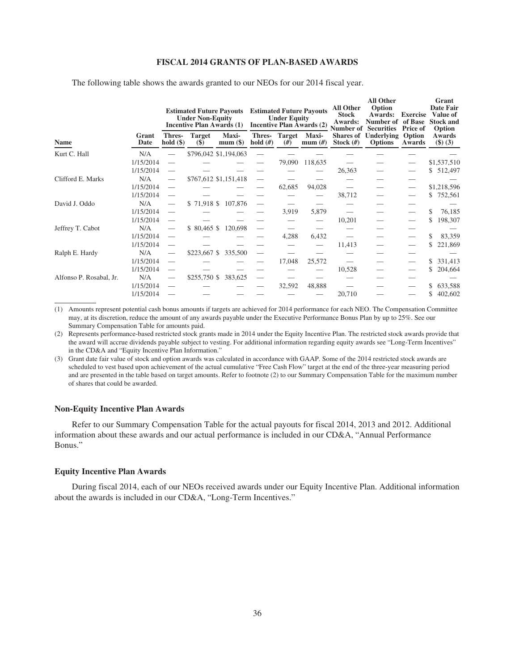#### **FISCAL 2014 GRANTS OF PLAN-BASED AWARDS**

|                         |               | <b>Estimated Future Payouts</b><br><b>Under Non-Equity</b><br><b>Incentive Plan Awards (1)</b> |                              |                       | <b>Estimated Future Payouts</b><br><b>Under Equity</b><br><b>Incentive Plan Awards (2)</b> |                     |                           | <b>All Other</b><br><b>Stock</b><br>Awards:<br><b>Number of Securities</b> | <b>All Other</b><br>Option<br><b>Awards:</b><br>Number of | <b>Exercise</b><br>of Base<br><b>Price of</b> | Grant<br>Date Fair<br>Value of<br><b>Stock and</b><br>Option |  |
|-------------------------|---------------|------------------------------------------------------------------------------------------------|------------------------------|-----------------------|--------------------------------------------------------------------------------------------|---------------------|---------------------------|----------------------------------------------------------------------------|-----------------------------------------------------------|-----------------------------------------------|--------------------------------------------------------------|--|
| <b>Name</b>             | Grant<br>Date | <b>Thres-</b><br>hold $(\$)$                                                                   | <b>Target</b><br><b>(\$)</b> | Maxi-<br>$mum(\$))$   | Thres-<br>hold $(H)$                                                                       | <b>Target</b><br>#) | <b>Maxi-</b><br>mum $(H)$ | <b>Shares of</b><br>Stock $(\#)$                                           | Underlying<br><b>Options</b>                              | Option<br>Awards                              | Awards<br>(3)(3)                                             |  |
| Kurt C. Hall            | N/A           |                                                                                                |                              | \$796,042 \$1,194,063 |                                                                                            |                     |                           |                                                                            |                                                           |                                               |                                                              |  |
|                         | 1/15/2014     |                                                                                                |                              |                       |                                                                                            | 79,090              | 118,635                   |                                                                            |                                                           |                                               | \$1,537,510                                                  |  |
|                         | 1/15/2014     |                                                                                                |                              |                       |                                                                                            |                     |                           | 26,363                                                                     |                                                           |                                               | \$512,497                                                    |  |
| Clifford E. Marks       | N/A           |                                                                                                |                              | \$767,612 \$1,151,418 |                                                                                            |                     |                           |                                                                            |                                                           |                                               |                                                              |  |
|                         | 1/15/2014     |                                                                                                |                              |                       |                                                                                            | 62,685              | 94,028                    |                                                                            |                                                           |                                               | \$1,218,596                                                  |  |
|                         | 1/15/2014     |                                                                                                |                              |                       |                                                                                            |                     |                           | 38,712                                                                     |                                                           |                                               | 752,561<br>S.                                                |  |
| David J. Oddo           | N/A           |                                                                                                |                              | \$71,918 \$107,876    |                                                                                            |                     |                           |                                                                            |                                                           |                                               |                                                              |  |
|                         | 1/15/2014     |                                                                                                |                              |                       |                                                                                            | 3,919               | 5,879                     |                                                                            |                                                           |                                               | \$<br>76,185                                                 |  |
|                         | 1/15/2014     |                                                                                                |                              |                       |                                                                                            |                     |                           | 10,201                                                                     |                                                           |                                               | 198,307<br>S.                                                |  |
| Jeffrey T. Cabot        | N/A           |                                                                                                | \$80,465                     | 120,698               |                                                                                            |                     |                           |                                                                            |                                                           |                                               |                                                              |  |
|                         | 1/15/2014     |                                                                                                |                              |                       |                                                                                            | 4,288               | 6,432                     |                                                                            |                                                           |                                               | 83,359                                                       |  |
|                         | 1/15/2014     |                                                                                                |                              |                       |                                                                                            |                     |                           | 11,413                                                                     |                                                           |                                               | 221,869                                                      |  |
| Ralph E. Hardy          | N/A           |                                                                                                | $$223,667$ \$                | 335,500               |                                                                                            |                     |                           |                                                                            |                                                           |                                               |                                                              |  |
|                         | 1/15/2014     |                                                                                                |                              |                       |                                                                                            | 17,048              | 25,572                    |                                                                            |                                                           |                                               | 331,413<br>S.                                                |  |
|                         | 1/15/2014     |                                                                                                |                              |                       |                                                                                            |                     |                           | 10,528                                                                     |                                                           |                                               | 204,664<br>S                                                 |  |
| Alfonso P. Rosabal, Jr. | N/A           |                                                                                                | $$255,750$ \$                | 383,625               |                                                                                            |                     |                           |                                                                            |                                                           |                                               |                                                              |  |
|                         | 1/15/2014     |                                                                                                |                              |                       |                                                                                            | 32,592              | 48,888                    |                                                                            |                                                           |                                               | 633,588<br>S.                                                |  |
|                         | 1/15/2014     |                                                                                                |                              |                       |                                                                                            |                     |                           | 20,710                                                                     |                                                           |                                               | 402,602<br>S                                                 |  |

The following table shows the awards granted to our NEOs for our 2014 fiscal year.

(1) Amounts represent potential cash bonus amounts if targets are achieved for 2014 performance for each NEO. The Compensation Committee may, at its discretion, reduce the amount of any awards payable under the Executive Performance Bonus Plan by up to 25%. See our Summary Compensation Table for amounts paid.

(2) Represents performance-based restricted stock grants made in 2014 under the Equity Incentive Plan. The restricted stock awards provide that the award will accrue dividends payable subject to vesting. For additional information regarding equity awards see "Long-Term Incentives" in the CD&A and "Equity Incentive Plan Information."

(3) Grant date fair value of stock and option awards was calculated in accordance with GAAP. Some of the 2014 restricted stock awards are scheduled to vest based upon achievement of the actual cumulative "Free Cash Flow" target at the end of the three-year measuring period and are presented in the table based on target amounts. Refer to footnote (2) to our Summary Compensation Table for the maximum number of shares that could be awarded.

# **Non-Equity Incentive Plan Awards**

Refer to our Summary Compensation Table for the actual payouts for fiscal 2014, 2013 and 2012. Additional information about these awards and our actual performance is included in our CD&A, "Annual Performance Bonus."

# **Equity Incentive Plan Awards**

During fiscal 2014, each of our NEOs received awards under our Equity Incentive Plan. Additional information about the awards is included in our CD&A, "Long-Term Incentives."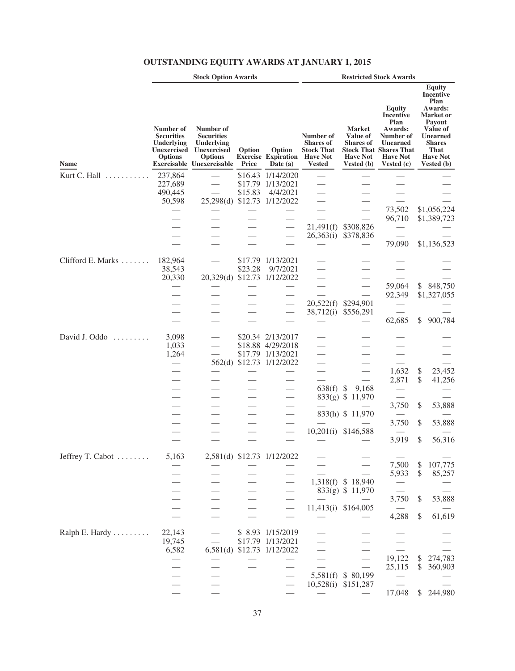|                   |                                                                                      | <b>Stock Option Awards</b>                                                                                        |                 |                                                    |                                                                                        |                                                                                       | <b>Restricted Stock Awards</b>                                                                                                                         |                                                                                                                                                               |
|-------------------|--------------------------------------------------------------------------------------|-------------------------------------------------------------------------------------------------------------------|-----------------|----------------------------------------------------|----------------------------------------------------------------------------------------|---------------------------------------------------------------------------------------|--------------------------------------------------------------------------------------------------------------------------------------------------------|---------------------------------------------------------------------------------------------------------------------------------------------------------------|
| Name              | Number of<br><b>Securities</b><br>Underlying<br><b>Unexercised</b><br><b>Options</b> | Number of<br><b>Securities</b><br>Underlying<br><b>Unexercised</b><br><b>Options</b><br>Exercisable Unexercisable | Option<br>Price | Option<br><b>Exercise Expiration</b><br>Date $(a)$ | Number of<br><b>Shares of</b><br><b>Stock That</b><br><b>Have Not</b><br><b>Vested</b> | <b>Market</b><br><b>Value of</b><br><b>Shares of</b><br><b>Have Not</b><br>Vested (b) | <b>Equity</b><br><b>Incentive</b><br>Plan<br>Awards:<br>Number of<br><b>Unearned</b><br><b>Stock That Shares That</b><br><b>Have Not</b><br>Vested (c) | Equity<br>Incentive<br>Plan<br>Awards:<br>Market or<br>Payout<br>Value of<br><b>Unearned</b><br><b>Shares</b><br>That<br><b>Have Not</b><br><b>Vested</b> (b) |
| Kurt C. Hall<br>. | 237,864                                                                              |                                                                                                                   | \$16.43         | 1/14/2020                                          |                                                                                        |                                                                                       |                                                                                                                                                        |                                                                                                                                                               |
|                   | 227,689                                                                              |                                                                                                                   | \$17.79         | 1/13/2021                                          |                                                                                        |                                                                                       |                                                                                                                                                        |                                                                                                                                                               |
|                   | 490,445                                                                              |                                                                                                                   | \$15.83         | 4/4/2021                                           |                                                                                        |                                                                                       |                                                                                                                                                        |                                                                                                                                                               |
|                   | 50,598                                                                               | 25,298(d)                                                                                                         |                 | \$12.73 1/12/2022                                  |                                                                                        |                                                                                       |                                                                                                                                                        |                                                                                                                                                               |
|                   |                                                                                      |                                                                                                                   |                 |                                                    |                                                                                        |                                                                                       | 73,502                                                                                                                                                 | \$1,056,224                                                                                                                                                   |
|                   |                                                                                      |                                                                                                                   |                 |                                                    |                                                                                        |                                                                                       | 96,710                                                                                                                                                 | \$1,389,723                                                                                                                                                   |
|                   |                                                                                      |                                                                                                                   |                 |                                                    | 21,491(f)                                                                              | \$308,826                                                                             |                                                                                                                                                        |                                                                                                                                                               |
|                   |                                                                                      |                                                                                                                   |                 |                                                    | 26,363(i)                                                                              | \$378,836                                                                             |                                                                                                                                                        |                                                                                                                                                               |
|                   |                                                                                      |                                                                                                                   |                 |                                                    |                                                                                        |                                                                                       | 79,090                                                                                                                                                 | \$1,136,523                                                                                                                                                   |
| Clifford E. Marks | 182,964                                                                              |                                                                                                                   | \$17.79         | 1/13/2021                                          |                                                                                        |                                                                                       |                                                                                                                                                        |                                                                                                                                                               |
|                   | 38,543                                                                               |                                                                                                                   | \$23.28         | 9/7/2021                                           |                                                                                        |                                                                                       |                                                                                                                                                        |                                                                                                                                                               |
|                   | 20,330                                                                               | 20,329(d)                                                                                                         | \$12.73         | 1/12/2022                                          |                                                                                        |                                                                                       |                                                                                                                                                        |                                                                                                                                                               |
|                   |                                                                                      |                                                                                                                   |                 |                                                    |                                                                                        |                                                                                       | 59,064                                                                                                                                                 | \$<br>848,750                                                                                                                                                 |
|                   |                                                                                      |                                                                                                                   |                 |                                                    |                                                                                        |                                                                                       | 92,349                                                                                                                                                 | \$1,327,055                                                                                                                                                   |
|                   |                                                                                      |                                                                                                                   |                 |                                                    | 20,522(f)                                                                              | \$294,901                                                                             |                                                                                                                                                        |                                                                                                                                                               |
|                   |                                                                                      |                                                                                                                   |                 |                                                    | 38,712(i)                                                                              | \$556,291                                                                             |                                                                                                                                                        |                                                                                                                                                               |
|                   |                                                                                      |                                                                                                                   |                 |                                                    |                                                                                        |                                                                                       | 62,685                                                                                                                                                 | \$<br>900,784                                                                                                                                                 |
| David J. Oddo     | 3,098<br>1,033                                                                       |                                                                                                                   |                 | \$20.34 2/13/2017<br>\$18.88 4/29/2018             |                                                                                        |                                                                                       |                                                                                                                                                        |                                                                                                                                                               |
|                   | 1,264                                                                                |                                                                                                                   |                 | \$17.79 1/13/2021                                  |                                                                                        |                                                                                       |                                                                                                                                                        |                                                                                                                                                               |
|                   |                                                                                      | 562(d)                                                                                                            | \$12.73         | 1/12/2022                                          |                                                                                        |                                                                                       | 1,632                                                                                                                                                  | \$<br>23,452                                                                                                                                                  |
|                   |                                                                                      |                                                                                                                   |                 |                                                    |                                                                                        |                                                                                       | 2,871                                                                                                                                                  | \$<br>41,256                                                                                                                                                  |
|                   |                                                                                      |                                                                                                                   |                 |                                                    | 638(f)                                                                                 | 9,168<br>\$                                                                           |                                                                                                                                                        |                                                                                                                                                               |
|                   |                                                                                      |                                                                                                                   |                 |                                                    | 833(g) \$                                                                              | 11,970                                                                                |                                                                                                                                                        |                                                                                                                                                               |
|                   |                                                                                      |                                                                                                                   |                 |                                                    |                                                                                        |                                                                                       | 3,750                                                                                                                                                  | \$<br>53,888                                                                                                                                                  |
|                   |                                                                                      |                                                                                                                   |                 |                                                    |                                                                                        | 833(h) \$ 11,970                                                                      |                                                                                                                                                        |                                                                                                                                                               |
|                   |                                                                                      |                                                                                                                   |                 |                                                    |                                                                                        |                                                                                       | 3,750                                                                                                                                                  | \$<br>53,888                                                                                                                                                  |
|                   |                                                                                      |                                                                                                                   |                 |                                                    | 10,201(i)                                                                              | \$146,588                                                                             |                                                                                                                                                        |                                                                                                                                                               |
|                   |                                                                                      |                                                                                                                   |                 |                                                    |                                                                                        |                                                                                       | 3,919                                                                                                                                                  | \$<br>56,316                                                                                                                                                  |
| Jeffrey T. Cabot  | 5,163                                                                                |                                                                                                                   |                 | 2,581(d) \$12.73 1/12/2022                         |                                                                                        |                                                                                       |                                                                                                                                                        |                                                                                                                                                               |
|                   |                                                                                      |                                                                                                                   |                 |                                                    |                                                                                        |                                                                                       | 7,500                                                                                                                                                  | \$<br>107,775                                                                                                                                                 |
|                   |                                                                                      |                                                                                                                   |                 |                                                    |                                                                                        |                                                                                       | 5,933                                                                                                                                                  | \$<br>85,257                                                                                                                                                  |
|                   |                                                                                      |                                                                                                                   |                 |                                                    | 1,318(f)                                                                               | \$18,940                                                                              |                                                                                                                                                        |                                                                                                                                                               |
|                   |                                                                                      |                                                                                                                   |                 |                                                    |                                                                                        | 833(g) \$ 11,970                                                                      |                                                                                                                                                        |                                                                                                                                                               |
|                   |                                                                                      |                                                                                                                   |                 |                                                    |                                                                                        |                                                                                       | 3,750                                                                                                                                                  | \$<br>53,888                                                                                                                                                  |
|                   |                                                                                      |                                                                                                                   |                 |                                                    | 11,413(i)                                                                              | \$164,005                                                                             |                                                                                                                                                        |                                                                                                                                                               |
|                   |                                                                                      |                                                                                                                   |                 |                                                    |                                                                                        |                                                                                       | 4,288                                                                                                                                                  | \$<br>61,619                                                                                                                                                  |
| Ralph E. Hardy    | 22,143                                                                               |                                                                                                                   |                 | \$ 8.93 1/15/2019                                  |                                                                                        |                                                                                       |                                                                                                                                                        |                                                                                                                                                               |
|                   | 19,745                                                                               |                                                                                                                   |                 | \$17.79 1/13/2021                                  |                                                                                        |                                                                                       |                                                                                                                                                        |                                                                                                                                                               |
|                   | 6,582                                                                                | 6,581(d)                                                                                                          |                 | \$12.73 1/12/2022                                  |                                                                                        |                                                                                       |                                                                                                                                                        |                                                                                                                                                               |
|                   |                                                                                      |                                                                                                                   |                 |                                                    |                                                                                        |                                                                                       | 19,122                                                                                                                                                 | \$<br>274,783                                                                                                                                                 |
|                   |                                                                                      |                                                                                                                   |                 |                                                    |                                                                                        |                                                                                       | 25,115                                                                                                                                                 | \$<br>360,903                                                                                                                                                 |
|                   |                                                                                      |                                                                                                                   |                 |                                                    | 5,581(f)                                                                               | \$ 80,199                                                                             |                                                                                                                                                        |                                                                                                                                                               |
|                   |                                                                                      |                                                                                                                   |                 |                                                    | 10,528(i)                                                                              | \$151,287                                                                             |                                                                                                                                                        |                                                                                                                                                               |
|                   |                                                                                      |                                                                                                                   |                 |                                                    |                                                                                        |                                                                                       | 17,048                                                                                                                                                 | \$<br>244,980                                                                                                                                                 |

# **OUTSTANDING EQUITY AWARDS AT JANUARY 1, 2015**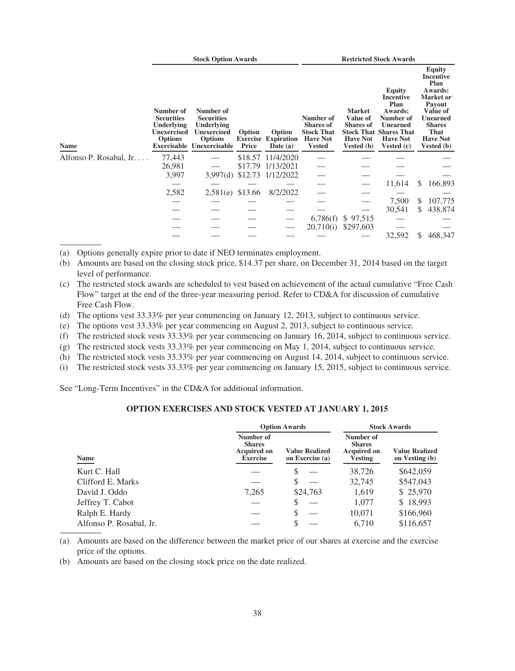|                         |                                                                                      | <b>Stock Option Awards</b>                                                                                               |                                    |                                           | <b>Restricted Stock Awards</b>                                                         |                                                                                              |                                                                                                                                          |                                                                                                                                                                             |  |
|-------------------------|--------------------------------------------------------------------------------------|--------------------------------------------------------------------------------------------------------------------------|------------------------------------|-------------------------------------------|----------------------------------------------------------------------------------------|----------------------------------------------------------------------------------------------|------------------------------------------------------------------------------------------------------------------------------------------|-----------------------------------------------------------------------------------------------------------------------------------------------------------------------------|--|
| Name                    | Number of<br><b>Securities</b><br>Underlying<br><b>Unexercised</b><br><b>Options</b> | Number of<br><b>Securities</b><br>Underlying<br><b>Unexercised</b><br><b>Options</b><br><b>Exercisable Unexercisable</b> | Option<br><b>Exercise</b><br>Price | Option<br><b>Expiration</b><br>Date $(a)$ | Number of<br><b>Shares of</b><br><b>Stock That</b><br><b>Have Not</b><br><b>Vested</b> | <b>Market</b><br><b>Value of</b><br><b>Shares of</b><br><b>Have Not</b><br><b>Vested</b> (b) | Equity<br>Incentive<br>Plan<br>Awards:<br>Number of<br><b>Unearned</b><br><b>Stock That Shares That</b><br><b>Have Not</b><br>Vested (c) | <b>Equity</b><br><b>Incentive</b><br>Plan<br>Awards:<br><b>Market</b> or<br>Payout<br>Value of<br><b>Unearned</b><br><b>Shares</b><br>That<br><b>Have Not</b><br>Vested (b) |  |
| Alfonso P. Rosabal, Jr. | 77,443                                                                               |                                                                                                                          |                                    | \$18.57 11/4/2020                         |                                                                                        |                                                                                              |                                                                                                                                          |                                                                                                                                                                             |  |
|                         | 26,981                                                                               |                                                                                                                          | \$17.79                            | 1/13/2021                                 |                                                                                        |                                                                                              |                                                                                                                                          |                                                                                                                                                                             |  |
|                         | 3,997                                                                                | 3,997(d)                                                                                                                 | \$12.73                            | 1/12/2022                                 |                                                                                        |                                                                                              |                                                                                                                                          |                                                                                                                                                                             |  |
|                         |                                                                                      |                                                                                                                          |                                    |                                           |                                                                                        |                                                                                              | 11,614                                                                                                                                   | \$<br>166,893                                                                                                                                                               |  |
|                         | 2,582                                                                                | 2,581(e) \$13.66                                                                                                         |                                    | 8/2/2022                                  |                                                                                        |                                                                                              |                                                                                                                                          |                                                                                                                                                                             |  |
|                         |                                                                                      |                                                                                                                          |                                    |                                           |                                                                                        |                                                                                              | 7,500                                                                                                                                    | 107,775<br>\$                                                                                                                                                               |  |
|                         |                                                                                      |                                                                                                                          |                                    |                                           |                                                                                        |                                                                                              | 30,541                                                                                                                                   | \$<br>438,874                                                                                                                                                               |  |
|                         |                                                                                      |                                                                                                                          |                                    |                                           | 6,786(f)                                                                               | \$97,515                                                                                     |                                                                                                                                          |                                                                                                                                                                             |  |
|                         |                                                                                      |                                                                                                                          |                                    |                                           | 20,710(i)                                                                              | \$297,603                                                                                    |                                                                                                                                          |                                                                                                                                                                             |  |
|                         |                                                                                      |                                                                                                                          |                                    |                                           |                                                                                        |                                                                                              | 32,592                                                                                                                                   | \$<br>468,347                                                                                                                                                               |  |

(a) Options generally expire prior to date if NEO terminates employment.

- (b) Amounts are based on the closing stock price, \$14.37 per share, on December 31, 2014 based on the target level of performance.
- (c) The restricted stock awards are scheduled to vest based on achievement of the actual cumulative "Free Cash Flow" target at the end of the three-year measuring period. Refer to CD&A for discussion of cumulative Free Cash Flow.
- (d) The options vest 33.33% per year commencing on January 12, 2013, subject to continuous service.
- (e) The options vest 33.33% per year commencing on August 2, 2013, subject to continuous service.
- (f) The restricted stock vests 33.33% per year commencing on January 16, 2014, subject to continuous service.
- (g) The restricted stock vests 33.33% per year commencing on May 1, 2014, subject to continuous service.
- (h) The restricted stock vests 33.33% per year commencing on August 14, 2014, subject to continuous service.
- (i) The restricted stock vests 33.33% per year commencing on January 15, 2015, subject to continuous service.

See "Long-Term Incentives" in the CD&A for additional information.

# **OPTION EXERCISES AND STOCK VESTED AT JANUARY 1, 2015**

|                         |                                                                     | <b>Option Awards</b>                     | <b>Stock Awards</b>                                                |                                         |  |
|-------------------------|---------------------------------------------------------------------|------------------------------------------|--------------------------------------------------------------------|-----------------------------------------|--|
| Name                    | Number of<br><b>Shares</b><br><b>Acquired on</b><br><b>Exercise</b> | <b>Value Realized</b><br>on Exercise (a) | Number of<br><b>Shares</b><br><b>Acquired on</b><br><b>Vesting</b> | <b>Value Realized</b><br>on Vesting (b) |  |
| Kurt C. Hall            |                                                                     | \$                                       | 38,726                                                             | \$642,059                               |  |
| Clifford E. Marks       |                                                                     | S                                        | 32,745                                                             | \$547,043                               |  |
| David J. Oddo           | 7,265                                                               | \$24,763                                 | 1,619                                                              | \$25,970                                |  |
| Jeffrey T. Cabot        |                                                                     | \$                                       | 1,077                                                              | \$18,993                                |  |
| Ralph E. Hardy          |                                                                     | S                                        | 10,071                                                             | \$166,960                               |  |
| Alfonso P. Rosabal, Jr. |                                                                     | \$                                       | 6.710                                                              | \$116,657                               |  |

(a) Amounts are based on the difference between the market price of our shares at exercise and the exercise price of the options.

(b) Amounts are based on the closing stock price on the date realized.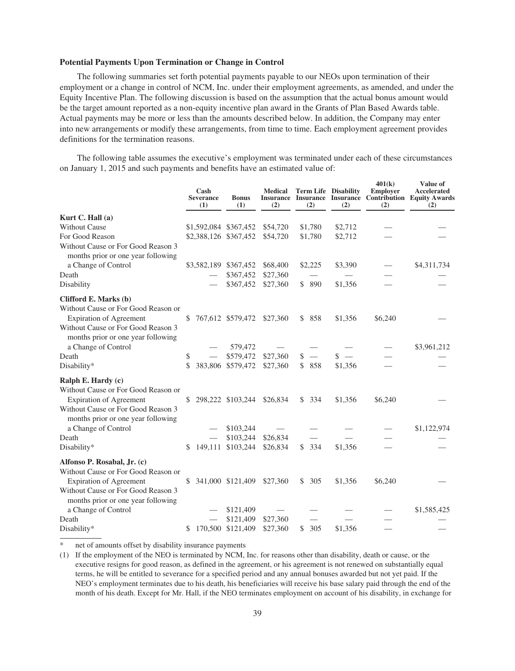# **Potential Payments Upon Termination or Change in Control**

The following summaries set forth potential payments payable to our NEOs upon termination of their employment or a change in control of NCM, Inc. under their employment agreements, as amended, and under the Equity Incentive Plan. The following discussion is based on the assumption that the actual bonus amount would be the target amount reported as a non-equity incentive plan award in the Grants of Plan Based Awards table. Actual payments may be more or less than the amounts described below. In addition, the Company may enter into new arrangements or modify these arrangements, from time to time. Each employment agreement provides definitions for the termination reasons.

The following table assumes the executive's employment was terminated under each of these circumstances on January 1, 2015 and such payments and benefits have an estimated value of:

|                                                                          |    | Cash<br><b>Severance</b><br>(1) | <b>Bonus</b><br>(1)        | <b>Medical</b><br>(2) | (2)       | <b>Term Life Disability</b><br>(2) | 401(k)<br><b>Employer</b><br>(2) | Value of<br>Accelerated<br>Insurance Insurance Insurance Contribution Equity Awards<br>(2) |
|--------------------------------------------------------------------------|----|---------------------------------|----------------------------|-----------------------|-----------|------------------------------------|----------------------------------|--------------------------------------------------------------------------------------------|
| Kurt C. Hall $(a)$                                                       |    |                                 |                            |                       |           |                                    |                                  |                                                                                            |
| <b>Without Cause</b>                                                     |    |                                 | \$1,592,084 \$367,452      | \$54,720              | \$1,780   | \$2,712                            |                                  |                                                                                            |
| For Good Reason                                                          |    |                                 | \$2,388,126 \$367,452      | \$54,720              | \$1,780   | \$2,712                            |                                  |                                                                                            |
| Without Cause or For Good Reason 3<br>months prior or one year following |    |                                 |                            |                       |           |                                    |                                  |                                                                                            |
| a Change of Control                                                      |    |                                 | \$3,582,189 \$367,452      | \$68,400              | \$2,225   | \$3,390                            |                                  | \$4,311,734                                                                                |
| Death                                                                    |    |                                 | \$367,452                  | \$27,360              |           |                                    |                                  |                                                                                            |
| Disability                                                               |    |                                 | \$367,452                  | \$27,360              | \$ 890    | \$1,356                            |                                  |                                                                                            |
| Clifford E. Marks (b)                                                    |    |                                 |                            |                       |           |                                    |                                  |                                                                                            |
| Without Cause or For Good Reason or                                      |    |                                 |                            |                       |           |                                    |                                  |                                                                                            |
| <b>Expiration of Agreement</b>                                           | \$ |                                 | 767,612 \$579,472          | \$27,360              | \$ 858    | \$1,356                            | \$6,240                          |                                                                                            |
| Without Cause or For Good Reason 3<br>months prior or one year following |    |                                 |                            |                       |           |                                    |                                  |                                                                                            |
| a Change of Control                                                      |    |                                 | 579,472                    |                       |           |                                    |                                  | \$3,961,212                                                                                |
| Death                                                                    | \$ |                                 | \$579,472                  | \$27,360              | $s -$     | $s -$                              |                                  |                                                                                            |
| Disability*                                                              | \$ |                                 | 383,806 \$579,472          | \$27,360              | \$ 858    | \$1,356                            |                                  |                                                                                            |
| Ralph E. Hardy (c)                                                       |    |                                 |                            |                       |           |                                    |                                  |                                                                                            |
| Without Cause or For Good Reason or                                      |    |                                 |                            |                       |           |                                    |                                  |                                                                                            |
| <b>Expiration of Agreement</b>                                           |    |                                 | \$ 298,222 \$103,244       | \$26,834              | \$334     | \$1,356                            | \$6,240                          |                                                                                            |
| Without Cause or For Good Reason 3<br>months prior or one year following |    |                                 |                            |                       |           |                                    |                                  |                                                                                            |
| a Change of Control                                                      |    |                                 | \$103,244                  |                       |           |                                    |                                  | \$1,122,974                                                                                |
| Death                                                                    |    |                                 | \$103,244                  | \$26,834              |           |                                    |                                  |                                                                                            |
| Disability*                                                              | \$ |                                 | 149,111 \$103,244          | \$26,834              | \$334     | \$1,356                            |                                  |                                                                                            |
| Alfonso P. Rosabal, Jr. (c)                                              |    |                                 |                            |                       |           |                                    |                                  |                                                                                            |
| Without Cause or For Good Reason or                                      |    |                                 |                            |                       |           |                                    |                                  |                                                                                            |
| Expiration of Agreement                                                  | S  |                                 | 341,000 \$121,409 \$27,360 |                       | \$305     | \$1,356                            | \$6,240                          |                                                                                            |
| Without Cause or For Good Reason 3<br>months prior or one year following |    |                                 |                            |                       |           |                                    |                                  |                                                                                            |
| a Change of Control                                                      |    |                                 | \$121,409                  |                       |           |                                    |                                  | \$1,585,425                                                                                |
| Death                                                                    |    |                                 | \$121,409                  | \$27,360              |           |                                    |                                  |                                                                                            |
| Disability*                                                              | \$ | 170,500                         | \$121,409                  | \$27,360              | \$<br>305 | \$1,356                            |                                  |                                                                                            |

net of amounts offset by disability insurance payments

(1) If the employment of the NEO is terminated by NCM, Inc. for reasons other than disability, death or cause, or the executive resigns for good reason, as defined in the agreement, or his agreement is not renewed on substantially equal terms, he will be entitled to severance for a specified period and any annual bonuses awarded but not yet paid. If the NEO's employment terminates due to his death, his beneficiaries will receive his base salary paid through the end of the month of his death. Except for Mr. Hall, if the NEO terminates employment on account of his disability, in exchange for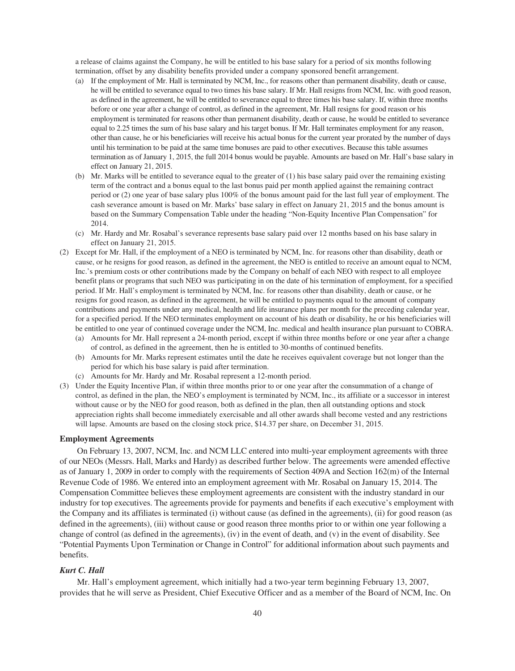a release of claims against the Company, he will be entitled to his base salary for a period of six months following termination, offset by any disability benefits provided under a company sponsored benefit arrangement.

- (a) If the employment of Mr. Hall is terminated by NCM, Inc., for reasons other than permanent disability, death or cause, he will be entitled to severance equal to two times his base salary. If Mr. Hall resigns from NCM, Inc. with good reason, as defined in the agreement, he will be entitled to severance equal to three times his base salary. If, within three months before or one year after a change of control, as defined in the agreement, Mr. Hall resigns for good reason or his employment is terminated for reasons other than permanent disability, death or cause, he would be entitled to severance equal to 2.25 times the sum of his base salary and his target bonus. If Mr. Hall terminates employment for any reason, other than cause, he or his beneficiaries will receive his actual bonus for the current year prorated by the number of days until his termination to be paid at the same time bonuses are paid to other executives. Because this table assumes termination as of January 1, 2015, the full 2014 bonus would be payable. Amounts are based on Mr. Hall's base salary in effect on January 21, 2015.
- (b) Mr. Marks will be entitled to severance equal to the greater of (1) his base salary paid over the remaining existing term of the contract and a bonus equal to the last bonus paid per month applied against the remaining contract period or (2) one year of base salary plus 100% of the bonus amount paid for the last full year of employment. The cash severance amount is based on Mr. Marks' base salary in effect on January 21, 2015 and the bonus amount is based on the Summary Compensation Table under the heading "Non-Equity Incentive Plan Compensation" for 2014.
- (c) Mr. Hardy and Mr. Rosabal's severance represents base salary paid over 12 months based on his base salary in effect on January 21, 2015.
- (2) Except for Mr. Hall, if the employment of a NEO is terminated by NCM, Inc. for reasons other than disability, death or cause, or he resigns for good reason, as defined in the agreement, the NEO is entitled to receive an amount equal to NCM, Inc.'s premium costs or other contributions made by the Company on behalf of each NEO with respect to all employee benefit plans or programs that such NEO was participating in on the date of his termination of employment, for a specified period. If Mr. Hall's employment is terminated by NCM, Inc. for reasons other than disability, death or cause, or he resigns for good reason, as defined in the agreement, he will be entitled to payments equal to the amount of company contributions and payments under any medical, health and life insurance plans per month for the preceding calendar year, for a specified period. If the NEO terminates employment on account of his death or disability, he or his beneficiaries will be entitled to one year of continued coverage under the NCM, Inc. medical and health insurance plan pursuant to COBRA.
	- (a) Amounts for Mr. Hall represent a 24-month period, except if within three months before or one year after a change of control, as defined in the agreement, then he is entitled to 30-months of continued benefits.
	- (b) Amounts for Mr. Marks represent estimates until the date he receives equivalent coverage but not longer than the period for which his base salary is paid after termination.
	- (c) Amounts for Mr. Hardy and Mr. Rosabal represent a 12-month period.
- (3) Under the Equity Incentive Plan, if within three months prior to or one year after the consummation of a change of control, as defined in the plan, the NEO's employment is terminated by NCM, Inc., its affiliate or a successor in interest without cause or by the NEO for good reason, both as defined in the plan, then all outstanding options and stock appreciation rights shall become immediately exercisable and all other awards shall become vested and any restrictions will lapse. Amounts are based on the closing stock price, \$14.37 per share, on December 31, 2015.

# **Employment Agreements**

On February 13, 2007, NCM, Inc. and NCM LLC entered into multi-year employment agreements with three of our NEOs (Messrs. Hall, Marks and Hardy) as described further below. The agreements were amended effective as of January 1, 2009 in order to comply with the requirements of Section 409A and Section 162(m) of the Internal Revenue Code of 1986. We entered into an employment agreement with Mr. Rosabal on January 15, 2014. The Compensation Committee believes these employment agreements are consistent with the industry standard in our industry for top executives. The agreements provide for payments and benefits if each executive's employment with the Company and its affiliates is terminated (i) without cause (as defined in the agreements), (ii) for good reason (as defined in the agreements), (iii) without cause or good reason three months prior to or within one year following a change of control (as defined in the agreements), (iv) in the event of death, and (v) in the event of disability. See "Potential Payments Upon Termination or Change in Control" for additional information about such payments and benefits.

# *Kurt C. Hall*

Mr. Hall's employment agreement, which initially had a two-year term beginning February 13, 2007, provides that he will serve as President, Chief Executive Officer and as a member of the Board of NCM, Inc. On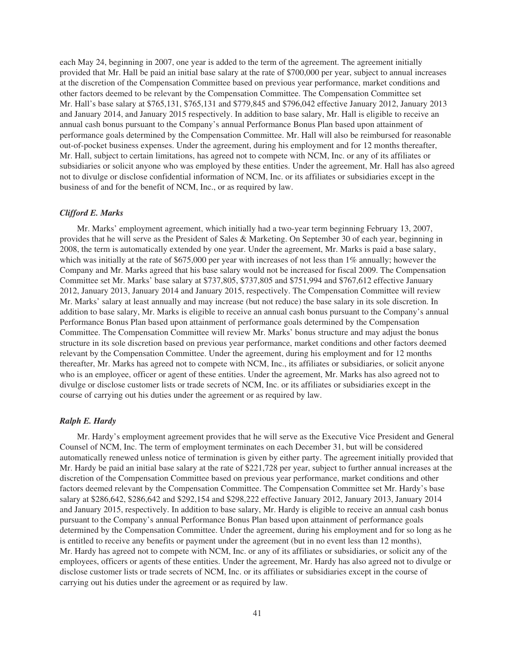each May 24, beginning in 2007, one year is added to the term of the agreement. The agreement initially provided that Mr. Hall be paid an initial base salary at the rate of \$700,000 per year, subject to annual increases at the discretion of the Compensation Committee based on previous year performance, market conditions and other factors deemed to be relevant by the Compensation Committee. The Compensation Committee set Mr. Hall's base salary at \$765,131, \$765,131 and \$779,845 and \$796,042 effective January 2012, January 2013 and January 2014, and January 2015 respectively. In addition to base salary, Mr. Hall is eligible to receive an annual cash bonus pursuant to the Company's annual Performance Bonus Plan based upon attainment of performance goals determined by the Compensation Committee. Mr. Hall will also be reimbursed for reasonable out-of-pocket business expenses. Under the agreement, during his employment and for 12 months thereafter, Mr. Hall, subject to certain limitations, has agreed not to compete with NCM, Inc. or any of its affiliates or subsidiaries or solicit anyone who was employed by these entities. Under the agreement, Mr. Hall has also agreed not to divulge or disclose confidential information of NCM, Inc. or its affiliates or subsidiaries except in the business of and for the benefit of NCM, Inc., or as required by law.

# *Clifford E. Marks*

Mr. Marks' employment agreement, which initially had a two-year term beginning February 13, 2007, provides that he will serve as the President of Sales & Marketing. On September 30 of each year, beginning in 2008, the term is automatically extended by one year. Under the agreement, Mr. Marks is paid a base salary, which was initially at the rate of \$675,000 per year with increases of not less than 1% annually; however the Company and Mr. Marks agreed that his base salary would not be increased for fiscal 2009. The Compensation Committee set Mr. Marks' base salary at \$737,805, \$737,805 and \$751,994 and \$767,612 effective January 2012, January 2013, January 2014 and January 2015, respectively. The Compensation Committee will review Mr. Marks' salary at least annually and may increase (but not reduce) the base salary in its sole discretion. In addition to base salary, Mr. Marks is eligible to receive an annual cash bonus pursuant to the Company's annual Performance Bonus Plan based upon attainment of performance goals determined by the Compensation Committee. The Compensation Committee will review Mr. Marks' bonus structure and may adjust the bonus structure in its sole discretion based on previous year performance, market conditions and other factors deemed relevant by the Compensation Committee. Under the agreement, during his employment and for 12 months thereafter, Mr. Marks has agreed not to compete with NCM, Inc., its affiliates or subsidiaries, or solicit anyone who is an employee, officer or agent of these entities. Under the agreement, Mr. Marks has also agreed not to divulge or disclose customer lists or trade secrets of NCM, Inc. or its affiliates or subsidiaries except in the course of carrying out his duties under the agreement or as required by law.

#### *Ralph E. Hardy*

Mr. Hardy's employment agreement provides that he will serve as the Executive Vice President and General Counsel of NCM, Inc. The term of employment terminates on each December 31, but will be considered automatically renewed unless notice of termination is given by either party. The agreement initially provided that Mr. Hardy be paid an initial base salary at the rate of \$221,728 per year, subject to further annual increases at the discretion of the Compensation Committee based on previous year performance, market conditions and other factors deemed relevant by the Compensation Committee. The Compensation Committee set Mr. Hardy's base salary at \$286,642, \$286,642 and \$292,154 and \$298,222 effective January 2012, January 2013, January 2014 and January 2015, respectively. In addition to base salary, Mr. Hardy is eligible to receive an annual cash bonus pursuant to the Company's annual Performance Bonus Plan based upon attainment of performance goals determined by the Compensation Committee. Under the agreement, during his employment and for so long as he is entitled to receive any benefits or payment under the agreement (but in no event less than 12 months), Mr. Hardy has agreed not to compete with NCM, Inc. or any of its affiliates or subsidiaries, or solicit any of the employees, officers or agents of these entities. Under the agreement, Mr. Hardy has also agreed not to divulge or disclose customer lists or trade secrets of NCM, Inc. or its affiliates or subsidiaries except in the course of carrying out his duties under the agreement or as required by law.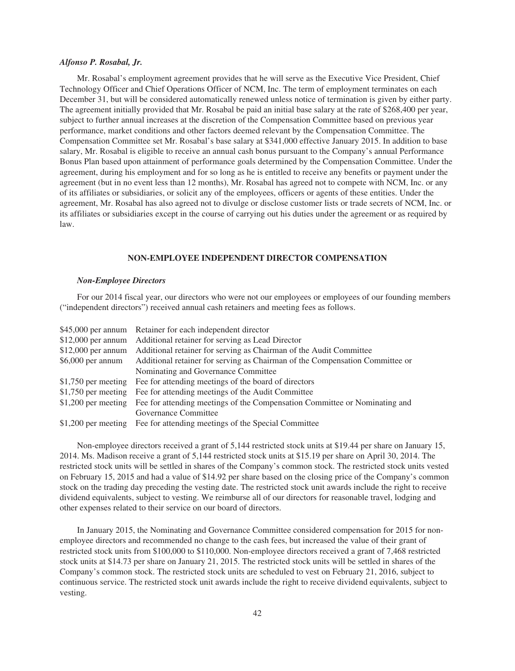#### *Alfonso P. Rosabal, Jr.*

Mr. Rosabal's employment agreement provides that he will serve as the Executive Vice President, Chief Technology Officer and Chief Operations Officer of NCM, Inc. The term of employment terminates on each December 31, but will be considered automatically renewed unless notice of termination is given by either party. The agreement initially provided that Mr. Rosabal be paid an initial base salary at the rate of \$268,400 per year, subject to further annual increases at the discretion of the Compensation Committee based on previous year performance, market conditions and other factors deemed relevant by the Compensation Committee. The Compensation Committee set Mr. Rosabal's base salary at \$341,000 effective January 2015. In addition to base salary, Mr. Rosabal is eligible to receive an annual cash bonus pursuant to the Company's annual Performance Bonus Plan based upon attainment of performance goals determined by the Compensation Committee. Under the agreement, during his employment and for so long as he is entitled to receive any benefits or payment under the agreement (but in no event less than 12 months), Mr. Rosabal has agreed not to compete with NCM, Inc. or any of its affiliates or subsidiaries, or solicit any of the employees, officers or agents of these entities. Under the agreement, Mr. Rosabal has also agreed not to divulge or disclose customer lists or trade secrets of NCM, Inc. or its affiliates or subsidiaries except in the course of carrying out his duties under the agreement or as required by law.

# **NON-EMPLOYEE INDEPENDENT DIRECTOR COMPENSATION**

# *Non-Employee Directors*

For our 2014 fiscal year, our directors who were not our employees or employees of our founding members ("independent directors") received annual cash retainers and meeting fees as follows.

|                    | \$45,000 per annum Retainer for each independent director                                      |
|--------------------|------------------------------------------------------------------------------------------------|
|                    | \$12,000 per annum Additional retainer for serving as Lead Director                            |
|                    | \$12,000 per annum Additional retainer for serving as Chairman of the Audit Committee          |
| $$6,000$ per annum | Additional retainer for serving as Chairman of the Compensation Committee or                   |
|                    | Nominating and Governance Committee                                                            |
|                    | \$1,750 per meeting Fee for attending meetings of the board of directors                       |
|                    | \$1,750 per meeting Fee for attending meetings of the Audit Committee                          |
|                    | \$1,200 per meeting Fee for attending meetings of the Compensation Committee or Nominating and |
|                    | Governance Committee                                                                           |
|                    | \$1,200 per meeting Fee for attending meetings of the Special Committee                        |

Non-employee directors received a grant of 5,144 restricted stock units at \$19.44 per share on January 15, 2014. Ms. Madison receive a grant of 5,144 restricted stock units at \$15.19 per share on April 30, 2014. The restricted stock units will be settled in shares of the Company's common stock. The restricted stock units vested on February 15, 2015 and had a value of \$14.92 per share based on the closing price of the Company's common stock on the trading day preceding the vesting date. The restricted stock unit awards include the right to receive dividend equivalents, subject to vesting. We reimburse all of our directors for reasonable travel, lodging and other expenses related to their service on our board of directors.

In January 2015, the Nominating and Governance Committee considered compensation for 2015 for nonemployee directors and recommended no change to the cash fees, but increased the value of their grant of restricted stock units from \$100,000 to \$110,000. Non-employee directors received a grant of 7,468 restricted stock units at \$14.73 per share on January 21, 2015. The restricted stock units will be settled in shares of the Company's common stock. The restricted stock units are scheduled to vest on February 21, 2016, subject to continuous service. The restricted stock unit awards include the right to receive dividend equivalents, subject to vesting.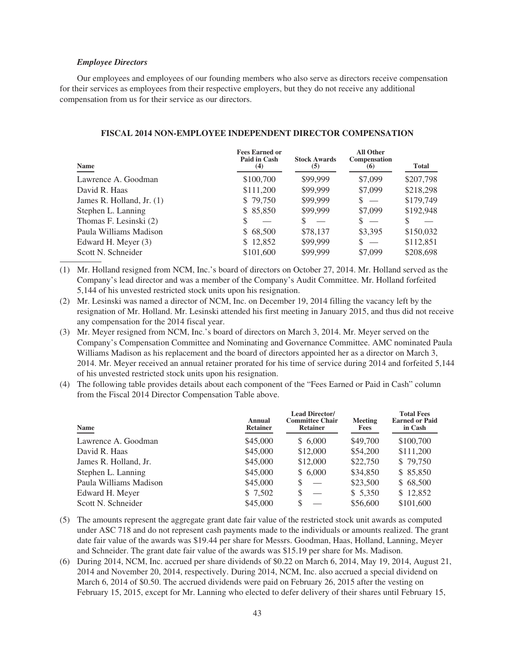#### *Employee Directors*

Our employees and employees of our founding members who also serve as directors receive compensation for their services as employees from their respective employers, but they do not receive any additional compensation from us for their service as our directors.

| <b>Name</b>                 | <b>Fees Earned or</b><br>Paid in Cash<br>(4) | <b>Stock Awards</b><br>(5) | <b>All Other</b><br>Compensation<br>(6) | <b>Total</b> |
|-----------------------------|----------------------------------------------|----------------------------|-----------------------------------------|--------------|
| Lawrence A. Goodman         | \$100,700                                    | \$99,999                   | \$7,099                                 | \$207,798    |
| David R. Haas               | \$111,200                                    | \$99,999                   | \$7,099                                 | \$218,298    |
| James R. Holland, Jr. $(1)$ | \$79,750                                     | \$99,999                   | $s =$                                   | \$179,749    |
| Stephen L. Lanning          | \$85,850                                     | \$99,999                   | \$7,099                                 | \$192,948    |
| Thomas F. Lesinski (2)      |                                              |                            | $\overline{\phantom{0}}$                |              |
| Paula Williams Madison      | \$68,500                                     | \$78,137                   | \$3,395                                 | \$150,032    |
| Edward H. Meyer (3)         | \$12,852                                     | \$99,999                   | $s =$                                   | \$112,851    |
| Scott N. Schneider          | \$101,600                                    | \$99,999                   | \$7,099                                 | \$208,698    |

# **FISCAL 2014 NON-EMPLOYEE INDEPENDENT DIRECTOR COMPENSATION**

(1) Mr. Holland resigned from NCM, Inc.'s board of directors on October 27, 2014. Mr. Holland served as the Company's lead director and was a member of the Company's Audit Committee. Mr. Holland forfeited 5,144 of his unvested restricted stock units upon his resignation.

(2) Mr. Lesinski was named a director of NCM, Inc. on December 19, 2014 filling the vacancy left by the resignation of Mr. Holland. Mr. Lesinski attended his first meeting in January 2015, and thus did not receive any compensation for the 2014 fiscal year.

(3) Mr. Meyer resigned from NCM, Inc.'s board of directors on March 3, 2014. Mr. Meyer served on the Company's Compensation Committee and Nominating and Governance Committee. AMC nominated Paula Williams Madison as his replacement and the board of directors appointed her as a director on March 3, 2014. Mr. Meyer received an annual retainer prorated for his time of service during 2014 and forfeited 5,144 of his unvested restricted stock units upon his resignation.

(4) The following table provides details about each component of the "Fees Earned or Paid in Cash" column from the Fiscal 2014 Director Compensation Table above.

| Name                   | Annual<br><b>Retainer</b> | <b>Lead Director/</b><br><b>Committee Chair</b><br><b>Retainer</b> | Meeting<br>Fees | <b>Total Fees</b><br><b>Earned or Paid</b><br>in Cash |
|------------------------|---------------------------|--------------------------------------------------------------------|-----------------|-------------------------------------------------------|
| Lawrence A. Goodman    | \$45,000                  | \$6,000                                                            | \$49,700        | \$100,700                                             |
| David R. Haas          | \$45,000                  | \$12,000                                                           | \$54,200        | \$111,200                                             |
| James R. Holland, Jr.  | \$45,000                  | \$12,000                                                           | \$22,750        | \$79,750                                              |
| Stephen L. Lanning     | \$45,000                  | \$6,000                                                            | \$34,850        | \$85,850                                              |
| Paula Williams Madison | \$45,000                  | S                                                                  | \$23,500        | \$68,500                                              |
| Edward H. Meyer        | \$ 7,502                  | S                                                                  | \$5,350         | \$12,852                                              |
| Scott N. Schneider     | \$45,000                  | S                                                                  | \$56,600        | \$101,600                                             |

(5) The amounts represent the aggregate grant date fair value of the restricted stock unit awards as computed under ASC 718 and do not represent cash payments made to the individuals or amounts realized. The grant date fair value of the awards was \$19.44 per share for Messrs. Goodman, Haas, Holland, Lanning, Meyer and Schneider. The grant date fair value of the awards was \$15.19 per share for Ms. Madison.

(6) During 2014, NCM, Inc. accrued per share dividends of \$0.22 on March 6, 2014, May 19, 2014, August 21, 2014 and November 20, 2014, respectively. During 2014, NCM, Inc. also accrued a special dividend on March 6, 2014 of \$0.50. The accrued dividends were paid on February 26, 2015 after the vesting on February 15, 2015, except for Mr. Lanning who elected to defer delivery of their shares until February 15,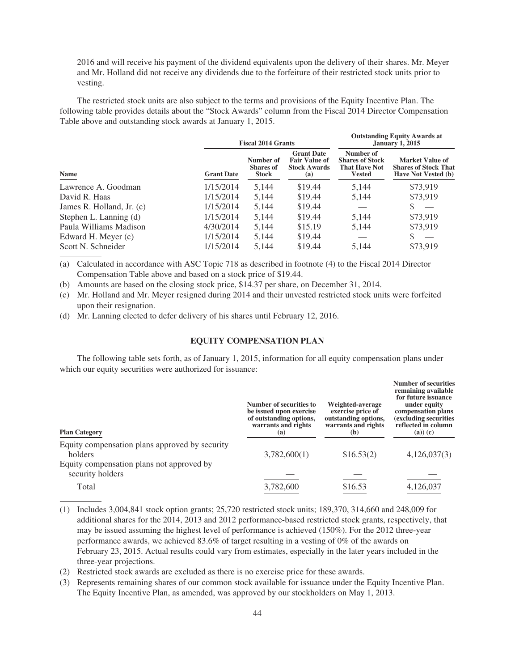2016 and will receive his payment of the dividend equivalents upon the delivery of their shares. Mr. Meyer and Mr. Holland did not receive any dividends due to the forfeiture of their restricted stock units prior to vesting.

**Outstanding Equity Awards at**

**Number of securities**

The restricted stock units are also subject to the terms and provisions of the Equity Incentive Plan. The following table provides details about the "Stock Awards" column from the Fiscal 2014 Director Compensation Table above and outstanding stock awards at January 1, 2015.

|                           | <b>Fiscal 2014 Grants</b> |                                               |                                                                         | <b>Outstanding Equity Awarus at</b><br><b>January 1, 2015</b>                |                                                                              |
|---------------------------|---------------------------|-----------------------------------------------|-------------------------------------------------------------------------|------------------------------------------------------------------------------|------------------------------------------------------------------------------|
| Name                      | <b>Grant Date</b>         | Number of<br><b>Shares of</b><br><b>Stock</b> | <b>Grant Date</b><br><b>Fair Value of</b><br><b>Stock Awards</b><br>(a) | Number of<br><b>Shares of Stock</b><br><b>That Have Not</b><br><b>Vested</b> | Market Value of<br><b>Shares of Stock That</b><br><b>Have Not Vested (b)</b> |
| Lawrence A. Goodman       | 1/15/2014                 | 5.144                                         | \$19.44                                                                 | 5,144                                                                        | \$73,919                                                                     |
| David R. Haas             | 1/15/2014                 | 5.144                                         | \$19.44                                                                 | 5,144                                                                        | \$73,919                                                                     |
| James R. Holland, Jr. (c) | 1/15/2014                 | 5.144                                         | \$19.44                                                                 |                                                                              |                                                                              |
| Stephen L. Lanning (d)    | 1/15/2014                 | 5.144                                         | \$19.44                                                                 | 5,144                                                                        | \$73,919                                                                     |
| Paula Williams Madison    | 4/30/2014                 | 5,144                                         | \$15.19                                                                 | 5,144                                                                        | \$73,919                                                                     |
| Edward H. Meyer (c)       | 1/15/2014                 | 5.144                                         | \$19.44                                                                 |                                                                              |                                                                              |
| Scott N. Schneider        | 1/15/2014                 | 5.144                                         | \$19.44                                                                 | 5.144                                                                        | \$73.919                                                                     |

(a) Calculated in accordance with ASC Topic 718 as described in footnote (4) to the Fiscal 2014 Director Compensation Table above and based on a stock price of \$19.44.

(b) Amounts are based on the closing stock price, \$14.37 per share, on December 31, 2014.

(c) Mr. Holland and Mr. Meyer resigned during 2014 and their unvested restricted stock units were forfeited upon their resignation.

(d) Mr. Lanning elected to defer delivery of his shares until February 12, 2016.

# **EQUITY COMPENSATION PLAN**

The following table sets forth, as of January 1, 2015, information for all equity compensation plans under which our equity securities were authorized for issuance:

| <b>Plan Category</b>                                          | Number of securities to<br>be issued upon exercise<br>of outstanding options,<br>warrants and rights<br>(a) | Weighted-average<br>exercise price of<br>outstanding options,<br>warrants and rights<br>(b) | namber or securities<br>remaining available<br>for future issuance<br>under equity<br>compensation plans<br>(excluding securities<br>reflected in column<br>$(a))$ $(c)$ |
|---------------------------------------------------------------|-------------------------------------------------------------------------------------------------------------|---------------------------------------------------------------------------------------------|--------------------------------------------------------------------------------------------------------------------------------------------------------------------------|
| Equity compensation plans approved by security<br>holders     | 3,782,600(1)                                                                                                | \$16.53(2)                                                                                  | 4,126,037(3)                                                                                                                                                             |
| Equity compensation plans not approved by<br>security holders |                                                                                                             |                                                                                             |                                                                                                                                                                          |
| Total                                                         | 3,782,600                                                                                                   | \$16.53                                                                                     | 4,126,037                                                                                                                                                                |

(1) Includes 3,004,841 stock option grants; 25,720 restricted stock units; 189,370, 314,660 and 248,009 for additional shares for the 2014, 2013 and 2012 performance-based restricted stock grants, respectively, that may be issued assuming the highest level of performance is achieved (150%). For the 2012 three-year performance awards, we achieved 83.6% of target resulting in a vesting of 0% of the awards on February 23, 2015. Actual results could vary from estimates, especially in the later years included in the three-year projections.

- (2) Restricted stock awards are excluded as there is no exercise price for these awards.
- (3) Represents remaining shares of our common stock available for issuance under the Equity Incentive Plan. The Equity Incentive Plan, as amended, was approved by our stockholders on May 1, 2013.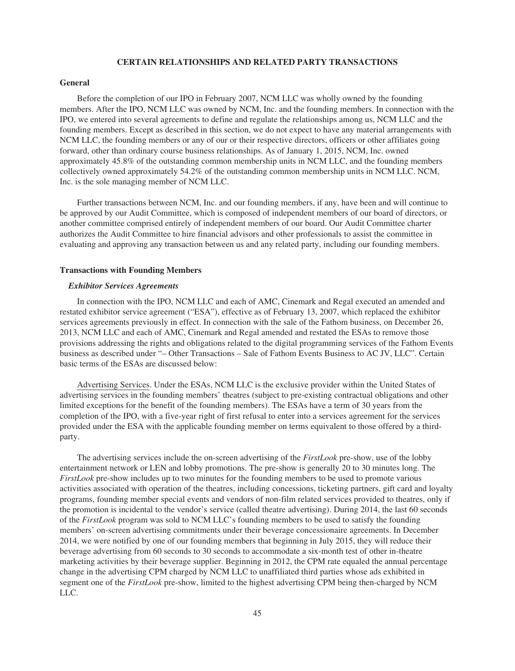# **CERTAIN RELATIONSHIPS AND RELATED PARTY TRANSACTIONS**

### **General**

Before the completion of our IPO in February 2007, NCM LLC was wholly owned by the founding members. After the IPO, NCM LLC was owned by NCM, Inc. and the founding members. In connection with the IPO, we entered into several agreements to define and regulate the relationships among us, NCM LLC and the founding members. Except as described in this section, we do not expect to have any material arrangements with NCM LLC, the founding members or any of our or their respective directors, officers or other affiliates going forward, other than ordinary course business relationships. As of January 1, 2015, NCM, Inc. owned approximately 45.8% of the outstanding common membership units in NCM LLC, and the founding members collectively owned approximately 54.2% of the outstanding common membership units in NCM LLC. NCM, Inc. is the sole managing member of NCM LLC.

Further transactions between NCM, Inc. and our founding members, if any, have been and will continue to be approved by our Audit Committee, which is composed of independent members of our board of directors, or another committee comprised entirely of independent members of our board. Our Audit Committee charter authorizes the Audit Committee to hire financial advisors and other professionals to assist the committee in evaluating and approving any transaction between us and any related party, including our founding members.

# **Transactions with Founding Members**

#### *Exhibitor Services Agreements*

In connection with the IPO, NCM LLC and each of AMC, Cinemark and Regal executed an amended and restated exhibitor service agreement ("ESA"), effective as of February 13, 2007, which replaced the exhibitor services agreements previously in effect. In connection with the sale of the Fathom business, on December 26, 2013, NCM LLC and each of AMC, Cinemark and Regal amended and restated the ESAs to remove those provisions addressing the rights and obligations related to the digital programming services of the Fathom Events business as described under "– Other Transactions – Sale of Fathom Events Business to AC JV, LLC". Certain basic terms of the ESAs are discussed below:

Advertising Services. Under the ESAs, NCM LLC is the exclusive provider within the United States of advertising services in the founding members' theatres (subject to pre-existing contractual obligations and other limited exceptions for the benefit of the founding members). The ESAs have a term of 30 years from the completion of the IPO, with a five-year right of first refusal to enter into a services agreement for the services provided under the ESA with the applicable founding member on terms equivalent to those offered by a thirdparty.

The advertising services include the on-screen advertising of the *FirstLook* pre-show, use of the lobby entertainment network or LEN and lobby promotions. The pre-show is generally 20 to 30 minutes long. The *FirstLook* pre-show includes up to two minutes for the founding members to be used to promote various activities associated with operation of the theatres, including concessions, ticketing partners, gift card and loyalty programs, founding member special events and vendors of non-film related services provided to theatres, only if the promotion is incidental to the vendor's service (called theatre advertising). During 2014, the last 60 seconds of the *FirstLook* program was sold to NCM LLC's founding members to be used to satisfy the founding members' on-screen advertising commitments under their beverage concessionaire agreements. In December 2014, we were notified by one of our founding members that beginning in July 2015, they will reduce their beverage advertising from 60 seconds to 30 seconds to accommodate a six-month test of other in-theatre marketing activities by their beverage supplier. Beginning in 2012, the CPM rate equaled the annual percentage change in the advertising CPM charged by NCM LLC to unaffiliated third parties whose ads exhibited in segment one of the *FirstLook* pre-show, limited to the highest advertising CPM being then-charged by NCM LLC.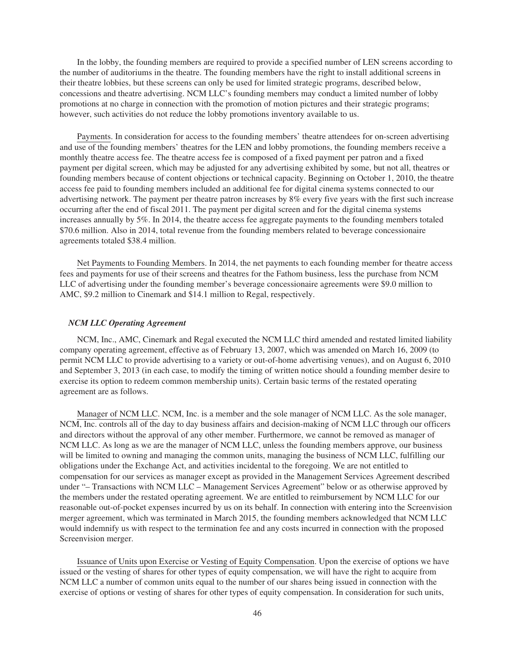In the lobby, the founding members are required to provide a specified number of LEN screens according to the number of auditoriums in the theatre. The founding members have the right to install additional screens in their theatre lobbies, but these screens can only be used for limited strategic programs, described below, concessions and theatre advertising. NCM LLC's founding members may conduct a limited number of lobby promotions at no charge in connection with the promotion of motion pictures and their strategic programs; however, such activities do not reduce the lobby promotions inventory available to us.

Payments. In consideration for access to the founding members' theatre attendees for on-screen advertising and use of the founding members' theatres for the LEN and lobby promotions, the founding members receive a monthly theatre access fee. The theatre access fee is composed of a fixed payment per patron and a fixed payment per digital screen, which may be adjusted for any advertising exhibited by some, but not all, theatres or founding members because of content objections or technical capacity. Beginning on October 1, 2010, the theatre access fee paid to founding members included an additional fee for digital cinema systems connected to our advertising network. The payment per theatre patron increases by 8% every five years with the first such increase occurring after the end of fiscal 2011. The payment per digital screen and for the digital cinema systems increases annually by 5%. In 2014, the theatre access fee aggregate payments to the founding members totaled \$70.6 million. Also in 2014, total revenue from the founding members related to beverage concessionaire agreements totaled \$38.4 million.

Net Payments to Founding Members. In 2014, the net payments to each founding member for theatre access fees and payments for use of their screens and theatres for the Fathom business, less the purchase from NCM LLC of advertising under the founding member's beverage concessionaire agreements were \$9.0 million to AMC, \$9.2 million to Cinemark and \$14.1 million to Regal, respectively.

# *NCM LLC Operating Agreement*

NCM, Inc., AMC, Cinemark and Regal executed the NCM LLC third amended and restated limited liability company operating agreement, effective as of February 13, 2007, which was amended on March 16, 2009 (to permit NCM LLC to provide advertising to a variety or out-of-home advertising venues), and on August 6, 2010 and September 3, 2013 (in each case, to modify the timing of written notice should a founding member desire to exercise its option to redeem common membership units). Certain basic terms of the restated operating agreement are as follows.

Manager of NCM LLC. NCM, Inc. is a member and the sole manager of NCM LLC. As the sole manager, NCM, Inc. controls all of the day to day business affairs and decision-making of NCM LLC through our officers and directors without the approval of any other member. Furthermore, we cannot be removed as manager of NCM LLC. As long as we are the manager of NCM LLC, unless the founding members approve, our business will be limited to owning and managing the common units, managing the business of NCM LLC, fulfilling our obligations under the Exchange Act, and activities incidental to the foregoing. We are not entitled to compensation for our services as manager except as provided in the Management Services Agreement described under "– Transactions with NCM LLC – Management Services Agreement" below or as otherwise approved by the members under the restated operating agreement. We are entitled to reimbursement by NCM LLC for our reasonable out-of-pocket expenses incurred by us on its behalf. In connection with entering into the Screenvision merger agreement, which was terminated in March 2015, the founding members acknowledged that NCM LLC would indemnify us with respect to the termination fee and any costs incurred in connection with the proposed Screenvision merger.

Issuance of Units upon Exercise or Vesting of Equity Compensation. Upon the exercise of options we have issued or the vesting of shares for other types of equity compensation, we will have the right to acquire from NCM LLC a number of common units equal to the number of our shares being issued in connection with the exercise of options or vesting of shares for other types of equity compensation. In consideration for such units,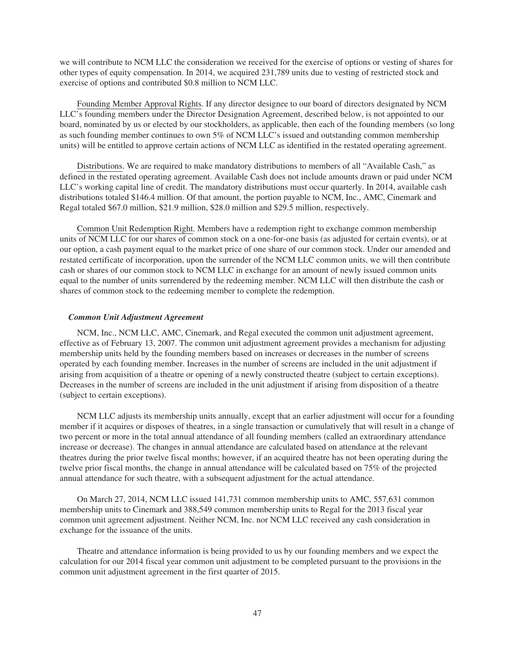we will contribute to NCM LLC the consideration we received for the exercise of options or vesting of shares for other types of equity compensation. In 2014, we acquired 231,789 units due to vesting of restricted stock and exercise of options and contributed \$0.8 million to NCM LLC.

Founding Member Approval Rights. If any director designee to our board of directors designated by NCM LLC's founding members under the Director Designation Agreement, described below, is not appointed to our board, nominated by us or elected by our stockholders, as applicable, then each of the founding members (so long as such founding member continues to own 5% of NCM LLC's issued and outstanding common membership units) will be entitled to approve certain actions of NCM LLC as identified in the restated operating agreement.

Distributions. We are required to make mandatory distributions to members of all "Available Cash," as defined in the restated operating agreement. Available Cash does not include amounts drawn or paid under NCM LLC's working capital line of credit. The mandatory distributions must occur quarterly. In 2014, available cash distributions totaled \$146.4 million. Of that amount, the portion payable to NCM, Inc., AMC, Cinemark and Regal totaled \$67.0 million, \$21.9 million, \$28.0 million and \$29.5 million, respectively.

Common Unit Redemption Right. Members have a redemption right to exchange common membership units of NCM LLC for our shares of common stock on a one-for-one basis (as adjusted for certain events), or at our option, a cash payment equal to the market price of one share of our common stock. Under our amended and restated certificate of incorporation, upon the surrender of the NCM LLC common units, we will then contribute cash or shares of our common stock to NCM LLC in exchange for an amount of newly issued common units equal to the number of units surrendered by the redeeming member. NCM LLC will then distribute the cash or shares of common stock to the redeeming member to complete the redemption.

# *Common Unit Adjustment Agreement*

NCM, Inc., NCM LLC, AMC, Cinemark, and Regal executed the common unit adjustment agreement, effective as of February 13, 2007. The common unit adjustment agreement provides a mechanism for adjusting membership units held by the founding members based on increases or decreases in the number of screens operated by each founding member. Increases in the number of screens are included in the unit adjustment if arising from acquisition of a theatre or opening of a newly constructed theatre (subject to certain exceptions). Decreases in the number of screens are included in the unit adjustment if arising from disposition of a theatre (subject to certain exceptions).

NCM LLC adjusts its membership units annually, except that an earlier adjustment will occur for a founding member if it acquires or disposes of theatres, in a single transaction or cumulatively that will result in a change of two percent or more in the total annual attendance of all founding members (called an extraordinary attendance increase or decrease). The changes in annual attendance are calculated based on attendance at the relevant theatres during the prior twelve fiscal months; however, if an acquired theatre has not been operating during the twelve prior fiscal months, the change in annual attendance will be calculated based on 75% of the projected annual attendance for such theatre, with a subsequent adjustment for the actual attendance.

On March 27, 2014, NCM LLC issued 141,731 common membership units to AMC, 557,631 common membership units to Cinemark and 388,549 common membership units to Regal for the 2013 fiscal year common unit agreement adjustment. Neither NCM, Inc. nor NCM LLC received any cash consideration in exchange for the issuance of the units.

Theatre and attendance information is being provided to us by our founding members and we expect the calculation for our 2014 fiscal year common unit adjustment to be completed pursuant to the provisions in the common unit adjustment agreement in the first quarter of 2015.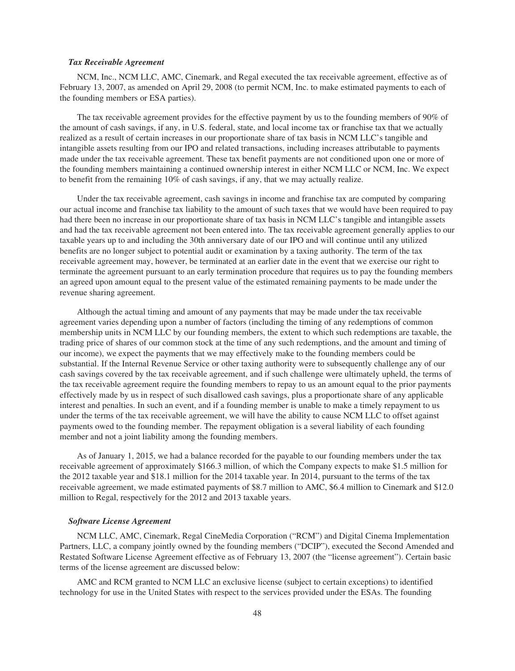#### *Tax Receivable Agreement*

NCM, Inc., NCM LLC, AMC, Cinemark, and Regal executed the tax receivable agreement, effective as of February 13, 2007, as amended on April 29, 2008 (to permit NCM, Inc. to make estimated payments to each of the founding members or ESA parties).

The tax receivable agreement provides for the effective payment by us to the founding members of 90% of the amount of cash savings, if any, in U.S. federal, state, and local income tax or franchise tax that we actually realized as a result of certain increases in our proportionate share of tax basis in NCM LLC's tangible and intangible assets resulting from our IPO and related transactions, including increases attributable to payments made under the tax receivable agreement. These tax benefit payments are not conditioned upon one or more of the founding members maintaining a continued ownership interest in either NCM LLC or NCM, Inc. We expect to benefit from the remaining 10% of cash savings, if any, that we may actually realize.

Under the tax receivable agreement, cash savings in income and franchise tax are computed by comparing our actual income and franchise tax liability to the amount of such taxes that we would have been required to pay had there been no increase in our proportionate share of tax basis in NCM LLC's tangible and intangible assets and had the tax receivable agreement not been entered into. The tax receivable agreement generally applies to our taxable years up to and including the 30th anniversary date of our IPO and will continue until any utilized benefits are no longer subject to potential audit or examination by a taxing authority. The term of the tax receivable agreement may, however, be terminated at an earlier date in the event that we exercise our right to terminate the agreement pursuant to an early termination procedure that requires us to pay the founding members an agreed upon amount equal to the present value of the estimated remaining payments to be made under the revenue sharing agreement.

Although the actual timing and amount of any payments that may be made under the tax receivable agreement varies depending upon a number of factors (including the timing of any redemptions of common membership units in NCM LLC by our founding members, the extent to which such redemptions are taxable, the trading price of shares of our common stock at the time of any such redemptions, and the amount and timing of our income), we expect the payments that we may effectively make to the founding members could be substantial. If the Internal Revenue Service or other taxing authority were to subsequently challenge any of our cash savings covered by the tax receivable agreement, and if such challenge were ultimately upheld, the terms of the tax receivable agreement require the founding members to repay to us an amount equal to the prior payments effectively made by us in respect of such disallowed cash savings, plus a proportionate share of any applicable interest and penalties. In such an event, and if a founding member is unable to make a timely repayment to us under the terms of the tax receivable agreement, we will have the ability to cause NCM LLC to offset against payments owed to the founding member. The repayment obligation is a several liability of each founding member and not a joint liability among the founding members.

As of January 1, 2015, we had a balance recorded for the payable to our founding members under the tax receivable agreement of approximately \$166.3 million, of which the Company expects to make \$1.5 million for the 2012 taxable year and \$18.1 million for the 2014 taxable year. In 2014, pursuant to the terms of the tax receivable agreement, we made estimated payments of \$8.7 million to AMC, \$6.4 million to Cinemark and \$12.0 million to Regal, respectively for the 2012 and 2013 taxable years.

# *Software License Agreement*

NCM LLC, AMC, Cinemark, Regal CineMedia Corporation ("RCM") and Digital Cinema Implementation Partners, LLC, a company jointly owned by the founding members ("DCIP"), executed the Second Amended and Restated Software License Agreement effective as of February 13, 2007 (the "license agreement"). Certain basic terms of the license agreement are discussed below:

AMC and RCM granted to NCM LLC an exclusive license (subject to certain exceptions) to identified technology for use in the United States with respect to the services provided under the ESAs. The founding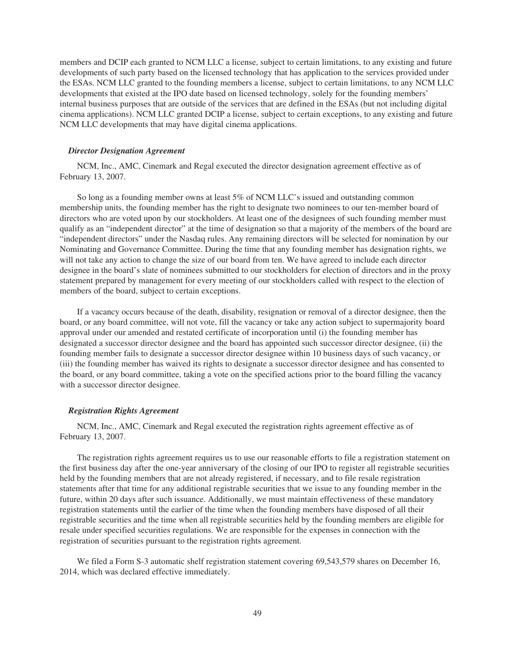members and DCIP each granted to NCM LLC a license, subject to certain limitations, to any existing and future developments of such party based on the licensed technology that has application to the services provided under the ESAs. NCM LLC granted to the founding members a license, subject to certain limitations, to any NCM LLC developments that existed at the IPO date based on licensed technology, solely for the founding members' internal business purposes that are outside of the services that are defined in the ESAs (but not including digital cinema applications). NCM LLC granted DCIP a license, subject to certain exceptions, to any existing and future NCM LLC developments that may have digital cinema applications.

#### *Director Designation Agreement*

NCM, Inc., AMC, Cinemark and Regal executed the director designation agreement effective as of February 13, 2007.

So long as a founding member owns at least 5% of NCM LLC's issued and outstanding common membership units, the founding member has the right to designate two nominees to our ten-member board of directors who are voted upon by our stockholders. At least one of the designees of such founding member must qualify as an "independent director" at the time of designation so that a majority of the members of the board are "independent directors" under the Nasdaq rules. Any remaining directors will be selected for nomination by our Nominating and Governance Committee. During the time that any founding member has designation rights, we will not take any action to change the size of our board from ten. We have agreed to include each director designee in the board's slate of nominees submitted to our stockholders for election of directors and in the proxy statement prepared by management for every meeting of our stockholders called with respect to the election of members of the board, subject to certain exceptions.

If a vacancy occurs because of the death, disability, resignation or removal of a director designee, then the board, or any board committee, will not vote, fill the vacancy or take any action subject to supermajority board approval under our amended and restated certificate of incorporation until (i) the founding member has designated a successor director designee and the board has appointed such successor director designee, (ii) the founding member fails to designate a successor director designee within 10 business days of such vacancy, or (iii) the founding member has waived its rights to designate a successor director designee and has consented to the board, or any board committee, taking a vote on the specified actions prior to the board filling the vacancy with a successor director designee.

#### *Registration Rights Agreement*

NCM, Inc., AMC, Cinemark and Regal executed the registration rights agreement effective as of February 13, 2007.

The registration rights agreement requires us to use our reasonable efforts to file a registration statement on the first business day after the one-year anniversary of the closing of our IPO to register all registrable securities held by the founding members that are not already registered, if necessary, and to file resale registration statements after that time for any additional registrable securities that we issue to any founding member in the future, within 20 days after such issuance. Additionally, we must maintain effectiveness of these mandatory registration statements until the earlier of the time when the founding members have disposed of all their registrable securities and the time when all registrable securities held by the founding members are eligible for resale under specified securities regulations. We are responsible for the expenses in connection with the registration of securities pursuant to the registration rights agreement.

We filed a Form S-3 automatic shelf registration statement covering 69,543,579 shares on December 16, 2014, which was declared effective immediately.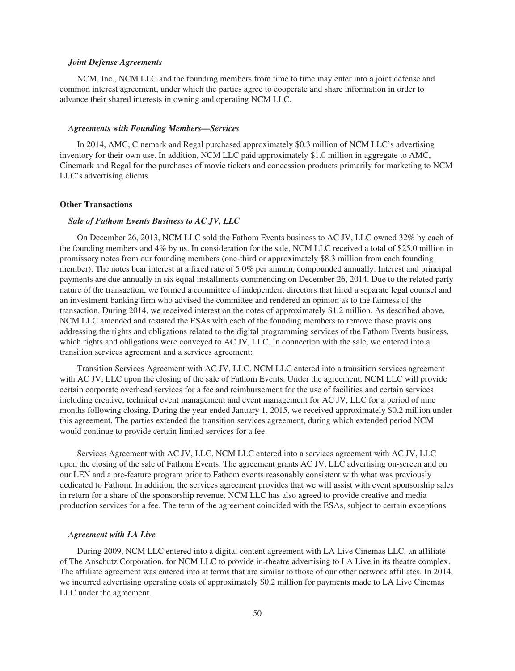#### *Joint Defense Agreements*

NCM, Inc., NCM LLC and the founding members from time to time may enter into a joint defense and common interest agreement, under which the parties agree to cooperate and share information in order to advance their shared interests in owning and operating NCM LLC.

# *Agreements with Founding Members—Services*

In 2014, AMC, Cinemark and Regal purchased approximately \$0.3 million of NCM LLC's advertising inventory for their own use. In addition, NCM LLC paid approximately \$1.0 million in aggregate to AMC, Cinemark and Regal for the purchases of movie tickets and concession products primarily for marketing to NCM LLC's advertising clients.

# **Other Transactions**

# *Sale of Fathom Events Business to AC JV, LLC*

On December 26, 2013, NCM LLC sold the Fathom Events business to AC JV, LLC owned 32% by each of the founding members and 4% by us. In consideration for the sale, NCM LLC received a total of \$25.0 million in promissory notes from our founding members (one-third or approximately \$8.3 million from each founding member). The notes bear interest at a fixed rate of 5.0% per annum, compounded annually. Interest and principal payments are due annually in six equal installments commencing on December 26, 2014. Due to the related party nature of the transaction, we formed a committee of independent directors that hired a separate legal counsel and an investment banking firm who advised the committee and rendered an opinion as to the fairness of the transaction. During 2014, we received interest on the notes of approximately \$1.2 million. As described above, NCM LLC amended and restated the ESAs with each of the founding members to remove those provisions addressing the rights and obligations related to the digital programming services of the Fathom Events business, which rights and obligations were conveyed to AC JV, LLC. In connection with the sale, we entered into a transition services agreement and a services agreement:

Transition Services Agreement with AC JV, LLC. NCM LLC entered into a transition services agreement with AC JV, LLC upon the closing of the sale of Fathom Events. Under the agreement, NCM LLC will provide certain corporate overhead services for a fee and reimbursement for the use of facilities and certain services including creative, technical event management and event management for AC JV, LLC for a period of nine months following closing. During the year ended January 1, 2015, we received approximately \$0.2 million under this agreement. The parties extended the transition services agreement, during which extended period NCM would continue to provide certain limited services for a fee.

Services Agreement with AC JV, LLC. NCM LLC entered into a services agreement with AC JV, LLC upon the closing of the sale of Fathom Events. The agreement grants AC JV, LLC advertising on-screen and on our LEN and a pre-feature program prior to Fathom events reasonably consistent with what was previously dedicated to Fathom. In addition, the services agreement provides that we will assist with event sponsorship sales in return for a share of the sponsorship revenue. NCM LLC has also agreed to provide creative and media production services for a fee. The term of the agreement coincided with the ESAs, subject to certain exceptions

#### *Agreement with LA Live*

During 2009, NCM LLC entered into a digital content agreement with LA Live Cinemas LLC, an affiliate of The Anschutz Corporation, for NCM LLC to provide in-theatre advertising to LA Live in its theatre complex. The affiliate agreement was entered into at terms that are similar to those of our other network affiliates. In 2014, we incurred advertising operating costs of approximately \$0.2 million for payments made to LA Live Cinemas LLC under the agreement.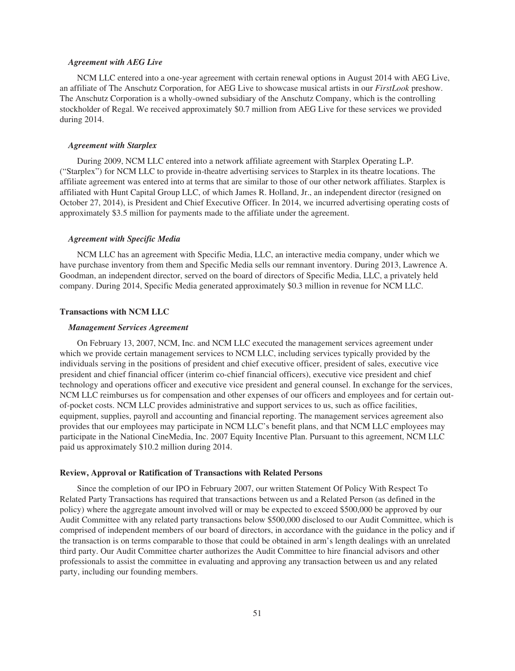#### *Agreement with AEG Live*

NCM LLC entered into a one-year agreement with certain renewal options in August 2014 with AEG Live, an affiliate of The Anschutz Corporation, for AEG Live to showcase musical artists in our *FirstLook* preshow. The Anschutz Corporation is a wholly-owned subsidiary of the Anschutz Company, which is the controlling stockholder of Regal. We received approximately \$0.7 million from AEG Live for these services we provided during 2014.

# *Agreement with Starplex*

During 2009, NCM LLC entered into a network affiliate agreement with Starplex Operating L.P. ("Starplex") for NCM LLC to provide in-theatre advertising services to Starplex in its theatre locations. The affiliate agreement was entered into at terms that are similar to those of our other network affiliates. Starplex is affiliated with Hunt Capital Group LLC, of which James R. Holland, Jr., an independent director (resigned on October 27, 2014), is President and Chief Executive Officer. In 2014, we incurred advertising operating costs of approximately \$3.5 million for payments made to the affiliate under the agreement.

#### *Agreement with Specific Media*

NCM LLC has an agreement with Specific Media, LLC, an interactive media company, under which we have purchase inventory from them and Specific Media sells our remnant inventory. During 2013, Lawrence A. Goodman, an independent director, served on the board of directors of Specific Media, LLC, a privately held company. During 2014, Specific Media generated approximately \$0.3 million in revenue for NCM LLC.

# **Transactions with NCM LLC**

#### *Management Services Agreement*

On February 13, 2007, NCM, Inc. and NCM LLC executed the management services agreement under which we provide certain management services to NCM LLC, including services typically provided by the individuals serving in the positions of president and chief executive officer, president of sales, executive vice president and chief financial officer (interim co-chief financial officers), executive vice president and chief technology and operations officer and executive vice president and general counsel. In exchange for the services, NCM LLC reimburses us for compensation and other expenses of our officers and employees and for certain outof-pocket costs. NCM LLC provides administrative and support services to us, such as office facilities, equipment, supplies, payroll and accounting and financial reporting. The management services agreement also provides that our employees may participate in NCM LLC's benefit plans, and that NCM LLC employees may participate in the National CineMedia, Inc. 2007 Equity Incentive Plan. Pursuant to this agreement, NCM LLC paid us approximately \$10.2 million during 2014.

#### **Review, Approval or Ratification of Transactions with Related Persons**

Since the completion of our IPO in February 2007, our written Statement Of Policy With Respect To Related Party Transactions has required that transactions between us and a Related Person (as defined in the policy) where the aggregate amount involved will or may be expected to exceed \$500,000 be approved by our Audit Committee with any related party transactions below \$500,000 disclosed to our Audit Committee, which is comprised of independent members of our board of directors, in accordance with the guidance in the policy and if the transaction is on terms comparable to those that could be obtained in arm's length dealings with an unrelated third party. Our Audit Committee charter authorizes the Audit Committee to hire financial advisors and other professionals to assist the committee in evaluating and approving any transaction between us and any related party, including our founding members.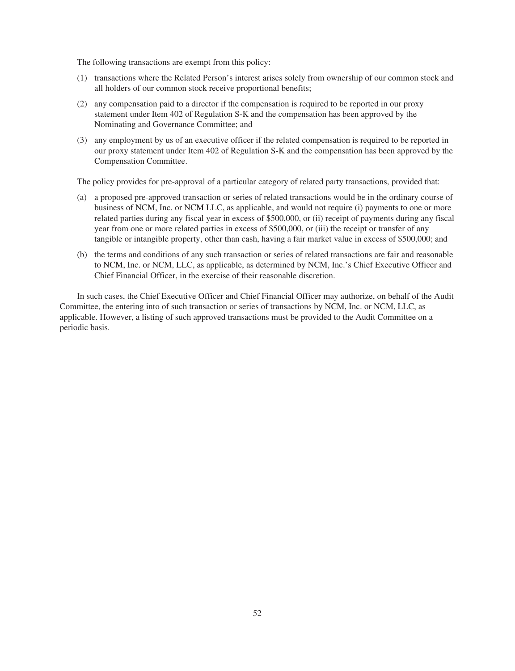The following transactions are exempt from this policy:

- (1) transactions where the Related Person's interest arises solely from ownership of our common stock and all holders of our common stock receive proportional benefits;
- (2) any compensation paid to a director if the compensation is required to be reported in our proxy statement under Item 402 of Regulation S-K and the compensation has been approved by the Nominating and Governance Committee; and
- (3) any employment by us of an executive officer if the related compensation is required to be reported in our proxy statement under Item 402 of Regulation S-K and the compensation has been approved by the Compensation Committee.

The policy provides for pre-approval of a particular category of related party transactions, provided that:

- (a) a proposed pre-approved transaction or series of related transactions would be in the ordinary course of business of NCM, Inc. or NCM LLC, as applicable, and would not require (i) payments to one or more related parties during any fiscal year in excess of \$500,000, or (ii) receipt of payments during any fiscal year from one or more related parties in excess of \$500,000, or (iii) the receipt or transfer of any tangible or intangible property, other than cash, having a fair market value in excess of \$500,000; and
- (b) the terms and conditions of any such transaction or series of related transactions are fair and reasonable to NCM, Inc. or NCM, LLC, as applicable, as determined by NCM, Inc.'s Chief Executive Officer and Chief Financial Officer, in the exercise of their reasonable discretion.

In such cases, the Chief Executive Officer and Chief Financial Officer may authorize, on behalf of the Audit Committee, the entering into of such transaction or series of transactions by NCM, Inc. or NCM, LLC, as applicable. However, a listing of such approved transactions must be provided to the Audit Committee on a periodic basis.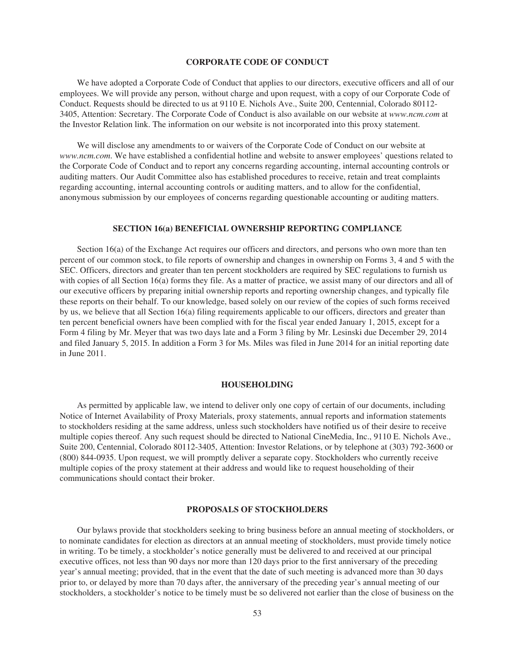# **CORPORATE CODE OF CONDUCT**

We have adopted a Corporate Code of Conduct that applies to our directors, executive officers and all of our employees. We will provide any person, without charge and upon request, with a copy of our Corporate Code of Conduct. Requests should be directed to us at 9110 E. Nichols Ave., Suite 200, Centennial, Colorado 80112- 3405, Attention: Secretary. The Corporate Code of Conduct is also available on our website at *www.ncm.com* at the Investor Relation link. The information on our website is not incorporated into this proxy statement.

We will disclose any amendments to or waivers of the Corporate Code of Conduct on our website at *www.ncm.com*. We have established a confidential hotline and website to answer employees' questions related to the Corporate Code of Conduct and to report any concerns regarding accounting, internal accounting controls or auditing matters. Our Audit Committee also has established procedures to receive, retain and treat complaints regarding accounting, internal accounting controls or auditing matters, and to allow for the confidential, anonymous submission by our employees of concerns regarding questionable accounting or auditing matters.

# **SECTION 16(a) BENEFICIAL OWNERSHIP REPORTING COMPLIANCE**

Section 16(a) of the Exchange Act requires our officers and directors, and persons who own more than ten percent of our common stock, to file reports of ownership and changes in ownership on Forms 3, 4 and 5 with the SEC. Officers, directors and greater than ten percent stockholders are required by SEC regulations to furnish us with copies of all Section 16(a) forms they file. As a matter of practice, we assist many of our directors and all of our executive officers by preparing initial ownership reports and reporting ownership changes, and typically file these reports on their behalf. To our knowledge, based solely on our review of the copies of such forms received by us, we believe that all Section 16(a) filing requirements applicable to our officers, directors and greater than ten percent beneficial owners have been complied with for the fiscal year ended January 1, 2015, except for a Form 4 filing by Mr. Meyer that was two days late and a Form 3 filing by Mr. Lesinski due December 29, 2014 and filed January 5, 2015. In addition a Form 3 for Ms. Miles was filed in June 2014 for an initial reporting date in June 2011.

#### **HOUSEHOLDING**

As permitted by applicable law, we intend to deliver only one copy of certain of our documents, including Notice of Internet Availability of Proxy Materials, proxy statements, annual reports and information statements to stockholders residing at the same address, unless such stockholders have notified us of their desire to receive multiple copies thereof. Any such request should be directed to National CineMedia, Inc., 9110 E. Nichols Ave., Suite 200, Centennial, Colorado 80112-3405, Attention: Investor Relations, or by telephone at (303) 792-3600 or (800) 844-0935. Upon request, we will promptly deliver a separate copy. Stockholders who currently receive multiple copies of the proxy statement at their address and would like to request householding of their communications should contact their broker.

#### **PROPOSALS OF STOCKHOLDERS**

Our bylaws provide that stockholders seeking to bring business before an annual meeting of stockholders, or to nominate candidates for election as directors at an annual meeting of stockholders, must provide timely notice in writing. To be timely, a stockholder's notice generally must be delivered to and received at our principal executive offices, not less than 90 days nor more than 120 days prior to the first anniversary of the preceding year's annual meeting; provided, that in the event that the date of such meeting is advanced more than 30 days prior to, or delayed by more than 70 days after, the anniversary of the preceding year's annual meeting of our stockholders, a stockholder's notice to be timely must be so delivered not earlier than the close of business on the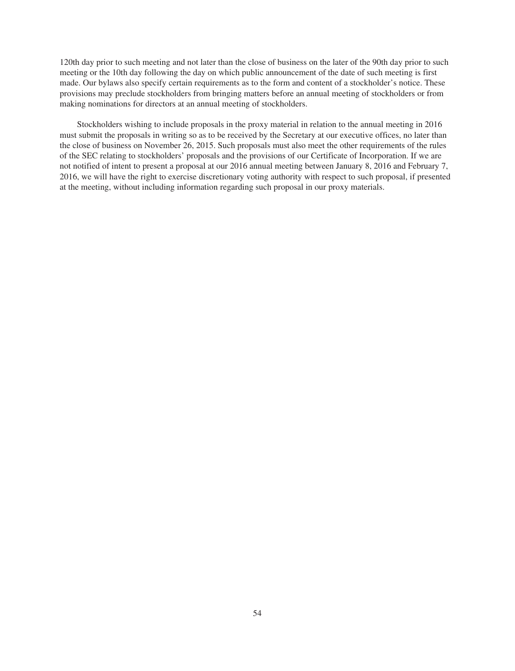120th day prior to such meeting and not later than the close of business on the later of the 90th day prior to such meeting or the 10th day following the day on which public announcement of the date of such meeting is first made. Our bylaws also specify certain requirements as to the form and content of a stockholder's notice. These provisions may preclude stockholders from bringing matters before an annual meeting of stockholders or from making nominations for directors at an annual meeting of stockholders.

Stockholders wishing to include proposals in the proxy material in relation to the annual meeting in 2016 must submit the proposals in writing so as to be received by the Secretary at our executive offices, no later than the close of business on November 26, 2015. Such proposals must also meet the other requirements of the rules of the SEC relating to stockholders' proposals and the provisions of our Certificate of Incorporation. If we are not notified of intent to present a proposal at our 2016 annual meeting between January 8, 2016 and February 7, 2016, we will have the right to exercise discretionary voting authority with respect to such proposal, if presented at the meeting, without including information regarding such proposal in our proxy materials.